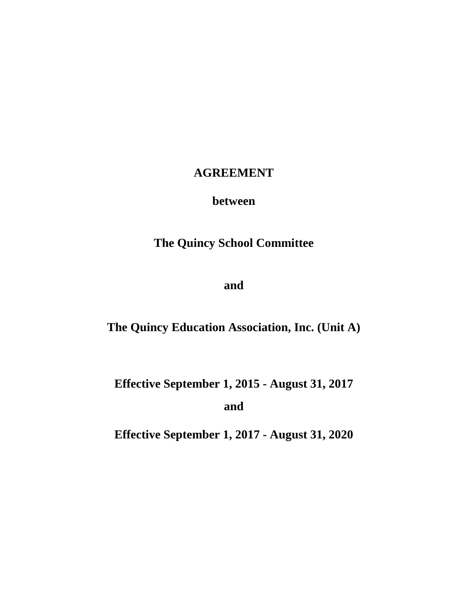# **AGREEMENT**

# **between**

# **The Quincy School Committee**

**and**

**The Quincy Education Association, Inc. (Unit A)**

**Effective September 1, 2015 - August 31, 2017**

**and**

**Effective September 1, 2017 - August 31, 2020**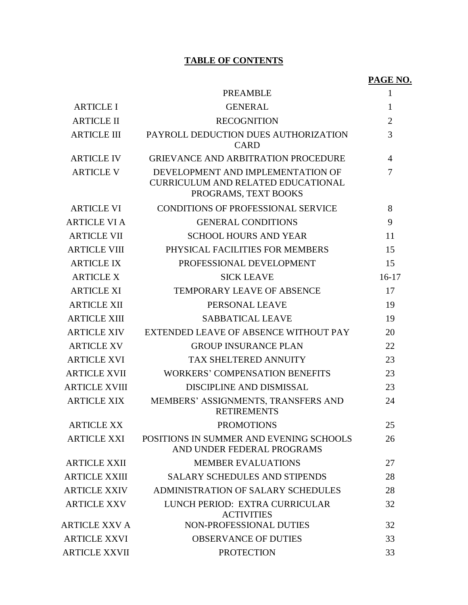# **TABLE OF CONTENTS**

# **PAGE NO.**

|                      | <b>PREAMBLE</b>                                                                                        | $\mathbf{1}$   |
|----------------------|--------------------------------------------------------------------------------------------------------|----------------|
| <b>ARTICLE I</b>     | <b>GENERAL</b>                                                                                         | $\mathbf{1}$   |
| <b>ARTICLE II</b>    | <b>RECOGNITION</b>                                                                                     | $\overline{2}$ |
| <b>ARTICLE III</b>   | PAYROLL DEDUCTION DUES AUTHORIZATION<br><b>CARD</b>                                                    | 3              |
| <b>ARTICLE IV</b>    | <b>GRIEVANCE AND ARBITRATION PROCEDURE</b>                                                             | 4              |
| <b>ARTICLE V</b>     | DEVELOPMENT AND IMPLEMENTATION OF<br><b>CURRICULUM AND RELATED EDUCATIONAL</b><br>PROGRAMS, TEXT BOOKS | 7              |
| <b>ARTICLE VI</b>    | <b>CONDITIONS OF PROFESSIONAL SERVICE</b>                                                              | 8              |
| <b>ARTICLE VI A</b>  | <b>GENERAL CONDITIONS</b>                                                                              | 9              |
| <b>ARTICLE VII</b>   | <b>SCHOOL HOURS AND YEAR</b>                                                                           | 11             |
| <b>ARTICLE VIII</b>  | PHYSICAL FACILITIES FOR MEMBERS                                                                        | 15             |
| <b>ARTICLE IX</b>    | PROFESSIONAL DEVELOPMENT                                                                               | 15             |
| <b>ARTICLE X</b>     | <b>SICK LEAVE</b>                                                                                      | $16-17$        |
| <b>ARTICLE XI</b>    | <b>TEMPORARY LEAVE OF ABSENCE</b>                                                                      | 17             |
| <b>ARTICLE XII</b>   | PERSONAL LEAVE                                                                                         | 19             |
| <b>ARTICLE XIII</b>  | <b>SABBATICAL LEAVE</b>                                                                                | 19             |
| <b>ARTICLE XIV</b>   | EXTENDED LEAVE OF ABSENCE WITHOUT PAY                                                                  | 20             |
| <b>ARTICLE XV</b>    | <b>GROUP INSURANCE PLAN</b>                                                                            | 22             |
| <b>ARTICLE XVI</b>   | TAX SHELTERED ANNUITY                                                                                  | 23             |
| <b>ARTICLE XVII</b>  | <b>WORKERS' COMPENSATION BENEFITS</b>                                                                  | 23             |
| <b>ARTICLE XVIII</b> | DISCIPLINE AND DISMISSAL                                                                               | 23             |
| <b>ARTICLE XIX</b>   | MEMBERS' ASSIGNMENTS, TRANSFERS AND<br><b>RETIREMENTS</b>                                              | 24             |
| <b>ARTICLE XX</b>    | <b>PROMOTIONS</b>                                                                                      | 25             |
| ARTICLE XXI          | POSITIONS IN SUMMER AND EVENING SCHOOLS<br>AND UNDER FEDERAL PROGRAMS                                  | 26             |
| <b>ARTICLE XXII</b>  | <b>MEMBER EVALUATIONS</b>                                                                              | 27             |
| <b>ARTICLE XXIII</b> | <b>SALARY SCHEDULES AND STIPENDS</b>                                                                   | 28             |
| <b>ARTICLE XXIV</b>  | ADMINISTRATION OF SALARY SCHEDULES                                                                     | 28             |
| <b>ARTICLE XXV</b>   | LUNCH PERIOD: EXTRA CURRICULAR<br><b>ACTIVITIES</b>                                                    | 32             |
| ARTICLE XXV A        | NON-PROFESSIONAL DUTIES                                                                                | 32             |
| <b>ARTICLE XXVI</b>  | <b>OBSERVANCE OF DUTIES</b>                                                                            | 33             |
| <b>ARTICLE XXVII</b> | <b>PROTECTION</b>                                                                                      | 33             |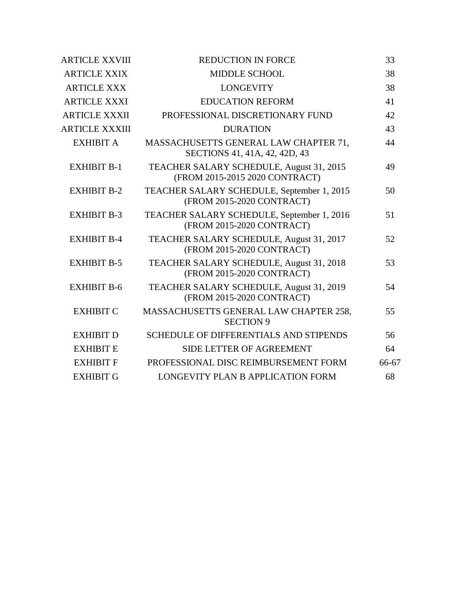| <b>ARTICLE XXVIII</b> | <b>REDUCTION IN FORCE</b>                                                  | 33    |  |
|-----------------------|----------------------------------------------------------------------------|-------|--|
| <b>ARTICLE XXIX</b>   | <b>MIDDLE SCHOOL</b>                                                       | 38    |  |
| <b>ARTICLE XXX</b>    | <b>LONGEVITY</b>                                                           | 38    |  |
| <b>ARTICLE XXXI</b>   | <b>EDUCATION REFORM</b>                                                    | 41    |  |
| <b>ARTICLE XXXII</b>  | PROFESSIONAL DISCRETIONARY FUND                                            | 42    |  |
| <b>ARTICLE XXXIII</b> | <b>DURATION</b>                                                            | 43    |  |
| <b>EXHIBIT A</b>      | MASSACHUSETTS GENERAL LAW CHAPTER 71,<br>SECTIONS 41, 41A, 42, 42D, 43     | 44    |  |
| <b>EXHIBIT B-1</b>    | TEACHER SALARY SCHEDULE, August 31, 2015<br>(FROM 2015-2015 2020 CONTRACT) | 49    |  |
| <b>EXHIBIT B-2</b>    | TEACHER SALARY SCHEDULE, September 1, 2015<br>(FROM 2015-2020 CONTRACT)    | 50    |  |
| <b>EXHIBIT B-3</b>    | TEACHER SALARY SCHEDULE, September 1, 2016<br>(FROM 2015-2020 CONTRACT)    | 51    |  |
| <b>EXHIBIT B-4</b>    | TEACHER SALARY SCHEDULE, August 31, 2017<br>(FROM 2015-2020 CONTRACT)      | 52    |  |
| <b>EXHIBIT B-5</b>    | TEACHER SALARY SCHEDULE, August 31, 2018<br>(FROM 2015-2020 CONTRACT)      | 53    |  |
| <b>EXHIBIT B-6</b>    | TEACHER SALARY SCHEDULE, August 31, 2019<br>(FROM 2015-2020 CONTRACT)      | 54    |  |
| <b>EXHIBIT C</b>      | MASSACHUSETTS GENERAL LAW CHAPTER 258,<br><b>SECTION 9</b>                 | 55    |  |
| <b>EXHIBIT D</b>      | <b>SCHEDULE OF DIFFERENTIALS AND STIPENDS</b>                              | 56    |  |
| <b>EXHIBIT E</b>      | <b>SIDE LETTER OF AGREEMENT</b>                                            | 64    |  |
| <b>EXHIBIT F</b>      | PROFESSIONAL DISC REIMBURSEMENT FORM                                       | 66-67 |  |
| <b>EXHIBIT G</b>      | LONGEVITY PLAN B APPLICATION FORM                                          | 68    |  |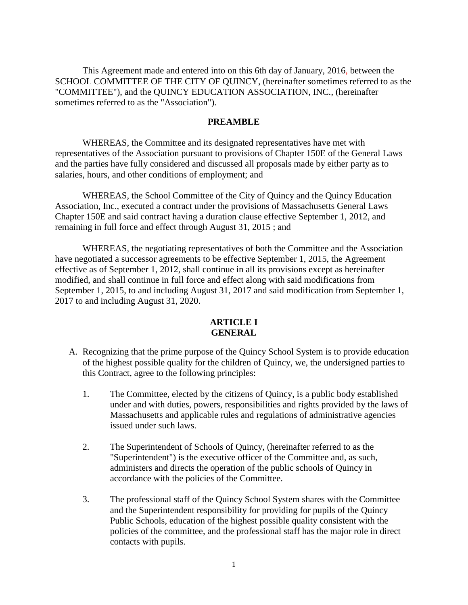This Agreement made and entered into on this 6th day of January, 2016, between the SCHOOL COMMITTEE OF THE CITY OF QUINCY, (hereinafter sometimes referred to as the "COMMITTEE"), and the QUINCY EDUCATION ASSOCIATION, INC., (hereinafter sometimes referred to as the "Association").

### **PREAMBLE**

WHEREAS, the Committee and its designated representatives have met with representatives of the Association pursuant to provisions of Chapter 150E of the General Laws and the parties have fully considered and discussed all proposals made by either party as to salaries, hours, and other conditions of employment; and

WHEREAS, the School Committee of the City of Quincy and the Quincy Education Association, Inc., executed a contract under the provisions of Massachusetts General Laws Chapter 150E and said contract having a duration clause effective September 1, 2012, and remaining in full force and effect through August 31, 2015 ; and

WHEREAS, the negotiating representatives of both the Committee and the Association have negotiated a successor agreements to be effective September 1, 2015, the Agreement effective as of September 1, 2012, shall continue in all its provisions except as hereinafter modified, and shall continue in full force and effect along with said modifications from September 1, 2015, to and including August 31, 2017 and said modification from September 1, 2017 to and including August 31, 2020.

### **ARTICLE I GENERAL**

- A. Recognizing that the prime purpose of the Quincy School System is to provide education of the highest possible quality for the children of Quincy, we, the undersigned parties to this Contract, agree to the following principles:
	- 1. The Committee, elected by the citizens of Quincy, is a public body established under and with duties, powers, responsibilities and rights provided by the laws of Massachusetts and applicable rules and regulations of administrative agencies issued under such laws.
	- 2. The Superintendent of Schools of Quincy, (hereinafter referred to as the "Superintendent") is the executive officer of the Committee and, as such, administers and directs the operation of the public schools of Quincy in accordance with the policies of the Committee.
	- 3. The professional staff of the Quincy School System shares with the Committee and the Superintendent responsibility for providing for pupils of the Quincy Public Schools, education of the highest possible quality consistent with the policies of the committee, and the professional staff has the major role in direct contacts with pupils.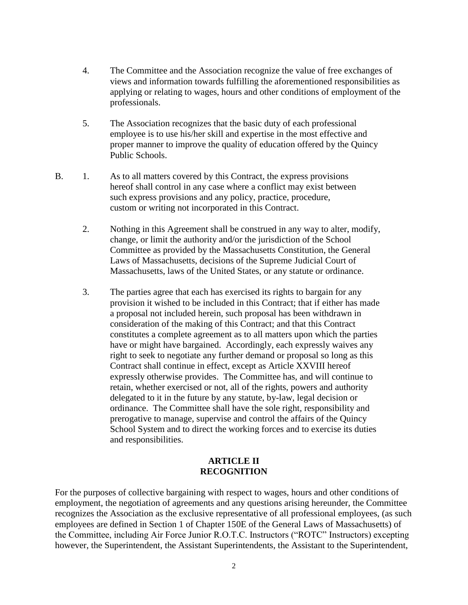- 4. The Committee and the Association recognize the value of free exchanges of views and information towards fulfilling the aforementioned responsibilities as applying or relating to wages, hours and other conditions of employment of the professionals.
- 5. The Association recognizes that the basic duty of each professional employee is to use his/her skill and expertise in the most effective and proper manner to improve the quality of education offered by the Quincy Public Schools.
- B. 1. As to all matters covered by this Contract, the express provisions hereof shall control in any case where a conflict may exist between such express provisions and any policy, practice, procedure, custom or writing not incorporated in this Contract.
	- 2. Nothing in this Agreement shall be construed in any way to alter, modify, change, or limit the authority and/or the jurisdiction of the School Committee as provided by the Massachusetts Constitution, the General Laws of Massachusetts, decisions of the Supreme Judicial Court of Massachusetts, laws of the United States, or any statute or ordinance.
	- 3. The parties agree that each has exercised its rights to bargain for any provision it wished to be included in this Contract; that if either has made a proposal not included herein, such proposal has been withdrawn in consideration of the making of this Contract; and that this Contract constitutes a complete agreement as to all matters upon which the parties have or might have bargained. Accordingly, each expressly waives any right to seek to negotiate any further demand or proposal so long as this Contract shall continue in effect, except as Article XXVIII hereof expressly otherwise provides. The Committee has, and will continue to retain, whether exercised or not, all of the rights, powers and authority delegated to it in the future by any statute, by-law, legal decision or ordinance. The Committee shall have the sole right, responsibility and prerogative to manage, supervise and control the affairs of the Quincy School System and to direct the working forces and to exercise its duties and responsibilities.

## **ARTICLE II RECOGNITION**

For the purposes of collective bargaining with respect to wages, hours and other conditions of employment, the negotiation of agreements and any questions arising hereunder, the Committee recognizes the Association as the exclusive representative of all professional employees, (as such employees are defined in Section 1 of Chapter 150E of the General Laws of Massachusetts) of the Committee, including Air Force Junior R.O.T.C. Instructors ("ROTC" Instructors) excepting however, the Superintendent, the Assistant Superintendents, the Assistant to the Superintendent,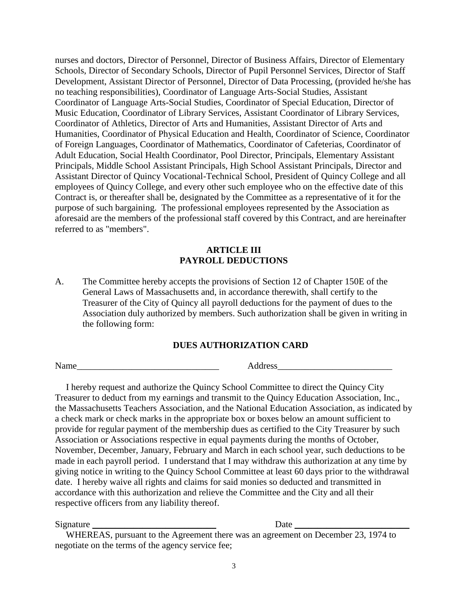nurses and doctors, Director of Personnel, Director of Business Affairs, Director of Elementary Schools, Director of Secondary Schools, Director of Pupil Personnel Services, Director of Staff Development, Assistant Director of Personnel, Director of Data Processing, (provided he/she has no teaching responsibilities), Coordinator of Language Arts-Social Studies, Assistant Coordinator of Language Arts-Social Studies, Coordinator of Special Education, Director of Music Education, Coordinator of Library Services, Assistant Coordinator of Library Services, Coordinator of Athletics, Director of Arts and Humanities, Assistant Director of Arts and Humanities, Coordinator of Physical Education and Health, Coordinator of Science, Coordinator of Foreign Languages, Coordinator of Mathematics, Coordinator of Cafeterias, Coordinator of Adult Education, Social Health Coordinator, Pool Director, Principals, Elementary Assistant Principals, Middle School Assistant Principals, High School Assistant Principals, Director and Assistant Director of Quincy Vocational-Technical School, President of Quincy College and all employees of Quincy College, and every other such employee who on the effective date of this Contract is, or thereafter shall be, designated by the Committee as a representative of it for the purpose of such bargaining. The professional employees represented by the Association as aforesaid are the members of the professional staff covered by this Contract, and are hereinafter referred to as "members".

## **ARTICLE III PAYROLL DEDUCTIONS**

A. The Committee hereby accepts the provisions of Section 12 of Chapter 150E of the General Laws of Massachusetts and, in accordance therewith, shall certify to the Treasurer of the City of Quincy all payroll deductions for the payment of dues to the Association duly authorized by members. Such authorization shall be given in writing in the following form:

## **DUES AUTHORIZATION CARD**

Name Address

I hereby request and authorize the Quincy School Committee to direct the Quincy City Treasurer to deduct from my earnings and transmit to the Quincy Education Association, Inc., the Massachusetts Teachers Association, and the National Education Association, as indicated by a check mark or check marks in the appropriate box or boxes below an amount sufficient to provide for regular payment of the membership dues as certified to the City Treasurer by such Association or Associations respective in equal payments during the months of October, November, December, January, February and March in each school year, such deductions to be made in each payroll period. I understand that I may withdraw this authorization at any time by giving notice in writing to the Quincy School Committee at least 60 days prior to the withdrawal date. I hereby waive all rights and claims for said monies so deducted and transmitted in accordance with this authorization and relieve the Committee and the City and all their respective officers from any liability thereof.

Signature **Date**  $\Box$ 

WHEREAS, pursuant to the Agreement there was an agreement on December 23, 1974 to negotiate on the terms of the agency service fee;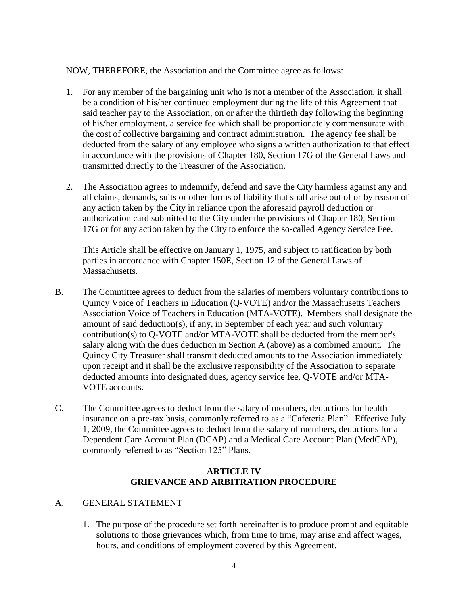NOW, THEREFORE, the Association and the Committee agree as follows:

- 1. For any member of the bargaining unit who is not a member of the Association, it shall be a condition of his/her continued employment during the life of this Agreement that said teacher pay to the Association, on or after the thirtieth day following the beginning of his/her employment, a service fee which shall be proportionately commensurate with the cost of collective bargaining and contract administration. The agency fee shall be deducted from the salary of any employee who signs a written authorization to that effect in accordance with the provisions of Chapter 180, Section 17G of the General Laws and transmitted directly to the Treasurer of the Association.
- 2. The Association agrees to indemnify, defend and save the City harmless against any and all claims, demands, suits or other forms of liability that shall arise out of or by reason of any action taken by the City in reliance upon the aforesaid payroll deduction or authorization card submitted to the City under the provisions of Chapter 180, Section 17G or for any action taken by the City to enforce the so-called Agency Service Fee.

This Article shall be effective on January 1, 1975, and subject to ratification by both parties in accordance with Chapter 150E, Section 12 of the General Laws of Massachusetts.

- B. The Committee agrees to deduct from the salaries of members voluntary contributions to Quincy Voice of Teachers in Education (Q-VOTE) and/or the Massachusetts Teachers Association Voice of Teachers in Education (MTA-VOTE). Members shall designate the amount of said deduction(s), if any, in September of each year and such voluntary contribution(s) to Q-VOTE and/or MTA-VOTE shall be deducted from the member's salary along with the dues deduction in Section A (above) as a combined amount. The Quincy City Treasurer shall transmit deducted amounts to the Association immediately upon receipt and it shall be the exclusive responsibility of the Association to separate deducted amounts into designated dues, agency service fee, Q-VOTE and/or MTA-VOTE accounts.
- C. The Committee agrees to deduct from the salary of members, deductions for health insurance on a pre-tax basis, commonly referred to as a "Cafeteria Plan". Effective July 1, 2009, the Committee agrees to deduct from the salary of members, deductions for a Dependent Care Account Plan (DCAP) and a Medical Care Account Plan (MedCAP), commonly referred to as "Section 125" Plans.

# **ARTICLE IV GRIEVANCE AND ARBITRATION PROCEDURE**

## A. GENERAL STATEMENT

1. The purpose of the procedure set forth hereinafter is to produce prompt and equitable solutions to those grievances which, from time to time, may arise and affect wages, hours, and conditions of employment covered by this Agreement.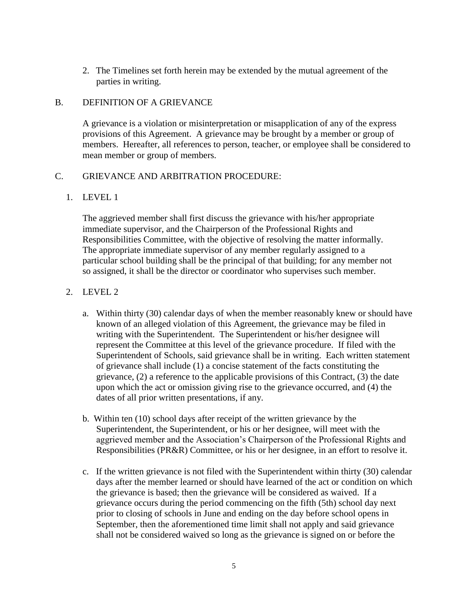2. The Timelines set forth herein may be extended by the mutual agreement of the parties in writing.

# B. DEFINITION OF A GRIEVANCE

A grievance is a violation or misinterpretation or misapplication of any of the express provisions of this Agreement. A grievance may be brought by a member or group of members. Hereafter, all references to person, teacher, or employee shall be considered to mean member or group of members.

# C. GRIEVANCE AND ARBITRATION PROCEDURE:

# 1. LEVEL 1

The aggrieved member shall first discuss the grievance with his/her appropriate immediate supervisor, and the Chairperson of the Professional Rights and Responsibilities Committee, with the objective of resolving the matter informally. The appropriate immediate supervisor of any member regularly assigned to a particular school building shall be the principal of that building; for any member not so assigned, it shall be the director or coordinator who supervises such member.

# 2. LEVEL 2

- a. Within thirty (30) calendar days of when the member reasonably knew or should have known of an alleged violation of this Agreement, the grievance may be filed in writing with the Superintendent. The Superintendent or his/her designee will represent the Committee at this level of the grievance procedure. If filed with the Superintendent of Schools, said grievance shall be in writing. Each written statement of grievance shall include (1) a concise statement of the facts constituting the grievance, (2) a reference to the applicable provisions of this Contract, (3) the date upon which the act or omission giving rise to the grievance occurred, and (4) the dates of all prior written presentations, if any.
- b. Within ten (10) school days after receipt of the written grievance by the Superintendent, the Superintendent, or his or her designee, will meet with the aggrieved member and the Association's Chairperson of the Professional Rights and Responsibilities (PR&R) Committee, or his or her designee, in an effort to resolve it.
- c. If the written grievance is not filed with the Superintendent within thirty (30) calendar days after the member learned or should have learned of the act or condition on which the grievance is based; then the grievance will be considered as waived. If a grievance occurs during the period commencing on the fifth (5th) school day next prior to closing of schools in June and ending on the day before school opens in September, then the aforementioned time limit shall not apply and said grievance shall not be considered waived so long as the grievance is signed on or before the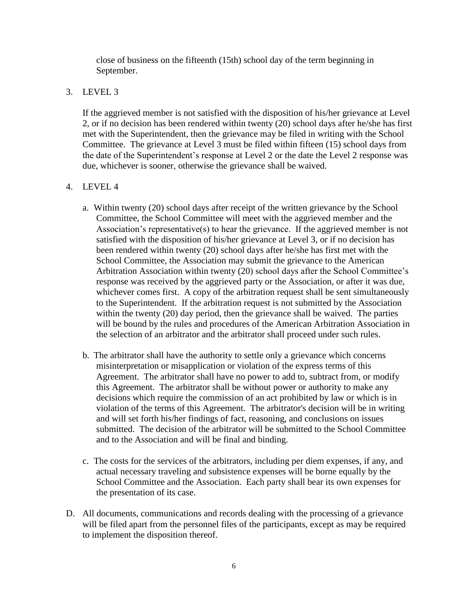close of business on the fifteenth (15th) school day of the term beginning in September.

# 3. LEVEL 3

If the aggrieved member is not satisfied with the disposition of his/her grievance at Level 2, or if no decision has been rendered within twenty (20) school days after he/she has first met with the Superintendent, then the grievance may be filed in writing with the School Committee. The grievance at Level 3 must be filed within fifteen (15) school days from the date of the Superintendent's response at Level 2 or the date the Level 2 response was due, whichever is sooner, otherwise the grievance shall be waived.

# 4. LEVEL 4

- a. Within twenty (20) school days after receipt of the written grievance by the School Committee, the School Committee will meet with the aggrieved member and the Association's representative(s) to hear the grievance. If the aggrieved member is not satisfied with the disposition of his/her grievance at Level 3, or if no decision has been rendered within twenty (20) school days after he/she has first met with the School Committee, the Association may submit the grievance to the American Arbitration Association within twenty (20) school days after the School Committee's response was received by the aggrieved party or the Association, or after it was due, whichever comes first. A copy of the arbitration request shall be sent simultaneously to the Superintendent. If the arbitration request is not submitted by the Association within the twenty (20) day period, then the grievance shall be waived. The parties will be bound by the rules and procedures of the American Arbitration Association in the selection of an arbitrator and the arbitrator shall proceed under such rules.
- b. The arbitrator shall have the authority to settle only a grievance which concerns misinterpretation or misapplication or violation of the express terms of this Agreement. The arbitrator shall have no power to add to, subtract from, or modify this Agreement. The arbitrator shall be without power or authority to make any decisions which require the commission of an act prohibited by law or which is in violation of the terms of this Agreement. The arbitrator's decision will be in writing and will set forth his/her findings of fact, reasoning, and conclusions on issues submitted. The decision of the arbitrator will be submitted to the School Committee and to the Association and will be final and binding.
- c. The costs for the services of the arbitrators, including per diem expenses, if any, and actual necessary traveling and subsistence expenses will be borne equally by the School Committee and the Association. Each party shall bear its own expenses for the presentation of its case.
- D. All documents, communications and records dealing with the processing of a grievance will be filed apart from the personnel files of the participants, except as may be required to implement the disposition thereof.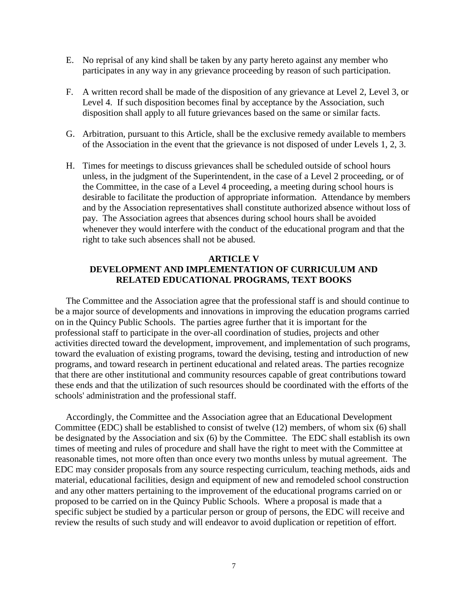- E. No reprisal of any kind shall be taken by any party hereto against any member who participates in any way in any grievance proceeding by reason of such participation.
- F. A written record shall be made of the disposition of any grievance at Level 2, Level 3, or Level 4. If such disposition becomes final by acceptance by the Association, such disposition shall apply to all future grievances based on the same or similar facts.
- G. Arbitration, pursuant to this Article, shall be the exclusive remedy available to members of the Association in the event that the grievance is not disposed of under Levels 1, 2, 3.
- H. Times for meetings to discuss grievances shall be scheduled outside of school hours unless, in the judgment of the Superintendent, in the case of a Level 2 proceeding, or of the Committee, in the case of a Level 4 proceeding, a meeting during school hours is desirable to facilitate the production of appropriate information. Attendance by members and by the Association representatives shall constitute authorized absence without loss of pay. The Association agrees that absences during school hours shall be avoided whenever they would interfere with the conduct of the educational program and that the right to take such absences shall not be abused.

## **ARTICLE V DEVELOPMENT AND IMPLEMENTATION OF CURRICULUM AND RELATED EDUCATIONAL PROGRAMS, TEXT BOOKS**

The Committee and the Association agree that the professional staff is and should continue to be a major source of developments and innovations in improving the education programs carried on in the Quincy Public Schools. The parties agree further that it is important for the professional staff to participate in the over-all coordination of studies, projects and other activities directed toward the development, improvement, and implementation of such programs, toward the evaluation of existing programs, toward the devising, testing and introduction of new programs, and toward research in pertinent educational and related areas. The parties recognize that there are other institutional and community resources capable of great contributions toward these ends and that the utilization of such resources should be coordinated with the efforts of the schools' administration and the professional staff.

Accordingly, the Committee and the Association agree that an Educational Development Committee (EDC) shall be established to consist of twelve (12) members, of whom six (6) shall be designated by the Association and six (6) by the Committee. The EDC shall establish its own times of meeting and rules of procedure and shall have the right to meet with the Committee at reasonable times, not more often than once every two months unless by mutual agreement. The EDC may consider proposals from any source respecting curriculum, teaching methods, aids and material, educational facilities, design and equipment of new and remodeled school construction and any other matters pertaining to the improvement of the educational programs carried on or proposed to be carried on in the Quincy Public Schools. Where a proposal is made that a specific subject be studied by a particular person or group of persons, the EDC will receive and review the results of such study and will endeavor to avoid duplication or repetition of effort.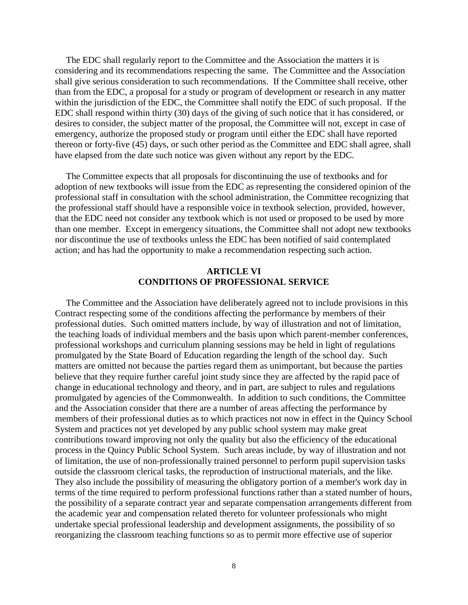The EDC shall regularly report to the Committee and the Association the matters it is considering and its recommendations respecting the same. The Committee and the Association shall give serious consideration to such recommendations. If the Committee shall receive, other than from the EDC, a proposal for a study or program of development or research in any matter within the jurisdiction of the EDC, the Committee shall notify the EDC of such proposal. If the EDC shall respond within thirty (30) days of the giving of such notice that it has considered, or desires to consider, the subject matter of the proposal, the Committee will not, except in case of emergency, authorize the proposed study or program until either the EDC shall have reported thereon or forty-five (45) days, or such other period as the Committee and EDC shall agree, shall have elapsed from the date such notice was given without any report by the EDC.

The Committee expects that all proposals for discontinuing the use of textbooks and for adoption of new textbooks will issue from the EDC as representing the considered opinion of the professional staff in consultation with the school administration, the Committee recognizing that the professional staff should have a responsible voice in textbook selection, provided, however, that the EDC need not consider any textbook which is not used or proposed to be used by more than one member. Except in emergency situations, the Committee shall not adopt new textbooks nor discontinue the use of textbooks unless the EDC has been notified of said contemplated action; and has had the opportunity to make a recommendation respecting such action.

#### **ARTICLE VI CONDITIONS OF PROFESSIONAL SERVICE**

The Committee and the Association have deliberately agreed not to include provisions in this Contract respecting some of the conditions affecting the performance by members of their professional duties. Such omitted matters include, by way of illustration and not of limitation, the teaching loads of individual members and the basis upon which parent-member conferences, professional workshops and curriculum planning sessions may be held in light of regulations promulgated by the State Board of Education regarding the length of the school day. Such matters are omitted not because the parties regard them as unimportant, but because the parties believe that they require further careful joint study since they are affected by the rapid pace of change in educational technology and theory, and in part, are subject to rules and regulations promulgated by agencies of the Commonwealth. In addition to such conditions, the Committee and the Association consider that there are a number of areas affecting the performance by members of their professional duties as to which practices not now in effect in the Quincy School System and practices not yet developed by any public school system may make great contributions toward improving not only the quality but also the efficiency of the educational process in the Quincy Public School System. Such areas include, by way of illustration and not of limitation, the use of non-professionally trained personnel to perform pupil supervision tasks outside the classroom clerical tasks, the reproduction of instructional materials, and the like. They also include the possibility of measuring the obligatory portion of a member's work day in terms of the time required to perform professional functions rather than a stated number of hours, the possibility of a separate contract year and separate compensation arrangements different from the academic year and compensation related thereto for volunteer professionals who might undertake special professional leadership and development assignments, the possibility of so reorganizing the classroom teaching functions so as to permit more effective use of superior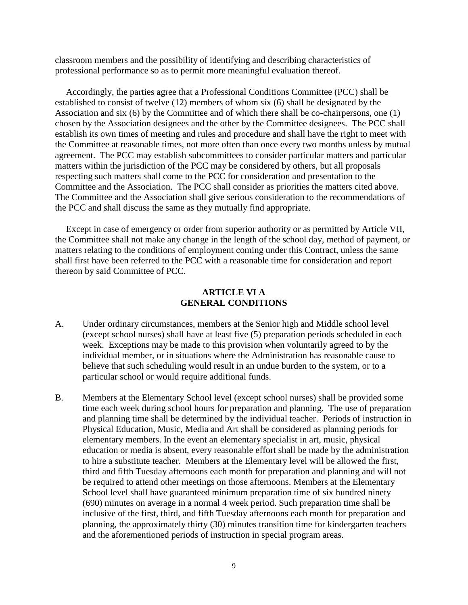classroom members and the possibility of identifying and describing characteristics of professional performance so as to permit more meaningful evaluation thereof.

Accordingly, the parties agree that a Professional Conditions Committee (PCC) shall be established to consist of twelve (12) members of whom six (6) shall be designated by the Association and six (6) by the Committee and of which there shall be co-chairpersons, one (1) chosen by the Association designees and the other by the Committee designees. The PCC shall establish its own times of meeting and rules and procedure and shall have the right to meet with the Committee at reasonable times, not more often than once every two months unless by mutual agreement. The PCC may establish subcommittees to consider particular matters and particular matters within the jurisdiction of the PCC may be considered by others, but all proposals respecting such matters shall come to the PCC for consideration and presentation to the Committee and the Association. The PCC shall consider as priorities the matters cited above. The Committee and the Association shall give serious consideration to the recommendations of the PCC and shall discuss the same as they mutually find appropriate.

Except in case of emergency or order from superior authority or as permitted by Article VII, the Committee shall not make any change in the length of the school day, method of payment, or matters relating to the conditions of employment coming under this Contract, unless the same shall first have been referred to the PCC with a reasonable time for consideration and report thereon by said Committee of PCC.

#### **ARTICLE VI A GENERAL CONDITIONS**

- A. Under ordinary circumstances, members at the Senior high and Middle school level (except school nurses) shall have at least five (5) preparation periods scheduled in each week. Exceptions may be made to this provision when voluntarily agreed to by the individual member, or in situations where the Administration has reasonable cause to believe that such scheduling would result in an undue burden to the system, or to a particular school or would require additional funds.
- B. Members at the Elementary School level (except school nurses) shall be provided some time each week during school hours for preparation and planning. The use of preparation and planning time shall be determined by the individual teacher. Periods of instruction in Physical Education, Music, Media and Art shall be considered as planning periods for elementary members. In the event an elementary specialist in art, music, physical education or media is absent, every reasonable effort shall be made by the administration to hire a substitute teacher. Members at the Elementary level will be allowed the first, third and fifth Tuesday afternoons each month for preparation and planning and will not be required to attend other meetings on those afternoons. Members at the Elementary School level shall have guaranteed minimum preparation time of six hundred ninety (690) minutes on average in a normal 4 week period. Such preparation time shall be inclusive of the first, third, and fifth Tuesday afternoons each month for preparation and planning, the approximately thirty (30) minutes transition time for kindergarten teachers and the aforementioned periods of instruction in special program areas.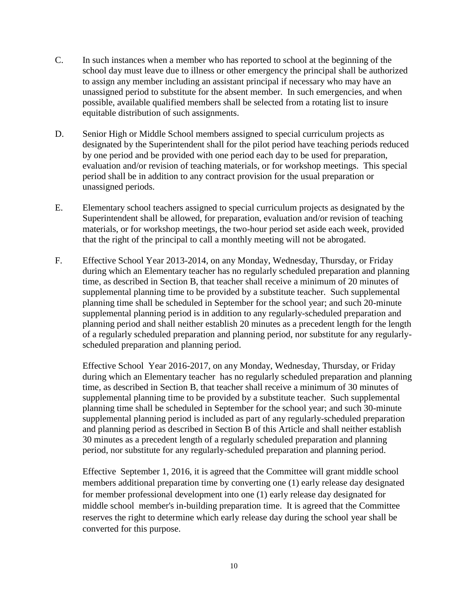- C. In such instances when a member who has reported to school at the beginning of the school day must leave due to illness or other emergency the principal shall be authorized to assign any member including an assistant principal if necessary who may have an unassigned period to substitute for the absent member. In such emergencies, and when possible, available qualified members shall be selected from a rotating list to insure equitable distribution of such assignments.
- D. Senior High or Middle School members assigned to special curriculum projects as designated by the Superintendent shall for the pilot period have teaching periods reduced by one period and be provided with one period each day to be used for preparation, evaluation and/or revision of teaching materials, or for workshop meetings. This special period shall be in addition to any contract provision for the usual preparation or unassigned periods.
- E. Elementary school teachers assigned to special curriculum projects as designated by the Superintendent shall be allowed, for preparation, evaluation and/or revision of teaching materials, or for workshop meetings, the two-hour period set aside each week, provided that the right of the principal to call a monthly meeting will not be abrogated.
- F. Effective School Year 2013-2014, on any Monday, Wednesday, Thursday, or Friday during which an Elementary teacher has no regularly scheduled preparation and planning time, as described in Section B, that teacher shall receive a minimum of 20 minutes of supplemental planning time to be provided by a substitute teacher. Such supplemental planning time shall be scheduled in September for the school year; and such 20-minute supplemental planning period is in addition to any regularly-scheduled preparation and planning period and shall neither establish 20 minutes as a precedent length for the length of a regularly scheduled preparation and planning period, nor substitute for any regularlyscheduled preparation and planning period.

Effective School Year 2016-2017, on any Monday, Wednesday, Thursday, or Friday during which an Elementary teacher has no regularly scheduled preparation and planning time, as described in Section B, that teacher shall receive a minimum of 30 minutes of supplemental planning time to be provided by a substitute teacher. Such supplemental planning time shall be scheduled in September for the school year; and such 30-minute supplemental planning period is included as part of any regularly-scheduled preparation and planning period as described in Section B of this Article and shall neither establish 30 minutes as a precedent length of a regularly scheduled preparation and planning period, nor substitute for any regularly-scheduled preparation and planning period.

Effective September 1, 2016, it is agreed that the Committee will grant middle school members additional preparation time by converting one (1) early release day designated for member professional development into one (1) early release day designated for middle school member's in-building preparation time. It is agreed that the Committee reserves the right to determine which early release day during the school year shall be converted for this purpose.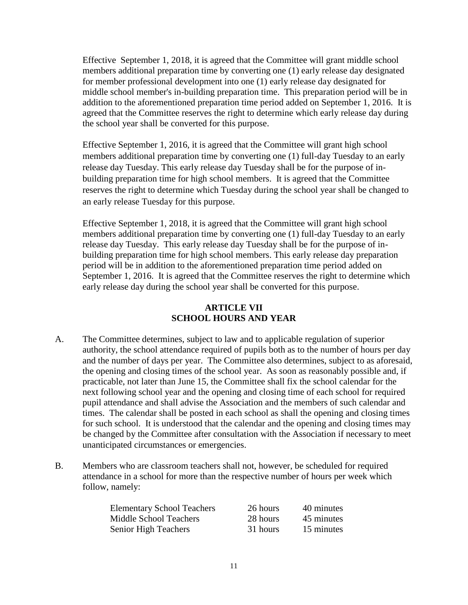Effective September 1, 2018, it is agreed that the Committee will grant middle school members additional preparation time by converting one (1) early release day designated for member professional development into one (1) early release day designated for middle school member's in-building preparation time. This preparation period will be in addition to the aforementioned preparation time period added on September 1, 2016. It is agreed that the Committee reserves the right to determine which early release day during the school year shall be converted for this purpose.

Effective September 1, 2016, it is agreed that the Committee will grant high school members additional preparation time by converting one (1) full-day Tuesday to an early release day Tuesday. This early release day Tuesday shall be for the purpose of inbuilding preparation time for high school members. It is agreed that the Committee reserves the right to determine which Tuesday during the school year shall be changed to an early release Tuesday for this purpose.

Effective September 1, 2018, it is agreed that the Committee will grant high school members additional preparation time by converting one (1) full-day Tuesday to an early release day Tuesday. This early release day Tuesday shall be for the purpose of inbuilding preparation time for high school members. This early release day preparation period will be in addition to the aforementioned preparation time period added on September 1, 2016. It is agreed that the Committee reserves the right to determine which early release day during the school year shall be converted for this purpose.

# **ARTICLE VII SCHOOL HOURS AND YEAR**

- A. The Committee determines, subject to law and to applicable regulation of superior authority, the school attendance required of pupils both as to the number of hours per day and the number of days per year. The Committee also determines, subject to as aforesaid, the opening and closing times of the school year. As soon as reasonably possible and, if practicable, not later than June 15, the Committee shall fix the school calendar for the next following school year and the opening and closing time of each school for required pupil attendance and shall advise the Association and the members of such calendar and times. The calendar shall be posted in each school as shall the opening and closing times for such school. It is understood that the calendar and the opening and closing times may be changed by the Committee after consultation with the Association if necessary to meet unanticipated circumstances or emergencies.
- B. Members who are classroom teachers shall not, however, be scheduled for required attendance in a school for more than the respective number of hours per week which follow, namely:

| <b>Elementary School Teachers</b> | 26 hours | 40 minutes |
|-----------------------------------|----------|------------|
| <b>Middle School Teachers</b>     | 28 hours | 45 minutes |
| Senior High Teachers              | 31 hours | 15 minutes |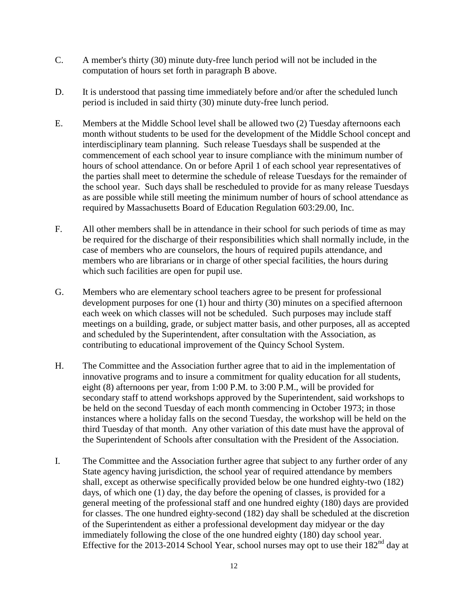- C. A member's thirty (30) minute duty-free lunch period will not be included in the computation of hours set forth in paragraph B above.
- D. It is understood that passing time immediately before and/or after the scheduled lunch period is included in said thirty (30) minute duty-free lunch period.
- E. Members at the Middle School level shall be allowed two (2) Tuesday afternoons each month without students to be used for the development of the Middle School concept and interdisciplinary team planning. Such release Tuesdays shall be suspended at the commencement of each school year to insure compliance with the minimum number of hours of school attendance. On or before April 1 of each school year representatives of the parties shall meet to determine the schedule of release Tuesdays for the remainder of the school year. Such days shall be rescheduled to provide for as many release Tuesdays as are possible while still meeting the minimum number of hours of school attendance as required by Massachusetts Board of Education Regulation 603:29.00, Inc.
- F. All other members shall be in attendance in their school for such periods of time as may be required for the discharge of their responsibilities which shall normally include, in the case of members who are counselors, the hours of required pupils attendance, and members who are librarians or in charge of other special facilities, the hours during which such facilities are open for pupil use.
- G. Members who are elementary school teachers agree to be present for professional development purposes for one (1) hour and thirty (30) minutes on a specified afternoon each week on which classes will not be scheduled. Such purposes may include staff meetings on a building, grade, or subject matter basis, and other purposes, all as accepted and scheduled by the Superintendent, after consultation with the Association, as contributing to educational improvement of the Quincy School System.
- H. The Committee and the Association further agree that to aid in the implementation of innovative programs and to insure a commitment for quality education for all students, eight (8) afternoons per year, from 1:00 P.M. to 3:00 P.M., will be provided for secondary staff to attend workshops approved by the Superintendent, said workshops to be held on the second Tuesday of each month commencing in October 1973; in those instances where a holiday falls on the second Tuesday, the workshop will be held on the third Tuesday of that month. Any other variation of this date must have the approval of the Superintendent of Schools after consultation with the President of the Association.
- I. The Committee and the Association further agree that subject to any further order of any State agency having jurisdiction, the school year of required attendance by members shall, except as otherwise specifically provided below be one hundred eighty-two (182) days, of which one (1) day, the day before the opening of classes, is provided for a general meeting of the professional staff and one hundred eighty (180) days are provided for classes. The one hundred eighty-second (182) day shall be scheduled at the discretion of the Superintendent as either a professional development day midyear or the day immediately following the close of the one hundred eighty (180) day school year. Effective for the 2013-2014 School Year, school nurses may opt to use their  $182<sup>nd</sup>$  day at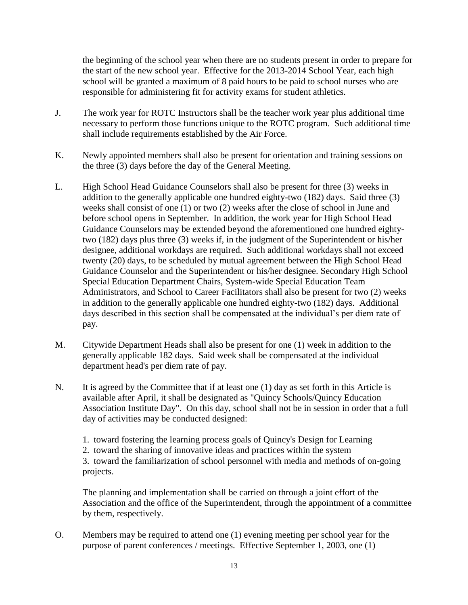the beginning of the school year when there are no students present in order to prepare for the start of the new school year. Effective for the 2013-2014 School Year, each high school will be granted a maximum of 8 paid hours to be paid to school nurses who are responsible for administering fit for activity exams for student athletics.

- J. The work year for ROTC Instructors shall be the teacher work year plus additional time necessary to perform those functions unique to the ROTC program. Such additional time shall include requirements established by the Air Force.
- K. Newly appointed members shall also be present for orientation and training sessions on the three (3) days before the day of the General Meeting.
- L. High School Head Guidance Counselors shall also be present for three (3) weeks in addition to the generally applicable one hundred eighty-two (182) days. Said three (3) weeks shall consist of one (1) or two (2) weeks after the close of school in June and before school opens in September. In addition, the work year for High School Head Guidance Counselors may be extended beyond the aforementioned one hundred eightytwo (182) days plus three (3) weeks if, in the judgment of the Superintendent or his/her designee, additional workdays are required. Such additional workdays shall not exceed twenty (20) days, to be scheduled by mutual agreement between the High School Head Guidance Counselor and the Superintendent or his/her designee. Secondary High School Special Education Department Chairs, System-wide Special Education Team Administrators, and School to Career Facilitators shall also be present for two (2) weeks in addition to the generally applicable one hundred eighty-two (182) days. Additional days described in this section shall be compensated at the individual's per diem rate of pay.
- M. Citywide Department Heads shall also be present for one (1) week in addition to the generally applicable 182 days. Said week shall be compensated at the individual department head's per diem rate of pay.
- N. It is agreed by the Committee that if at least one (1) day as set forth in this Article is available after April, it shall be designated as "Quincy Schools/Quincy Education Association Institute Day". On this day, school shall not be in session in order that a full day of activities may be conducted designed:
	- 1. toward fostering the learning process goals of Quincy's Design for Learning
	- 2. toward the sharing of innovative ideas and practices within the system

3. toward the familiarization of school personnel with media and methods of on-going projects.

The planning and implementation shall be carried on through a joint effort of the Association and the office of the Superintendent, through the appointment of a committee by them, respectively.

O. Members may be required to attend one (1) evening meeting per school year for the purpose of parent conferences / meetings. Effective September 1, 2003, one (1)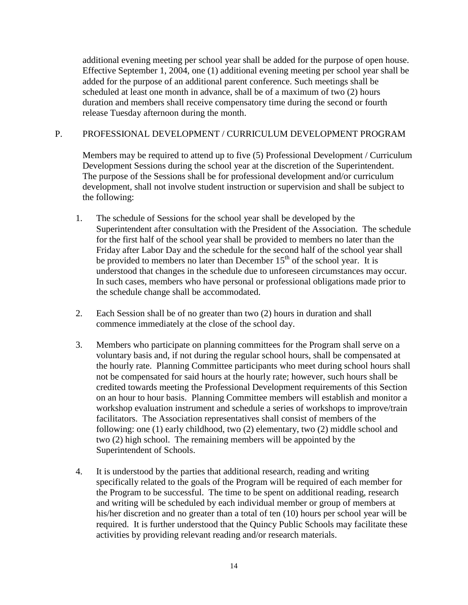additional evening meeting per school year shall be added for the purpose of open house. Effective September 1, 2004, one (1) additional evening meeting per school year shall be added for the purpose of an additional parent conference. Such meetings shall be scheduled at least one month in advance, shall be of a maximum of two (2) hours duration and members shall receive compensatory time during the second or fourth release Tuesday afternoon during the month.

# P. PROFESSIONAL DEVELOPMENT / CURRICULUM DEVELOPMENT PROGRAM

Members may be required to attend up to five (5) Professional Development / Curriculum Development Sessions during the school year at the discretion of the Superintendent. The purpose of the Sessions shall be for professional development and/or curriculum development, shall not involve student instruction or supervision and shall be subject to the following:

- 1. The schedule of Sessions for the school year shall be developed by the Superintendent after consultation with the President of the Association. The schedule for the first half of the school year shall be provided to members no later than the Friday after Labor Day and the schedule for the second half of the school year shall be provided to members no later than December  $15<sup>th</sup>$  of the school year. It is understood that changes in the schedule due to unforeseen circumstances may occur. In such cases, members who have personal or professional obligations made prior to the schedule change shall be accommodated.
- 2. Each Session shall be of no greater than two (2) hours in duration and shall commence immediately at the close of the school day.
- 3. Members who participate on planning committees for the Program shall serve on a voluntary basis and, if not during the regular school hours, shall be compensated at the hourly rate. Planning Committee participants who meet during school hours shall not be compensated for said hours at the hourly rate; however, such hours shall be credited towards meeting the Professional Development requirements of this Section on an hour to hour basis. Planning Committee members will establish and monitor a workshop evaluation instrument and schedule a series of workshops to improve/train facilitators. The Association representatives shall consist of members of the following: one (1) early childhood, two (2) elementary, two (2) middle school and two (2) high school. The remaining members will be appointed by the Superintendent of Schools.
- 4. It is understood by the parties that additional research, reading and writing specifically related to the goals of the Program will be required of each member for the Program to be successful. The time to be spent on additional reading, research and writing will be scheduled by each individual member or group of members at his/her discretion and no greater than a total of ten (10) hours per school year will be required. It is further understood that the Quincy Public Schools may facilitate these activities by providing relevant reading and/or research materials.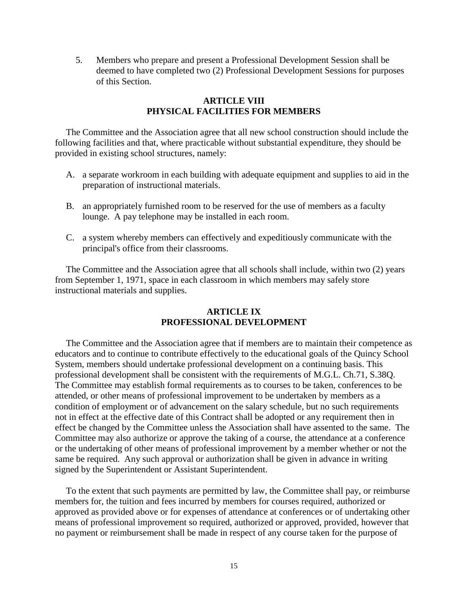5. Members who prepare and present a Professional Development Session shall be deemed to have completed two (2) Professional Development Sessions for purposes of this Section.

# **ARTICLE VIII PHYSICAL FACILITIES FOR MEMBERS**

The Committee and the Association agree that all new school construction should include the following facilities and that, where practicable without substantial expenditure, they should be provided in existing school structures, namely:

- A. a separate workroom in each building with adequate equipment and supplies to aid in the preparation of instructional materials.
- B. an appropriately furnished room to be reserved for the use of members as a faculty lounge. A pay telephone may be installed in each room.
- C. a system whereby members can effectively and expeditiously communicate with the principal's office from their classrooms.

The Committee and the Association agree that all schools shall include, within two (2) years from September 1, 1971, space in each classroom in which members may safely store instructional materials and supplies.

# **ARTICLE IX PROFESSIONAL DEVELOPMENT**

The Committee and the Association agree that if members are to maintain their competence as educators and to continue to contribute effectively to the educational goals of the Quincy School System, members should undertake professional development on a continuing basis. This professional development shall be consistent with the requirements of M.G.L. Ch.71, S.38Q. The Committee may establish formal requirements as to courses to be taken, conferences to be attended, or other means of professional improvement to be undertaken by members as a condition of employment or of advancement on the salary schedule, but no such requirements not in effect at the effective date of this Contract shall be adopted or any requirement then in effect be changed by the Committee unless the Association shall have assented to the same. The Committee may also authorize or approve the taking of a course, the attendance at a conference or the undertaking of other means of professional improvement by a member whether or not the same be required. Any such approval or authorization shall be given in advance in writing signed by the Superintendent or Assistant Superintendent.

To the extent that such payments are permitted by law, the Committee shall pay, or reimburse members for, the tuition and fees incurred by members for courses required, authorized or approved as provided above or for expenses of attendance at conferences or of undertaking other means of professional improvement so required, authorized or approved, provided, however that no payment or reimbursement shall be made in respect of any course taken for the purpose of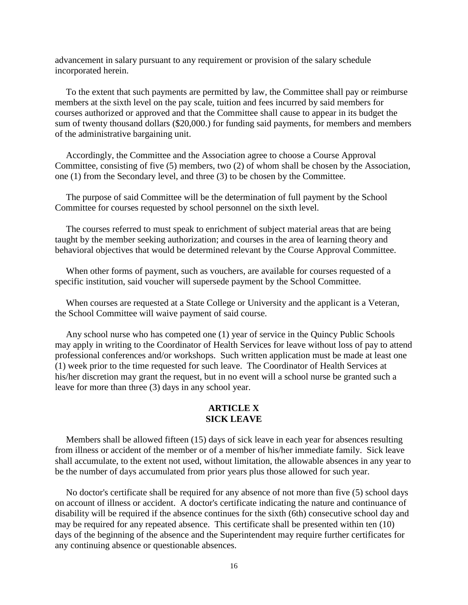advancement in salary pursuant to any requirement or provision of the salary schedule incorporated herein.

To the extent that such payments are permitted by law, the Committee shall pay or reimburse members at the sixth level on the pay scale, tuition and fees incurred by said members for courses authorized or approved and that the Committee shall cause to appear in its budget the sum of twenty thousand dollars (\$20,000.) for funding said payments, for members and members of the administrative bargaining unit.

Accordingly, the Committee and the Association agree to choose a Course Approval Committee, consisting of five (5) members, two (2) of whom shall be chosen by the Association, one (1) from the Secondary level, and three (3) to be chosen by the Committee.

The purpose of said Committee will be the determination of full payment by the School Committee for courses requested by school personnel on the sixth level.

The courses referred to must speak to enrichment of subject material areas that are being taught by the member seeking authorization; and courses in the area of learning theory and behavioral objectives that would be determined relevant by the Course Approval Committee.

When other forms of payment, such as vouchers, are available for courses requested of a specific institution, said voucher will supersede payment by the School Committee.

When courses are requested at a State College or University and the applicant is a Veteran, the School Committee will waive payment of said course.

Any school nurse who has competed one (1) year of service in the Quincy Public Schools may apply in writing to the Coordinator of Health Services for leave without loss of pay to attend professional conferences and/or workshops. Such written application must be made at least one (1) week prior to the time requested for such leave. The Coordinator of Health Services at his/her discretion may grant the request, but in no event will a school nurse be granted such a leave for more than three (3) days in any school year.

#### **ARTICLE X SICK LEAVE**

Members shall be allowed fifteen (15) days of sick leave in each year for absences resulting from illness or accident of the member or of a member of his/her immediate family. Sick leave shall accumulate, to the extent not used, without limitation, the allowable absences in any year to be the number of days accumulated from prior years plus those allowed for such year.

No doctor's certificate shall be required for any absence of not more than five (5) school days on account of illness or accident. A doctor's certificate indicating the nature and continuance of disability will be required if the absence continues for the sixth (6th) consecutive school day and may be required for any repeated absence. This certificate shall be presented within ten (10) days of the beginning of the absence and the Superintendent may require further certificates for any continuing absence or questionable absences.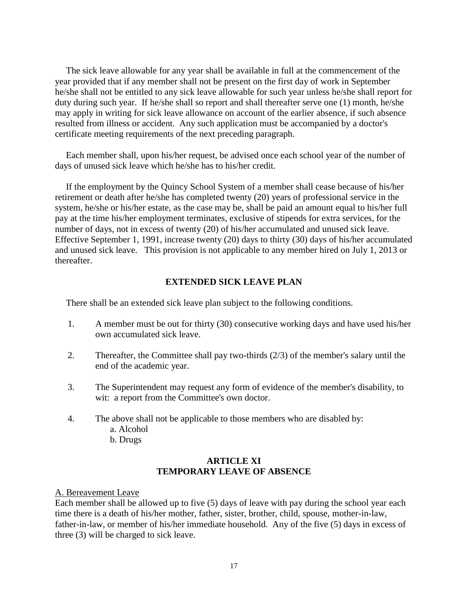The sick leave allowable for any year shall be available in full at the commencement of the year provided that if any member shall not be present on the first day of work in September he/she shall not be entitled to any sick leave allowable for such year unless he/she shall report for duty during such year. If he/she shall so report and shall thereafter serve one (1) month, he/she may apply in writing for sick leave allowance on account of the earlier absence, if such absence resulted from illness or accident. Any such application must be accompanied by a doctor's certificate meeting requirements of the next preceding paragraph.

Each member shall, upon his/her request, be advised once each school year of the number of days of unused sick leave which he/she has to his/her credit.

If the employment by the Quincy School System of a member shall cease because of his/her retirement or death after he/she has completed twenty (20) years of professional service in the system, he/she or his/her estate, as the case may be, shall be paid an amount equal to his/her full pay at the time his/her employment terminates, exclusive of stipends for extra services, for the number of days, not in excess of twenty (20) of his/her accumulated and unused sick leave. Effective September 1, 1991, increase twenty (20) days to thirty (30) days of his/her accumulated and unused sick leave. This provision is not applicable to any member hired on July 1, 2013 or thereafter.

## **EXTENDED SICK LEAVE PLAN**

There shall be an extended sick leave plan subject to the following conditions.

- 1. A member must be out for thirty (30) consecutive working days and have used his/her own accumulated sick leave.
- 2. Thereafter, the Committee shall pay two-thirds (2/3) of the member's salary until the end of the academic year.
- 3. The Superintendent may request any form of evidence of the member's disability, to wit: a report from the Committee's own doctor.
- 4. The above shall not be applicable to those members who are disabled by:
	- a. Alcohol
	- b. Drugs

## **ARTICLE XI TEMPORARY LEAVE OF ABSENCE**

A. Bereavement Leave

Each member shall be allowed up to five (5) days of leave with pay during the school year each time there is a death of his/her mother, father, sister, brother, child, spouse, mother-in-law, father-in-law, or member of his/her immediate household. Any of the five (5) days in excess of three (3) will be charged to sick leave.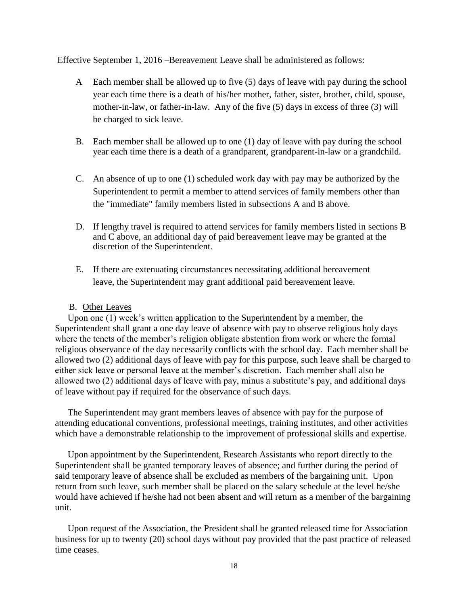Effective September 1, 2016 –Bereavement Leave shall be administered as follows:

- A Each member shall be allowed up to five (5) days of leave with pay during the school year each time there is a death of his/her mother, father, sister, brother, child, spouse, mother-in-law, or father-in-law. Any of the five (5) days in excess of three (3) will be charged to sick leave.
- B. Each member shall be allowed up to one (1) day of leave with pay during the school year each time there is a death of a grandparent, grandparent-in-law or a grandchild.
- C. An absence of up to one (1) scheduled work day with pay may be authorized by the Superintendent to permit a member to attend services of family members other than the "immediate" family members listed in subsections A and B above.
- D. If lengthy travel is required to attend services for family members listed in sections B and C above, an additional day of paid bereavement leave may be granted at the discretion of the Superintendent.
- E. If there are extenuating circumstances necessitating additional bereavement leave, the Superintendent may grant additional paid bereavement leave.

## B. Other Leaves

Upon one (1) week's written application to the Superintendent by a member, the Superintendent shall grant a one day leave of absence with pay to observe religious holy days where the tenets of the member's religion obligate abstention from work or where the formal religious observance of the day necessarily conflicts with the school day. Each member shall be allowed two (2) additional days of leave with pay for this purpose, such leave shall be charged to either sick leave or personal leave at the member's discretion. Each member shall also be allowed two (2) additional days of leave with pay, minus a substitute's pay, and additional days of leave without pay if required for the observance of such days.

The Superintendent may grant members leaves of absence with pay for the purpose of attending educational conventions, professional meetings, training institutes, and other activities which have a demonstrable relationship to the improvement of professional skills and expertise.

Upon appointment by the Superintendent, Research Assistants who report directly to the Superintendent shall be granted temporary leaves of absence; and further during the period of said temporary leave of absence shall be excluded as members of the bargaining unit. Upon return from such leave, such member shall be placed on the salary schedule at the level he/she would have achieved if he/she had not been absent and will return as a member of the bargaining unit.

Upon request of the Association, the President shall be granted released time for Association business for up to twenty (20) school days without pay provided that the past practice of released time ceases.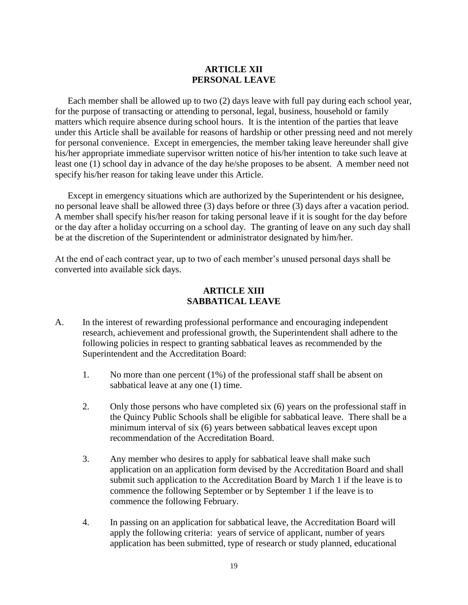# **ARTICLE XII PERSONAL LEAVE**

Each member shall be allowed up to two (2) days leave with full pay during each school year, for the purpose of transacting or attending to personal, legal, business, household or family matters which require absence during school hours. It is the intention of the parties that leave under this Article shall be available for reasons of hardship or other pressing need and not merely for personal convenience. Except in emergencies, the member taking leave hereunder shall give his/her appropriate immediate supervisor written notice of his/her intention to take such leave at least one (1) school day in advance of the day he/she proposes to be absent. A member need not specify his/her reason for taking leave under this Article.

Except in emergency situations which are authorized by the Superintendent or his designee, no personal leave shall be allowed three (3) days before or three (3) days after a vacation period. A member shall specify his/her reason for taking personal leave if it is sought for the day before or the day after a holiday occurring on a school day. The granting of leave on any such day shall be at the discretion of the Superintendent or administrator designated by him/her.

At the end of each contract year, up to two of each member's unused personal days shall be converted into available sick days.

#### **ARTICLE XIII SABBATICAL LEAVE**

- A. In the interest of rewarding professional performance and encouraging independent research, achievement and professional growth, the Superintendent shall adhere to the following policies in respect to granting sabbatical leaves as recommended by the Superintendent and the Accreditation Board:
	- 1. No more than one percent (1%) of the professional staff shall be absent on sabbatical leave at any one (1) time.
	- 2. Only those persons who have completed six (6) years on the professional staff in the Quincy Public Schools shall be eligible for sabbatical leave. There shall be a minimum interval of six (6) years between sabbatical leaves except upon recommendation of the Accreditation Board.
	- 3. Any member who desires to apply for sabbatical leave shall make such application on an application form devised by the Accreditation Board and shall submit such application to the Accreditation Board by March 1 if the leave is to commence the following September or by September 1 if the leave is to commence the following February.
	- 4. In passing on an application for sabbatical leave, the Accreditation Board will apply the following criteria: years of service of applicant, number of years application has been submitted, type of research or study planned, educational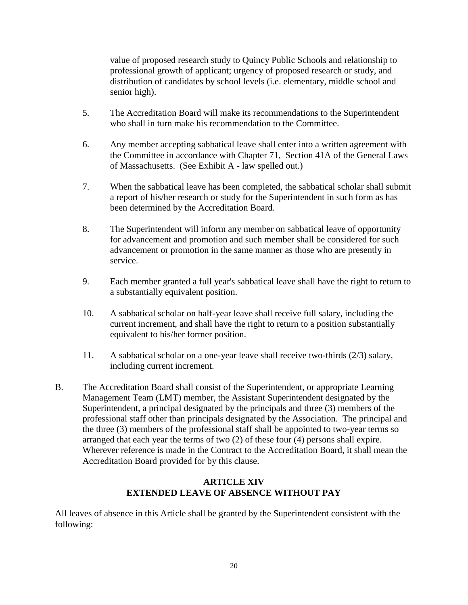value of proposed research study to Quincy Public Schools and relationship to professional growth of applicant; urgency of proposed research or study, and distribution of candidates by school levels (i.e. elementary, middle school and senior high).

- 5. The Accreditation Board will make its recommendations to the Superintendent who shall in turn make his recommendation to the Committee.
- 6. Any member accepting sabbatical leave shall enter into a written agreement with the Committee in accordance with Chapter 71, Section 41A of the General Laws of Massachusetts. (See Exhibit A - law spelled out.)
- 7. When the sabbatical leave has been completed, the sabbatical scholar shall submit a report of his/her research or study for the Superintendent in such form as has been determined by the Accreditation Board.
- 8. The Superintendent will inform any member on sabbatical leave of opportunity for advancement and promotion and such member shall be considered for such advancement or promotion in the same manner as those who are presently in service.
- 9. Each member granted a full year's sabbatical leave shall have the right to return to a substantially equivalent position.
- 10. A sabbatical scholar on half-year leave shall receive full salary, including the current increment, and shall have the right to return to a position substantially equivalent to his/her former position.
- 11. A sabbatical scholar on a one-year leave shall receive two-thirds (2/3) salary, including current increment.
- B. The Accreditation Board shall consist of the Superintendent, or appropriate Learning Management Team (LMT) member, the Assistant Superintendent designated by the Superintendent, a principal designated by the principals and three (3) members of the professional staff other than principals designated by the Association. The principal and the three (3) members of the professional staff shall be appointed to two-year terms so arranged that each year the terms of two (2) of these four (4) persons shall expire. Wherever reference is made in the Contract to the Accreditation Board, it shall mean the Accreditation Board provided for by this clause.

# **ARTICLE XIV EXTENDED LEAVE OF ABSENCE WITHOUT PAY**

All leaves of absence in this Article shall be granted by the Superintendent consistent with the following: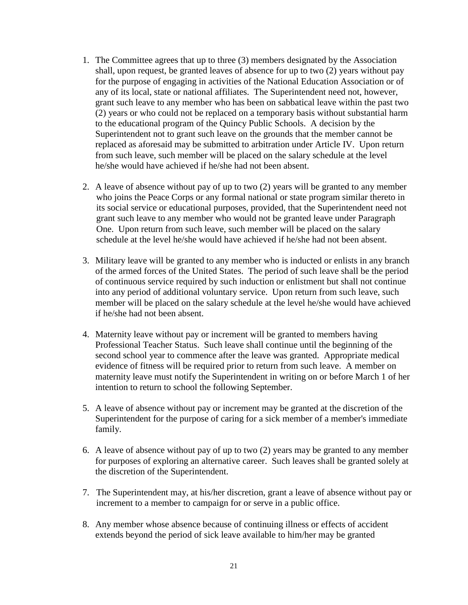- 1. The Committee agrees that up to three (3) members designated by the Association shall, upon request, be granted leaves of absence for up to two (2) years without pay for the purpose of engaging in activities of the National Education Association or of any of its local, state or national affiliates. The Superintendent need not, however, grant such leave to any member who has been on sabbatical leave within the past two (2) years or who could not be replaced on a temporary basis without substantial harm to the educational program of the Quincy Public Schools. A decision by the Superintendent not to grant such leave on the grounds that the member cannot be replaced as aforesaid may be submitted to arbitration under Article IV. Upon return from such leave, such member will be placed on the salary schedule at the level he/she would have achieved if he/she had not been absent.
- 2. A leave of absence without pay of up to two (2) years will be granted to any member who joins the Peace Corps or any formal national or state program similar thereto in its social service or educational purposes, provided, that the Superintendent need not grant such leave to any member who would not be granted leave under Paragraph One. Upon return from such leave, such member will be placed on the salary schedule at the level he/she would have achieved if he/she had not been absent.
- 3. Military leave will be granted to any member who is inducted or enlists in any branch of the armed forces of the United States. The period of such leave shall be the period of continuous service required by such induction or enlistment but shall not continue into any period of additional voluntary service. Upon return from such leave, such member will be placed on the salary schedule at the level he/she would have achieved if he/she had not been absent.
- 4. Maternity leave without pay or increment will be granted to members having Professional Teacher Status. Such leave shall continue until the beginning of the second school year to commence after the leave was granted. Appropriate medical evidence of fitness will be required prior to return from such leave. A member on maternity leave must notify the Superintendent in writing on or before March 1 of her intention to return to school the following September.
- 5. A leave of absence without pay or increment may be granted at the discretion of the Superintendent for the purpose of caring for a sick member of a member's immediate family.
- 6. A leave of absence without pay of up to two (2) years may be granted to any member for purposes of exploring an alternative career. Such leaves shall be granted solely at the discretion of the Superintendent.
- 7. The Superintendent may, at his/her discretion, grant a leave of absence without pay or increment to a member to campaign for or serve in a public office.
- 8. Any member whose absence because of continuing illness or effects of accident extends beyond the period of sick leave available to him/her may be granted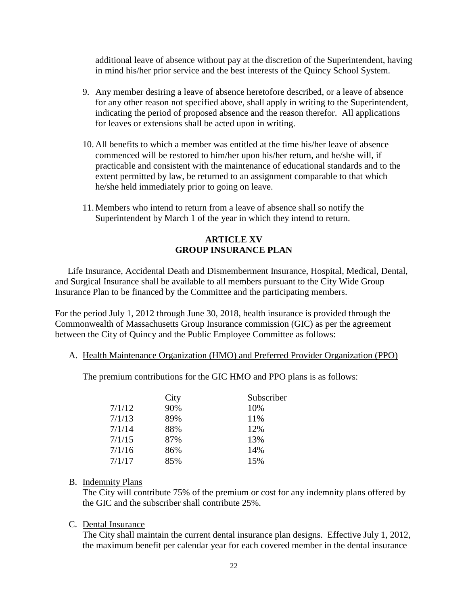additional leave of absence without pay at the discretion of the Superintendent, having in mind his/her prior service and the best interests of the Quincy School System.

- 9. Any member desiring a leave of absence heretofore described, or a leave of absence for any other reason not specified above, shall apply in writing to the Superintendent, indicating the period of proposed absence and the reason therefor. All applications for leaves or extensions shall be acted upon in writing.
- 10. All benefits to which a member was entitled at the time his/her leave of absence commenced will be restored to him/her upon his/her return, and he/she will, if practicable and consistent with the maintenance of educational standards and to the extent permitted by law, be returned to an assignment comparable to that which he/she held immediately prior to going on leave.
- 11. Members who intend to return from a leave of absence shall so notify the Superintendent by March 1 of the year in which they intend to return.

# **ARTICLE XV GROUP INSURANCE PLAN**

Life Insurance, Accidental Death and Dismemberment Insurance, Hospital, Medical, Dental, and Surgical Insurance shall be available to all members pursuant to the City Wide Group Insurance Plan to be financed by the Committee and the participating members.

For the period July 1, 2012 through June 30, 2018, health insurance is provided through the Commonwealth of Massachusetts Group Insurance commission (GIC) as per the agreement between the City of Quincy and the Public Employee Committee as follows:

A. Health Maintenance Organization (HMO) and Preferred Provider Organization (PPO)

The premium contributions for the GIC HMO and PPO plans is as follows:

|        | City | Subscriber |
|--------|------|------------|
| 7/1/12 | 90%  | 10%        |
| 7/1/13 | 89%  | 11%        |
| 7/1/14 | 88%  | 12%        |
| 7/1/15 | 87%  | 13%        |
| 7/1/16 | 86%  | 14%        |
| 7/1/17 | 85%  | 15%        |

## B. Indemnity Plans

The City will contribute 75% of the premium or cost for any indemnity plans offered by the GIC and the subscriber shall contribute 25%.

## C. Dental Insurance

The City shall maintain the current dental insurance plan designs. Effective July 1, 2012, the maximum benefit per calendar year for each covered member in the dental insurance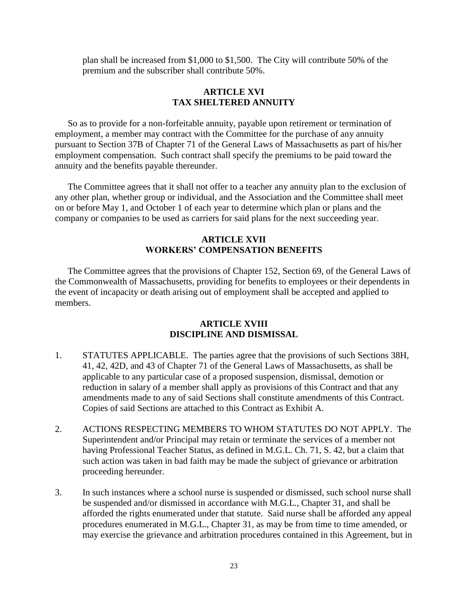plan shall be increased from \$1,000 to \$1,500. The City will contribute 50% of the premium and the subscriber shall contribute 50%.

#### **ARTICLE XVI TAX SHELTERED ANNUITY**

So as to provide for a non-forfeitable annuity, payable upon retirement or termination of employment, a member may contract with the Committee for the purchase of any annuity pursuant to Section 37B of Chapter 71 of the General Laws of Massachusetts as part of his/her employment compensation. Such contract shall specify the premiums to be paid toward the annuity and the benefits payable thereunder.

The Committee agrees that it shall not offer to a teacher any annuity plan to the exclusion of any other plan, whether group or individual, and the Association and the Committee shall meet on or before May 1, and October 1 of each year to determine which plan or plans and the company or companies to be used as carriers for said plans for the next succeeding year.

# **ARTICLE XVII WORKERS' COMPENSATION BENEFITS**

The Committee agrees that the provisions of Chapter 152, Section 69, of the General Laws of the Commonwealth of Massachusetts, providing for benefits to employees or their dependents in the event of incapacity or death arising out of employment shall be accepted and applied to members.

#### **ARTICLE XVIII DISCIPLINE AND DISMISSAL**

- 1. STATUTES APPLICABLE. The parties agree that the provisions of such Sections 38H, 41, 42, 42D, and 43 of Chapter 71 of the General Laws of Massachusetts, as shall be applicable to any particular case of a proposed suspension, dismissal, demotion or reduction in salary of a member shall apply as provisions of this Contract and that any amendments made to any of said Sections shall constitute amendments of this Contract. Copies of said Sections are attached to this Contract as Exhibit A.
- 2. ACTIONS RESPECTING MEMBERS TO WHOM STATUTES DO NOT APPLY. The Superintendent and/or Principal may retain or terminate the services of a member not having Professional Teacher Status, as defined in M.G.L. Ch. 71, S. 42, but a claim that such action was taken in bad faith may be made the subject of grievance or arbitration proceeding hereunder.
- 3. In such instances where a school nurse is suspended or dismissed, such school nurse shall be suspended and/or dismissed in accordance with M.G.L., Chapter 31, and shall be afforded the rights enumerated under that statute. Said nurse shall be afforded any appeal procedures enumerated in M.G.L., Chapter 31, as may be from time to time amended, or may exercise the grievance and arbitration procedures contained in this Agreement, but in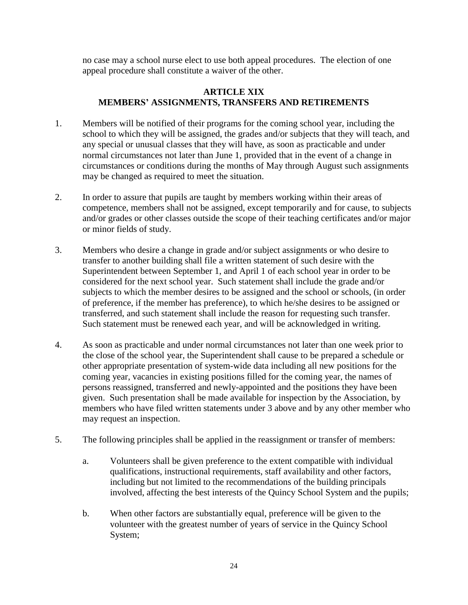no case may a school nurse elect to use both appeal procedures. The election of one appeal procedure shall constitute a waiver of the other.

## **ARTICLE XIX MEMBERS' ASSIGNMENTS, TRANSFERS AND RETIREMENTS**

- 1. Members will be notified of their programs for the coming school year, including the school to which they will be assigned, the grades and/or subjects that they will teach, and any special or unusual classes that they will have, as soon as practicable and under normal circumstances not later than June 1, provided that in the event of a change in circumstances or conditions during the months of May through August such assignments may be changed as required to meet the situation.
- 2. In order to assure that pupils are taught by members working within their areas of competence, members shall not be assigned, except temporarily and for cause, to subjects and/or grades or other classes outside the scope of their teaching certificates and/or major or minor fields of study.
- 3. Members who desire a change in grade and/or subject assignments or who desire to transfer to another building shall file a written statement of such desire with the Superintendent between September 1, and April 1 of each school year in order to be considered for the next school year. Such statement shall include the grade and/or subjects to which the member desires to be assigned and the school or schools, (in order of preference, if the member has preference), to which he/she desires to be assigned or transferred, and such statement shall include the reason for requesting such transfer. Such statement must be renewed each year, and will be acknowledged in writing.
- 4. As soon as practicable and under normal circumstances not later than one week prior to the close of the school year, the Superintendent shall cause to be prepared a schedule or other appropriate presentation of system-wide data including all new positions for the coming year, vacancies in existing positions filled for the coming year, the names of persons reassigned, transferred and newly-appointed and the positions they have been given. Such presentation shall be made available for inspection by the Association, by members who have filed written statements under 3 above and by any other member who may request an inspection.
- 5. The following principles shall be applied in the reassignment or transfer of members:
	- a. Volunteers shall be given preference to the extent compatible with individual qualifications, instructional requirements, staff availability and other factors, including but not limited to the recommendations of the building principals involved, affecting the best interests of the Quincy School System and the pupils;
	- b. When other factors are substantially equal, preference will be given to the volunteer with the greatest number of years of service in the Quincy School System;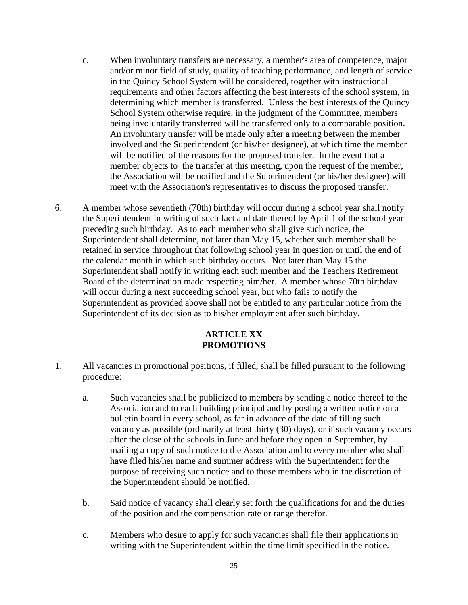- c. When involuntary transfers are necessary, a member's area of competence, major and/or minor field of study, quality of teaching performance, and length of service in the Quincy School System will be considered, together with instructional requirements and other factors affecting the best interests of the school system, in determining which member is transferred. Unless the best interests of the Quincy School System otherwise require, in the judgment of the Committee, members being involuntarily transferred will be transferred only to a comparable position. An involuntary transfer will be made only after a meeting between the member involved and the Superintendent (or his/her designee), at which time the member will be notified of the reasons for the proposed transfer. In the event that a member objects to the transfer at this meeting, upon the request of the member, the Association will be notified and the Superintendent (or his/her designee) will meet with the Association's representatives to discuss the proposed transfer.
- 6. A member whose seventieth (70th) birthday will occur during a school year shall notify the Superintendent in writing of such fact and date thereof by April 1 of the school year preceding such birthday. As to each member who shall give such notice, the Superintendent shall determine, not later than May 15, whether such member shall be retained in service throughout that following school year in question or until the end of the calendar month in which such birthday occurs. Not later than May 15 the Superintendent shall notify in writing each such member and the Teachers Retirement Board of the determination made respecting him/her. A member whose 70th birthday will occur during a next succeeding school year, but who fails to notify the Superintendent as provided above shall not be entitled to any particular notice from the Superintendent of its decision as to his/her employment after such birthday.

# **ARTICLE XX PROMOTIONS**

- 1. All vacancies in promotional positions, if filled, shall be filled pursuant to the following procedure:
	- a. Such vacancies shall be publicized to members by sending a notice thereof to the Association and to each building principal and by posting a written notice on a bulletin board in every school, as far in advance of the date of filling such vacancy as possible (ordinarily at least thirty (30) days), or if such vacancy occurs after the close of the schools in June and before they open in September, by mailing a copy of such notice to the Association and to every member who shall have filed his/her name and summer address with the Superintendent for the purpose of receiving such notice and to those members who in the discretion of the Superintendent should be notified.
	- b. Said notice of vacancy shall clearly set forth the qualifications for and the duties of the position and the compensation rate or range therefor.
	- c. Members who desire to apply for such vacancies shall file their applications in writing with the Superintendent within the time limit specified in the notice.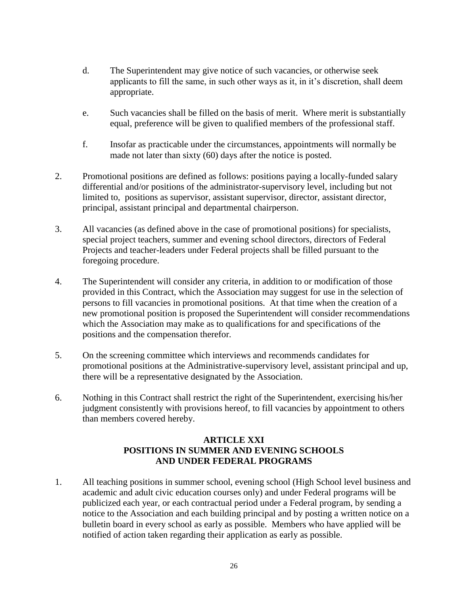- d. The Superintendent may give notice of such vacancies, or otherwise seek applicants to fill the same, in such other ways as it, in it's discretion, shall deem appropriate.
- e. Such vacancies shall be filled on the basis of merit. Where merit is substantially equal, preference will be given to qualified members of the professional staff.
- f. Insofar as practicable under the circumstances, appointments will normally be made not later than sixty (60) days after the notice is posted.
- 2. Promotional positions are defined as follows: positions paying a locally-funded salary differential and/or positions of the administrator-supervisory level, including but not limited to, positions as supervisor, assistant supervisor, director, assistant director, principal, assistant principal and departmental chairperson.
- 3. All vacancies (as defined above in the case of promotional positions) for specialists, special project teachers, summer and evening school directors, directors of Federal Projects and teacher-leaders under Federal projects shall be filled pursuant to the foregoing procedure.
- 4. The Superintendent will consider any criteria, in addition to or modification of those provided in this Contract, which the Association may suggest for use in the selection of persons to fill vacancies in promotional positions. At that time when the creation of a new promotional position is proposed the Superintendent will consider recommendations which the Association may make as to qualifications for and specifications of the positions and the compensation therefor.
- 5. On the screening committee which interviews and recommends candidates for promotional positions at the Administrative-supervisory level, assistant principal and up, there will be a representative designated by the Association.
- 6. Nothing in this Contract shall restrict the right of the Superintendent, exercising his/her judgment consistently with provisions hereof, to fill vacancies by appointment to others than members covered hereby.

# **ARTICLE XXI POSITIONS IN SUMMER AND EVENING SCHOOLS AND UNDER FEDERAL PROGRAMS**

1. All teaching positions in summer school, evening school (High School level business and academic and adult civic education courses only) and under Federal programs will be publicized each year, or each contractual period under a Federal program, by sending a notice to the Association and each building principal and by posting a written notice on a bulletin board in every school as early as possible. Members who have applied will be notified of action taken regarding their application as early as possible.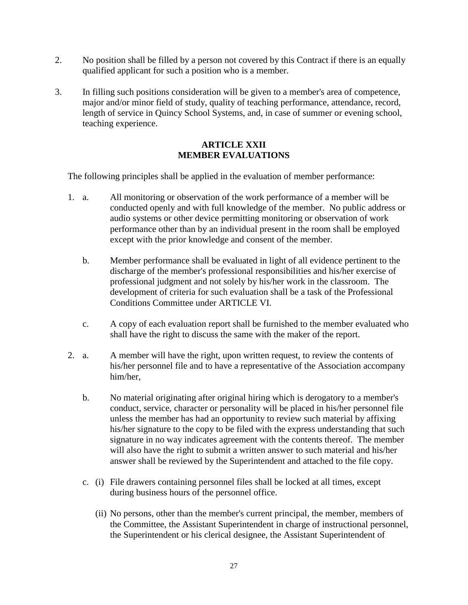- 2. No position shall be filled by a person not covered by this Contract if there is an equally qualified applicant for such a position who is a member.
- 3. In filling such positions consideration will be given to a member's area of competence, major and/or minor field of study, quality of teaching performance, attendance, record, length of service in Quincy School Systems, and, in case of summer or evening school, teaching experience.

# **ARTICLE XXII MEMBER EVALUATIONS**

The following principles shall be applied in the evaluation of member performance:

- 1. a. All monitoring or observation of the work performance of a member will be conducted openly and with full knowledge of the member. No public address or audio systems or other device permitting monitoring or observation of work performance other than by an individual present in the room shall be employed except with the prior knowledge and consent of the member.
	- b. Member performance shall be evaluated in light of all evidence pertinent to the discharge of the member's professional responsibilities and his/her exercise of professional judgment and not solely by his/her work in the classroom. The development of criteria for such evaluation shall be a task of the Professional Conditions Committee under ARTICLE VI.
	- c. A copy of each evaluation report shall be furnished to the member evaluated who shall have the right to discuss the same with the maker of the report.
- 2. a. A member will have the right, upon written request, to review the contents of his/her personnel file and to have a representative of the Association accompany him/her,
	- b. No material originating after original hiring which is derogatory to a member's conduct, service, character or personality will be placed in his/her personnel file unless the member has had an opportunity to review such material by affixing his/her signature to the copy to be filed with the express understanding that such signature in no way indicates agreement with the contents thereof. The member will also have the right to submit a written answer to such material and his/her answer shall be reviewed by the Superintendent and attached to the file copy.
	- c. (i) File drawers containing personnel files shall be locked at all times, except during business hours of the personnel office.
		- (ii) No persons, other than the member's current principal, the member, members of the Committee, the Assistant Superintendent in charge of instructional personnel, the Superintendent or his clerical designee, the Assistant Superintendent of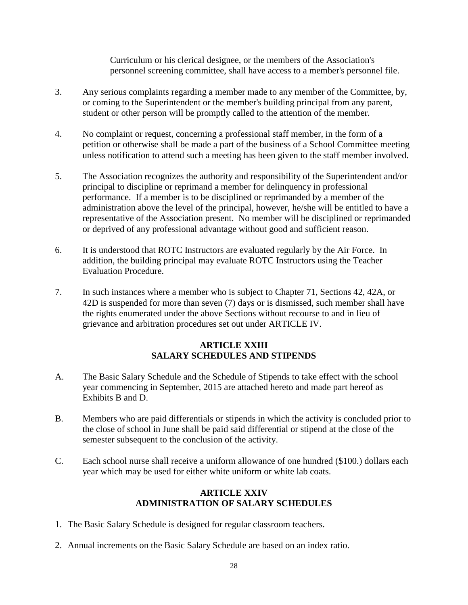Curriculum or his clerical designee, or the members of the Association's personnel screening committee, shall have access to a member's personnel file.

- 3. Any serious complaints regarding a member made to any member of the Committee, by, or coming to the Superintendent or the member's building principal from any parent, student or other person will be promptly called to the attention of the member.
- 4. No complaint or request, concerning a professional staff member, in the form of a petition or otherwise shall be made a part of the business of a School Committee meeting unless notification to attend such a meeting has been given to the staff member involved.
- 5. The Association recognizes the authority and responsibility of the Superintendent and/or principal to discipline or reprimand a member for delinquency in professional performance. If a member is to be disciplined or reprimanded by a member of the administration above the level of the principal, however, he/she will be entitled to have a representative of the Association present. No member will be disciplined or reprimanded or deprived of any professional advantage without good and sufficient reason.
- 6. It is understood that ROTC Instructors are evaluated regularly by the Air Force. In addition, the building principal may evaluate ROTC Instructors using the Teacher Evaluation Procedure.
- 7. In such instances where a member who is subject to Chapter 71, Sections 42, 42A, or 42D is suspended for more than seven (7) days or is dismissed, such member shall have the rights enumerated under the above Sections without recourse to and in lieu of grievance and arbitration procedures set out under ARTICLE IV.

# **ARTICLE XXIII SALARY SCHEDULES AND STIPENDS**

- A. The Basic Salary Schedule and the Schedule of Stipends to take effect with the school year commencing in September, 2015 are attached hereto and made part hereof as Exhibits B and D.
- B. Members who are paid differentials or stipends in which the activity is concluded prior to the close of school in June shall be paid said differential or stipend at the close of the semester subsequent to the conclusion of the activity.
- C. Each school nurse shall receive a uniform allowance of one hundred (\$100.) dollars each year which may be used for either white uniform or white lab coats.

# **ARTICLE XXIV ADMINISTRATION OF SALARY SCHEDULES**

- 1. The Basic Salary Schedule is designed for regular classroom teachers.
- 2. Annual increments on the Basic Salary Schedule are based on an index ratio.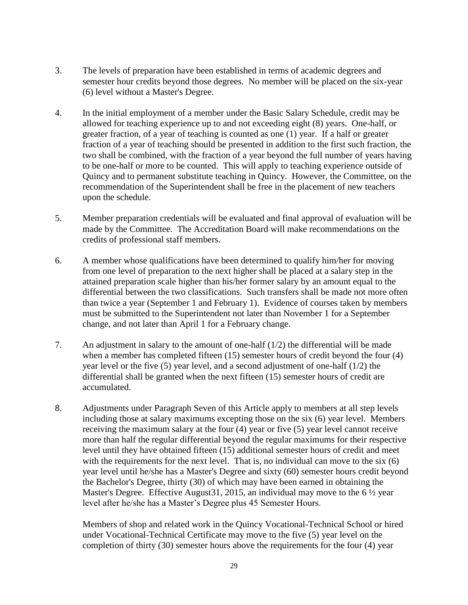- 3. The levels of preparation have been established in terms of academic degrees and semester hour credits beyond those degrees. No member will be placed on the six-year (6) level without a Master's Degree.
- 4. In the initial employment of a member under the Basic Salary Schedule, credit may be allowed for teaching experience up to and not exceeding eight (8) years. One-half, or greater fraction, of a year of teaching is counted as one (1) year. If a half or greater fraction of a year of teaching should be presented in addition to the first such fraction, the two shall be combined, with the fraction of a year beyond the full number of years having to be one-half or more to be counted. This will apply to teaching experience outside of Quincy and to permanent substitute teaching in Quincy. However, the Committee, on the recommendation of the Superintendent shall be free in the placement of new teachers upon the schedule.
- 5. Member preparation credentials will be evaluated and final approval of evaluation will be made by the Committee. The Accreditation Board will make recommendations on the credits of professional staff members.
- 6. A member whose qualifications have been determined to qualify him/her for moving from one level of preparation to the next higher shall be placed at a salary step in the attained preparation scale higher than his/her former salary by an amount equal to the differential between the two classifications. Such transfers shall be made not more often than twice a year (September 1 and February 1). Evidence of courses taken by members must be submitted to the Superintendent not later than November 1 for a September change, and not later than April 1 for a February change.
- 7. An adjustment in salary to the amount of one-half (1/2) the differential will be made when a member has completed fifteen (15) semester hours of credit beyond the four (4) year level or the five (5) year level, and a second adjustment of one-half (1/2) the differential shall be granted when the next fifteen (15) semester hours of credit are accumulated.
- 8. Adjustments under Paragraph Seven of this Article apply to members at all step levels including those at salary maximums excepting those on the six (6) year level. Members receiving the maximum salary at the four (4) year or five (5) year level cannot receive more than half the regular differential beyond the regular maximums for their respective level until they have obtained fifteen (15) additional semester hours of credit and meet with the requirements for the next level. That is, no individual can move to the six (6) year level until he/she has a Master's Degree and sixty (60) semester hours credit beyond the Bachelor's Degree, thirty (30) of which may have been earned in obtaining the Master's Degree. Effective August 31, 2015, an individual may move to the 6  $\frac{1}{2}$  year level after he/she has a Master's Degree plus 45 Semester Hours.

Members of shop and related work in the Quincy Vocational-Technical School or hired under Vocational-Technical Certificate may move to the five (5) year level on the completion of thirty (30) semester hours above the requirements for the four (4) year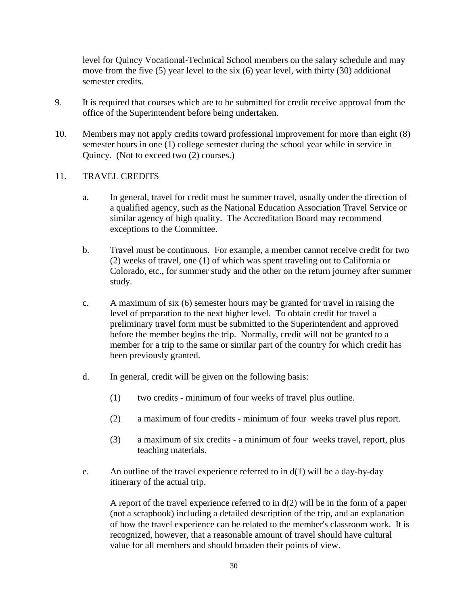level for Quincy Vocational-Technical School members on the salary schedule and may move from the five (5) year level to the six (6) year level, with thirty (30) additional semester credits.

- 9. It is required that courses which are to be submitted for credit receive approval from the office of the Superintendent before being undertaken.
- 10. Members may not apply credits toward professional improvement for more than eight (8) semester hours in one (1) college semester during the school year while in service in Quincy. (Not to exceed two (2) courses.)

# 11. TRAVEL CREDITS

- a. In general, travel for credit must be summer travel, usually under the direction of a qualified agency, such as the National Education Association Travel Service or similar agency of high quality. The Accreditation Board may recommend exceptions to the Committee.
- b. Travel must be continuous. For example, a member cannot receive credit for two (2) weeks of travel, one (1) of which was spent traveling out to California or Colorado, etc., for summer study and the other on the return journey after summer study.
- c. A maximum of six (6) semester hours may be granted for travel in raising the level of preparation to the next higher level. To obtain credit for travel a preliminary travel form must be submitted to the Superintendent and approved before the member begins the trip. Normally, credit will not be granted to a member for a trip to the same or similar part of the country for which credit has been previously granted.
- d. In general, credit will be given on the following basis:
	- (1) two credits minimum of four weeks of travel plus outline.
	- (2) a maximum of four credits minimum of four weeks travel plus report.
	- (3) a maximum of six credits a minimum of four weeks travel, report, plus teaching materials.
- e. An outline of the travel experience referred to in  $d(1)$  will be a day-by-day itinerary of the actual trip.

A report of the travel experience referred to in  $d(2)$  will be in the form of a paper (not a scrapbook) including a detailed description of the trip, and an explanation of how the travel experience can be related to the member's classroom work. It is recognized, however, that a reasonable amount of travel should have cultural value for all members and should broaden their points of view.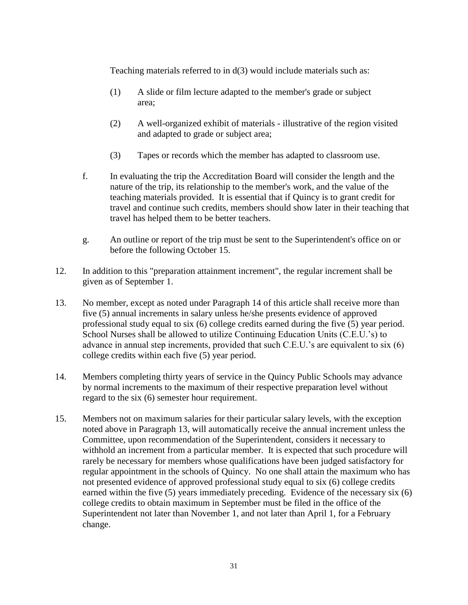Teaching materials referred to in d(3) would include materials such as:

- (1) A slide or film lecture adapted to the member's grade or subject area;
- (2) A well-organized exhibit of materials illustrative of the region visited and adapted to grade or subject area;
- (3) Tapes or records which the member has adapted to classroom use.
- f. In evaluating the trip the Accreditation Board will consider the length and the nature of the trip, its relationship to the member's work, and the value of the teaching materials provided. It is essential that if Quincy is to grant credit for travel and continue such credits, members should show later in their teaching that travel has helped them to be better teachers.
- g. An outline or report of the trip must be sent to the Superintendent's office on or before the following October 15.
- 12. In addition to this "preparation attainment increment", the regular increment shall be given as of September 1.
- 13. No member, except as noted under Paragraph 14 of this article shall receive more than five (5) annual increments in salary unless he/she presents evidence of approved professional study equal to six (6) college credits earned during the five (5) year period. School Nurses shall be allowed to utilize Continuing Education Units (C.E.U.'s) to advance in annual step increments, provided that such C.E.U.'s are equivalent to six (6) college credits within each five (5) year period.
- 14. Members completing thirty years of service in the Quincy Public Schools may advance by normal increments to the maximum of their respective preparation level without regard to the six (6) semester hour requirement.
- 15. Members not on maximum salaries for their particular salary levels, with the exception noted above in Paragraph 13, will automatically receive the annual increment unless the Committee, upon recommendation of the Superintendent, considers it necessary to withhold an increment from a particular member. It is expected that such procedure will rarely be necessary for members whose qualifications have been judged satisfactory for regular appointment in the schools of Quincy. No one shall attain the maximum who has not presented evidence of approved professional study equal to six (6) college credits earned within the five (5) years immediately preceding. Evidence of the necessary six (6) college credits to obtain maximum in September must be filed in the office of the Superintendent not later than November 1, and not later than April 1, for a February change.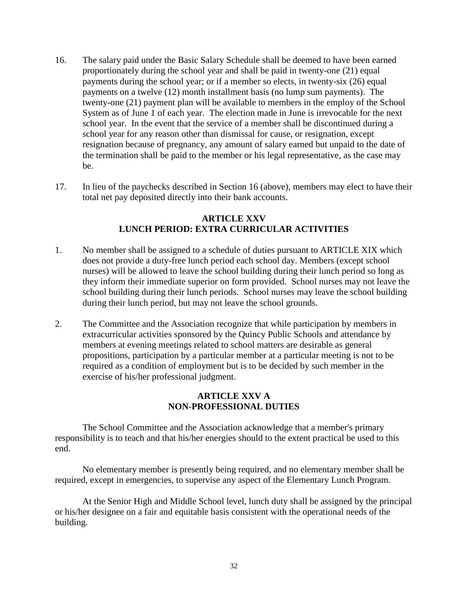- 16. The salary paid under the Basic Salary Schedule shall be deemed to have been earned proportionately during the school year and shall be paid in twenty-one (21) equal payments during the school year; or if a member so elects, in twenty-six (26) equal payments on a twelve (12) month installment basis (no lump sum payments). The twenty-one (21) payment plan will be available to members in the employ of the School System as of June 1 of each year. The election made in June is irrevocable for the next school year. In the event that the service of a member shall be discontinued during a school year for any reason other than dismissal for cause, or resignation, except resignation because of pregnancy, any amount of salary earned but unpaid to the date of the termination shall be paid to the member or his legal representative, as the case may be.
- 17. In lieu of the paychecks described in Section 16 (above), members may elect to have their total net pay deposited directly into their bank accounts.

## **ARTICLE XXV LUNCH PERIOD: EXTRA CURRICULAR ACTIVITIES**

- 1. No member shall be assigned to a schedule of duties pursuant to ARTICLE XIX which does not provide a duty-free lunch period each school day. Members (except school nurses) will be allowed to leave the school building during their lunch period so long as they inform their immediate superior on form provided. School nurses may not leave the school building during their lunch periods. School nurses may leave the school building during their lunch period, but may not leave the school grounds.
- 2. The Committee and the Association recognize that while participation by members in extracurricular activities sponsored by the Quincy Public Schools and attendance by members at evening meetings related to school matters are desirable as general propositions, participation by a particular member at a particular meeting is not to be required as a condition of employment but is to be decided by such member in the exercise of his/her professional judgment.

# **ARTICLE XXV A NON-PROFESSIONAL DUTIES**

The School Committee and the Association acknowledge that a member's primary responsibility is to teach and that his/her energies should to the extent practical be used to this end.

No elementary member is presently being required, and no elementary member shall be required, except in emergencies, to supervise any aspect of the Elementary Lunch Program.

At the Senior High and Middle School level, lunch duty shall be assigned by the principal or his/her designee on a fair and equitable basis consistent with the operational needs of the building.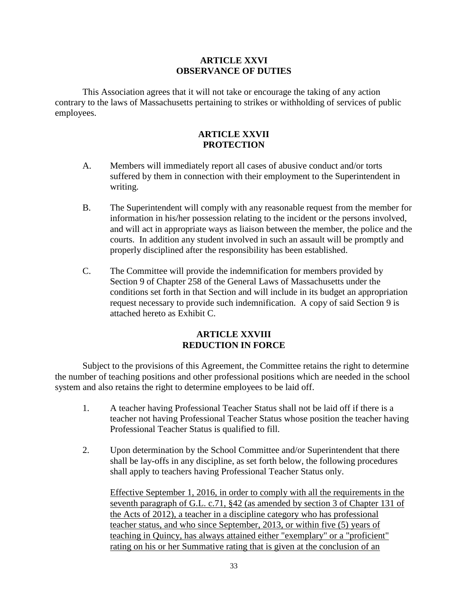# **ARTICLE XXVI OBSERVANCE OF DUTIES**

This Association agrees that it will not take or encourage the taking of any action contrary to the laws of Massachusetts pertaining to strikes or withholding of services of public employees.

# **ARTICLE XXVII PROTECTION**

- A. Members will immediately report all cases of abusive conduct and/or torts suffered by them in connection with their employment to the Superintendent in writing.
- B. The Superintendent will comply with any reasonable request from the member for information in his/her possession relating to the incident or the persons involved, and will act in appropriate ways as liaison between the member, the police and the courts. In addition any student involved in such an assault will be promptly and properly disciplined after the responsibility has been established.
- C. The Committee will provide the indemnification for members provided by Section 9 of Chapter 258 of the General Laws of Massachusetts under the conditions set forth in that Section and will include in its budget an appropriation request necessary to provide such indemnification. A copy of said Section 9 is attached hereto as Exhibit C.

# **ARTICLE XXVIII REDUCTION IN FORCE**

Subject to the provisions of this Agreement, the Committee retains the right to determine the number of teaching positions and other professional positions which are needed in the school system and also retains the right to determine employees to be laid off.

- 1. A teacher having Professional Teacher Status shall not be laid off if there is a teacher not having Professional Teacher Status whose position the teacher having Professional Teacher Status is qualified to fill.
- 2. Upon determination by the School Committee and/or Superintendent that there shall be lay-offs in any discipline, as set forth below, the following procedures shall apply to teachers having Professional Teacher Status only.

Effective September 1, 2016, in order to comply with all the requirements in the seventh paragraph of G.L. c.71, §42 (as amended by section 3 of Chapter 131 of the Acts of 2012), a teacher in a discipline category who has professional teacher status, and who since September, 2013, or within five (5) years of teaching in Quincy, has always attained either "exemplary" or a "proficient" rating on his or her Summative rating that is given at the conclusion of an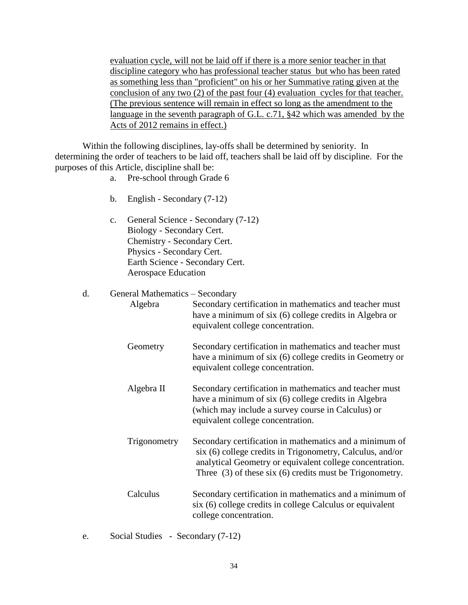evaluation cycle, will not be laid off if there is a more senior teacher in that discipline category who has professional teacher status but who has been rated as something less than "proficient" on his or her Summative rating given at the conclusion of any two (2) of the past four (4) evaluation cycles for that teacher. (The previous sentence will remain in effect so long as the amendment to the language in the seventh paragraph of G.L. c.71, §42 which was amended by the Acts of 2012 remains in effect.)

Within the following disciplines, lay-offs shall be determined by seniority. In determining the order of teachers to be laid off, teachers shall be laid off by discipline. For the purposes of this Article, discipline shall be:

- a. Pre-school through Grade 6
- b. English Secondary (7-12)
- c. General Science Secondary (7-12) Biology - Secondary Cert. Chemistry - Secondary Cert. Physics - Secondary Cert. Earth Science - Secondary Cert. Aerospace Education

#### d. General Mathematics – Secondary

| Algebra      | Secondary certification in mathematics and teacher must<br>have a minimum of six (6) college credits in Algebra or<br>equivalent college concentration.                                                                                          |
|--------------|--------------------------------------------------------------------------------------------------------------------------------------------------------------------------------------------------------------------------------------------------|
| Geometry     | Secondary certification in mathematics and teacher must<br>have a minimum of six (6) college credits in Geometry or<br>equivalent college concentration.                                                                                         |
| Algebra II   | Secondary certification in mathematics and teacher must<br>have a minimum of six (6) college credits in Algebra<br>(which may include a survey course in Calculus) or<br>equivalent college concentration.                                       |
| Trigonometry | Secondary certification in mathematics and a minimum of<br>six (6) college credits in Trigonometry, Calculus, and/or<br>analytical Geometry or equivalent college concentration.<br>Three $(3)$ of these six $(6)$ credits must be Trigonometry. |
| Calculus     | Secondary certification in mathematics and a minimum of<br>six (6) college credits in college Calculus or equivalent<br>college concentration.                                                                                                   |

e. Social Studies - Secondary (7-12)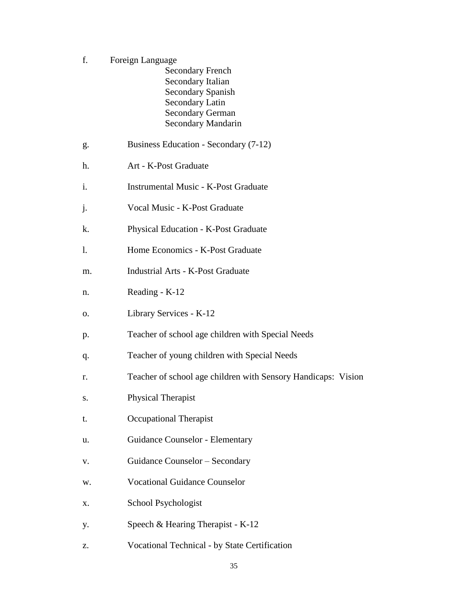- f. Foreign Language Secondary French Secondary Italian Secondary Spanish Secondary Latin Secondary German Secondary Mandarin g. Business Education - Secondary (7-12) h. Art - K-Post Graduate i. Instrumental Music - K-Post Graduate j. Vocal Music - K-Post Graduate k. Physical Education - K-Post Graduate l. Home Economics - K-Post Graduate m. Industrial Arts - K-Post Graduate n. Reading - K-12 o. Library Services - K-12 p. Teacher of school age children with Special Needs q. Teacher of young children with Special Needs r. Teacher of school age children with Sensory Handicaps: Vision s. Physical Therapist t. Occupational Therapist u. Guidance Counselor - Elementary v. Guidance Counselor – Secondary w. Vocational Guidance Counselor x. School Psychologist
- y. Speech & Hearing Therapist K-12
- z. Vocational Technical by State Certification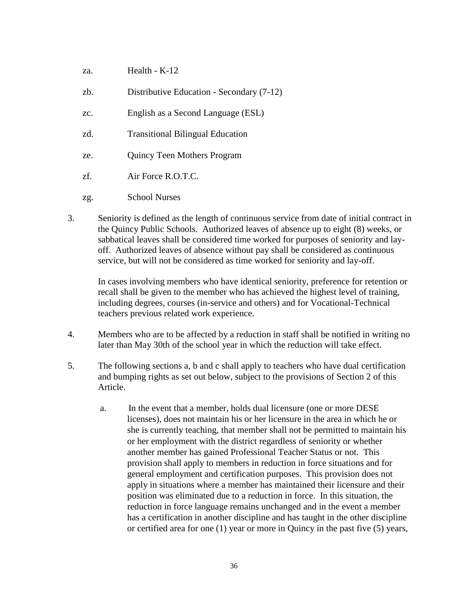- za. Health K-12
- zb. Distributive Education Secondary (7-12)
- zc. English as a Second Language (ESL)
- zd. Transitional Bilingual Education
- ze. Quincy Teen Mothers Program
- zf. Air Force R.O.T.C.
- zg. School Nurses
- 3. Seniority is defined as the length of continuous service from date of initial contract in the Quincy Public Schools. Authorized leaves of absence up to eight (8) weeks, or sabbatical leaves shall be considered time worked for purposes of seniority and layoff. Authorized leaves of absence without pay shall be considered as continuous service, but will not be considered as time worked for seniority and lay-off.

In cases involving members who have identical seniority, preference for retention or recall shall be given to the member who has achieved the highest level of training, including degrees, courses (in-service and others) and for Vocational-Technical teachers previous related work experience.

- 4. Members who are to be affected by a reduction in staff shall be notified in writing no later than May 30th of the school year in which the reduction will take effect.
- 5. The following sections a, b and c shall apply to teachers who have dual certification and bumping rights as set out below, subject to the provisions of Section 2 of this Article.
	- a. In the event that a member, holds dual licensure (one or more DESE licenses), does not maintain his or her licensure in the area in which he or she is currently teaching, that member shall not be permitted to maintain his or her employment with the district regardless of seniority or whether another member has gained Professional Teacher Status or not. This provision shall apply to members in reduction in force situations and for general employment and certification purposes. This provision does not apply in situations where a member has maintained their licensure and their position was eliminated due to a reduction in force. In this situation, the reduction in force language remains unchanged and in the event a member has a certification in another discipline and has taught in the other discipline or certified area for one (1) year or more in Quincy in the past five (5) years,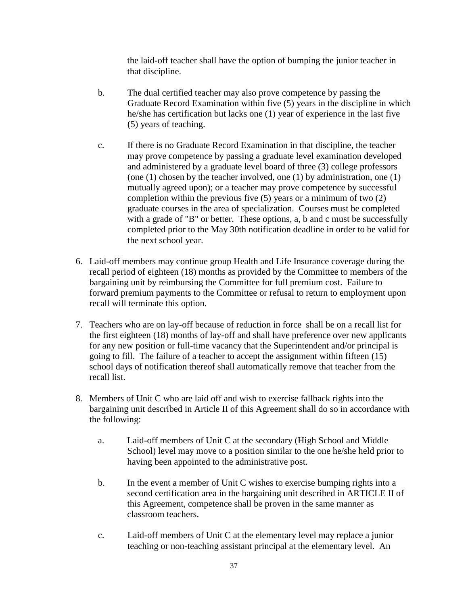the laid-off teacher shall have the option of bumping the junior teacher in that discipline.

- b. The dual certified teacher may also prove competence by passing the Graduate Record Examination within five (5) years in the discipline in which he/she has certification but lacks one (1) year of experience in the last five (5) years of teaching.
- c. If there is no Graduate Record Examination in that discipline, the teacher may prove competence by passing a graduate level examination developed and administered by a graduate level board of three (3) college professors (one  $(1)$  chosen by the teacher involved, one  $(1)$  by administration, one  $(1)$ ) mutually agreed upon); or a teacher may prove competence by successful completion within the previous five (5) years or a minimum of two (2) graduate courses in the area of specialization. Courses must be completed with a grade of "B" or better. These options, a, b and c must be successfully completed prior to the May 30th notification deadline in order to be valid for the next school year.
- 6. Laid-off members may continue group Health and Life Insurance coverage during the recall period of eighteen (18) months as provided by the Committee to members of the bargaining unit by reimbursing the Committee for full premium cost. Failure to forward premium payments to the Committee or refusal to return to employment upon recall will terminate this option.
- 7. Teachers who are on lay-off because of reduction in force shall be on a recall list for the first eighteen (18) months of lay-off and shall have preference over new applicants for any new position or full-time vacancy that the Superintendent and/or principal is going to fill. The failure of a teacher to accept the assignment within fifteen (15) school days of notification thereof shall automatically remove that teacher from the recall list.
- 8. Members of Unit C who are laid off and wish to exercise fallback rights into the bargaining unit described in Article II of this Agreement shall do so in accordance with the following:
	- a. Laid-off members of Unit C at the secondary (High School and Middle School) level may move to a position similar to the one he/she held prior to having been appointed to the administrative post.
	- b. In the event a member of Unit C wishes to exercise bumping rights into a second certification area in the bargaining unit described in ARTICLE II of this Agreement, competence shall be proven in the same manner as classroom teachers.
	- c. Laid-off members of Unit C at the elementary level may replace a junior teaching or non-teaching assistant principal at the elementary level. An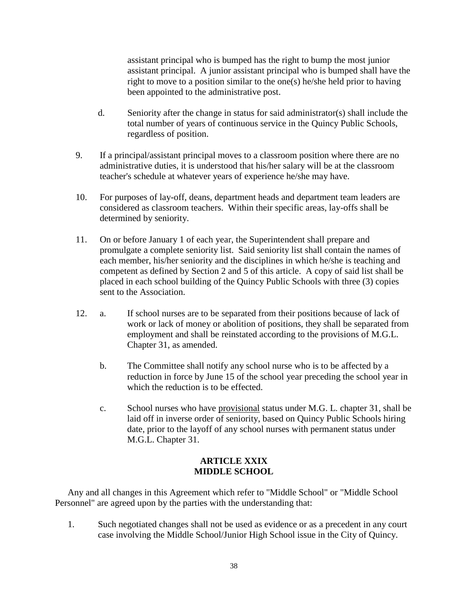assistant principal who is bumped has the right to bump the most junior assistant principal. A junior assistant principal who is bumped shall have the right to move to a position similar to the one(s) he/she held prior to having been appointed to the administrative post.

- d. Seniority after the change in status for said administrator(s) shall include the total number of years of continuous service in the Quincy Public Schools, regardless of position.
- 9. If a principal/assistant principal moves to a classroom position where there are no administrative duties, it is understood that his/her salary will be at the classroom teacher's schedule at whatever years of experience he/she may have.
- 10. For purposes of lay-off, deans, department heads and department team leaders are considered as classroom teachers. Within their specific areas, lay-offs shall be determined by seniority.
- 11. On or before January 1 of each year, the Superintendent shall prepare and promulgate a complete seniority list. Said seniority list shall contain the names of each member, his/her seniority and the disciplines in which he/she is teaching and competent as defined by Section 2 and 5 of this article. A copy of said list shall be placed in each school building of the Quincy Public Schools with three (3) copies sent to the Association.
- 12. a. If school nurses are to be separated from their positions because of lack of work or lack of money or abolition of positions, they shall be separated from employment and shall be reinstated according to the provisions of M.G.L. Chapter 31, as amended.
	- b. The Committee shall notify any school nurse who is to be affected by a reduction in force by June 15 of the school year preceding the school year in which the reduction is to be effected.
	- c. School nurses who have provisional status under M.G. L. chapter 31, shall be laid off in inverse order of seniority, based on Quincy Public Schools hiring date, prior to the layoff of any school nurses with permanent status under M.G.L. Chapter 31.

# **ARTICLE XXIX MIDDLE SCHOOL**

Any and all changes in this Agreement which refer to "Middle School" or "Middle School Personnel" are agreed upon by the parties with the understanding that:

1. Such negotiated changes shall not be used as evidence or as a precedent in any court case involving the Middle School/Junior High School issue in the City of Quincy.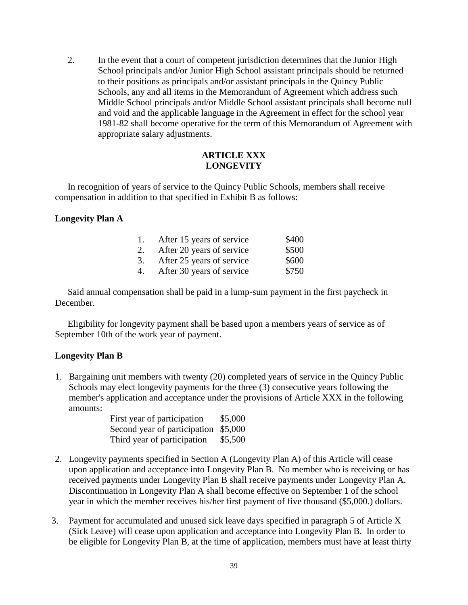2. In the event that a court of competent jurisdiction determines that the Junior High School principals and/or Junior High School assistant principals should be returned to their positions as principals and/or assistant principals in the Quincy Public Schools, any and all items in the Memorandum of Agreement which address such Middle School principals and/or Middle School assistant principals shall become null and void and the applicable language in the Agreement in effect for the school year 1981-82 shall become operative for the term of this Memorandum of Agreement with appropriate salary adjustments.

# **ARTICLE XXX LONGEVITY**

In recognition of years of service to the Quincy Public Schools, members shall receive compensation in addition to that specified in Exhibit B as follows:

# **Longevity Plan A**

| 1. | After 15 years of service | \$400 |
|----|---------------------------|-------|
| 2. | After 20 years of service | \$500 |
| 3. | After 25 years of service | \$600 |
| 4. | After 30 years of service | \$750 |

Said annual compensation shall be paid in a lump-sum payment in the first paycheck in December.

Eligibility for longevity payment shall be based upon a members years of service as of September 10th of the work year of payment.

## **Longevity Plan B**

1. Bargaining unit members with twenty (20) completed years of service in the Quincy Public Schools may elect longevity payments for the three (3) consecutive years following the member's application and acceptance under the provisions of Article XXX in the following amounts:

| First year of participation  | \$5,000 |
|------------------------------|---------|
| Second year of participation | \$5,000 |
| Third year of participation  | \$5,500 |

- 2. Longevity payments specified in Section A (Longevity Plan A) of this Article will cease upon application and acceptance into Longevity Plan B. No member who is receiving or has received payments under Longevity Plan B shall receive payments under Longevity Plan A. Discontinuation in Longevity Plan A shall become effective on September 1 of the school year in which the member receives his/her first payment of five thousand (\$5,000.) dollars.
- 3. Payment for accumulated and unused sick leave days specified in paragraph 5 of Article X (Sick Leave) will cease upon application and acceptance into Longevity Plan B. In order to be eligible for Longevity Plan B, at the time of application, members must have at least thirty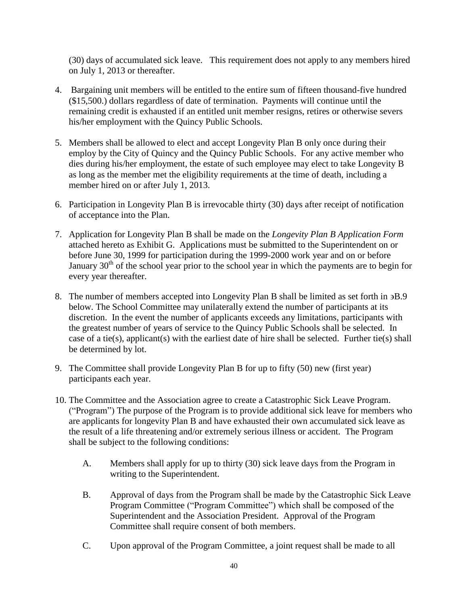(30) days of accumulated sick leave. This requirement does not apply to any members hired on July 1, 2013 or thereafter.

- 4. Bargaining unit members will be entitled to the entire sum of fifteen thousand-five hundred (\$15,500.) dollars regardless of date of termination. Payments will continue until the remaining credit is exhausted if an entitled unit member resigns, retires or otherwise severs his/her employment with the Quincy Public Schools.
- 5. Members shall be allowed to elect and accept Longevity Plan B only once during their employ by the City of Quincy and the Quincy Public Schools. For any active member who dies during his/her employment, the estate of such employee may elect to take Longevity B as long as the member met the eligibility requirements at the time of death, including a member hired on or after July 1, 2013.
- 6. Participation in Longevity Plan B is irrevocable thirty (30) days after receipt of notification of acceptance into the Plan.
- 7. Application for Longevity Plan B shall be made on the *Longevity Plan B Application Form* attached hereto as Exhibit G. Applications must be submitted to the Superintendent on or before June 30, 1999 for participation during the 1999-2000 work year and on or before January  $30<sup>th</sup>$  of the school year prior to the school year in which the payments are to begin for every year thereafter.
- 8. The number of members accepted into Longevity Plan B shall be limited as set forth in  $\mathfrak{B}8.9$ below. The School Committee may unilaterally extend the number of participants at its discretion. In the event the number of applicants exceeds any limitations, participants with the greatest number of years of service to the Quincy Public Schools shall be selected. In case of a tie(s), applicant(s) with the earliest date of hire shall be selected. Further tie(s) shall be determined by lot.
- 9. The Committee shall provide Longevity Plan B for up to fifty (50) new (first year) participants each year.
- 10. The Committee and the Association agree to create a Catastrophic Sick Leave Program. ("Program") The purpose of the Program is to provide additional sick leave for members who are applicants for longevity Plan B and have exhausted their own accumulated sick leave as the result of a life threatening and/or extremely serious illness or accident. The Program shall be subject to the following conditions:
	- A. Members shall apply for up to thirty (30) sick leave days from the Program in writing to the Superintendent.
	- B. Approval of days from the Program shall be made by the Catastrophic Sick Leave Program Committee ("Program Committee") which shall be composed of the Superintendent and the Association President. Approval of the Program Committee shall require consent of both members.
	- C. Upon approval of the Program Committee, a joint request shall be made to all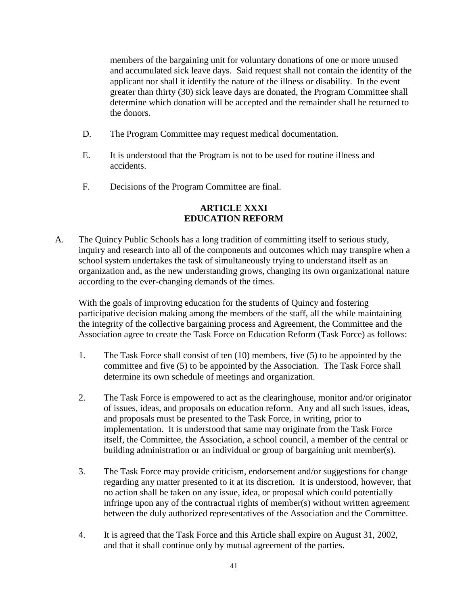members of the bargaining unit for voluntary donations of one or more unused and accumulated sick leave days. Said request shall not contain the identity of the applicant nor shall it identify the nature of the illness or disability. In the event greater than thirty (30) sick leave days are donated, the Program Committee shall determine which donation will be accepted and the remainder shall be returned to the donors.

- D. The Program Committee may request medical documentation.
- E. It is understood that the Program is not to be used for routine illness and accidents.
- F. Decisions of the Program Committee are final.

# **ARTICLE XXXI EDUCATION REFORM**

A. The Quincy Public Schools has a long tradition of committing itself to serious study, inquiry and research into all of the components and outcomes which may transpire when a school system undertakes the task of simultaneously trying to understand itself as an organization and, as the new understanding grows, changing its own organizational nature according to the ever-changing demands of the times.

With the goals of improving education for the students of Quincy and fostering participative decision making among the members of the staff, all the while maintaining the integrity of the collective bargaining process and Agreement, the Committee and the Association agree to create the Task Force on Education Reform (Task Force) as follows:

- 1. The Task Force shall consist of ten (10) members, five (5) to be appointed by the committee and five (5) to be appointed by the Association. The Task Force shall determine its own schedule of meetings and organization.
- 2. The Task Force is empowered to act as the clearinghouse, monitor and/or originator of issues, ideas, and proposals on education reform. Any and all such issues, ideas, and proposals must be presented to the Task Force, in writing, prior to implementation. It is understood that same may originate from the Task Force itself, the Committee, the Association, a school council, a member of the central or building administration or an individual or group of bargaining unit member(s).
- 3. The Task Force may provide criticism, endorsement and/or suggestions for change regarding any matter presented to it at its discretion. It is understood, however, that no action shall be taken on any issue, idea, or proposal which could potentially infringe upon any of the contractual rights of member(s) without written agreement between the duly authorized representatives of the Association and the Committee.
- 4. It is agreed that the Task Force and this Article shall expire on August 31, 2002, and that it shall continue only by mutual agreement of the parties.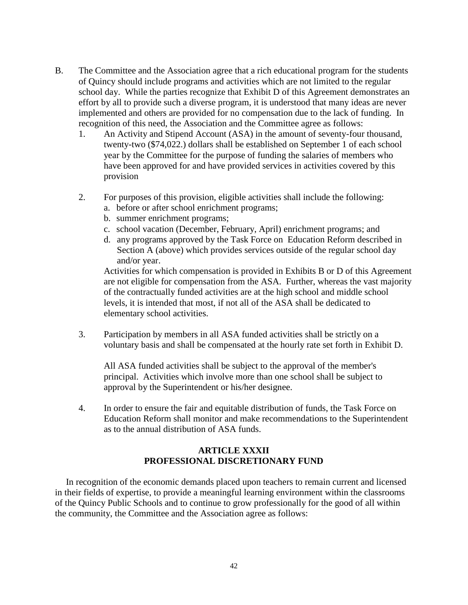- B. The Committee and the Association agree that a rich educational program for the students of Quincy should include programs and activities which are not limited to the regular school day. While the parties recognize that Exhibit D of this Agreement demonstrates an effort by all to provide such a diverse program, it is understood that many ideas are never implemented and others are provided for no compensation due to the lack of funding. In recognition of this need, the Association and the Committee agree as follows:
	- 1. An Activity and Stipend Account (ASA) in the amount of seventy-four thousand, twenty-two (\$74,022.) dollars shall be established on September 1 of each school year by the Committee for the purpose of funding the salaries of members who have been approved for and have provided services in activities covered by this provision
	- 2. For purposes of this provision, eligible activities shall include the following:
		- a. before or after school enrichment programs;
		- b. summer enrichment programs;
		- c. school vacation (December, February, April) enrichment programs; and
		- d. any programs approved by the Task Force on Education Reform described in Section A (above) which provides services outside of the regular school day and/or year.

Activities for which compensation is provided in Exhibits B or D of this Agreement are not eligible for compensation from the ASA. Further, whereas the vast majority of the contractually funded activities are at the high school and middle school levels, it is intended that most, if not all of the ASA shall be dedicated to elementary school activities.

3. Participation by members in all ASA funded activities shall be strictly on a voluntary basis and shall be compensated at the hourly rate set forth in Exhibit D.

All ASA funded activities shall be subject to the approval of the member's principal. Activities which involve more than one school shall be subject to approval by the Superintendent or his/her designee.

4. In order to ensure the fair and equitable distribution of funds, the Task Force on Education Reform shall monitor and make recommendations to the Superintendent as to the annual distribution of ASA funds.

## **ARTICLE XXXII PROFESSIONAL DISCRETIONARY FUND**

In recognition of the economic demands placed upon teachers to remain current and licensed in their fields of expertise, to provide a meaningful learning environment within the classrooms of the Quincy Public Schools and to continue to grow professionally for the good of all within the community, the Committee and the Association agree as follows: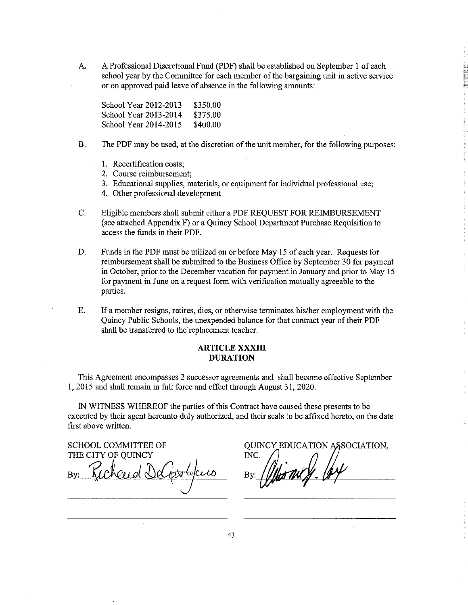$A<sub>1</sub>$ A Professional Discretional Fund (PDF) shall be established on September 1 of each school year by the Committee for each member of the bargaining unit in active service or on approved paid leave of absence in the following amounts:

School Year 2012-2013 \$350.00 School Year 2013-2014 \$375.00 School Year 2014-2015 \$400.00

- The PDF may be used, at the discretion of the unit member, for the following purposes: **B.** 
	- 1. Recertification costs:
	- 2. Course reimbursement:
	- 3. Educational supplies, materials, or equipment for individual professional use;
	- 4. Other professional development
- $C_{\star}$ Eligible members shall submit either a PDF REQUEST FOR REIMBURSEMENT (see attached Appendix F) or a Quincy School Department Purchase Requisition to access the funds in their PDF.
- D. Funds in the PDF must be utilized on or before May 15 of each year. Requests for reimbursement shall be submitted to the Business Office by September 30 for payment in October, prior to the December vacation for payment in January and prior to May 15 for payment in June on a request form with verification mutually agreeable to the parties.
- E. If a member resigns, retires, dies, or otherwise terminates his/her employment with the Quincy Public Schools, the unexpended balance for that contract year of their PDF shall be transferred to the replacement teacher.

#### **ARTICLE XXXIII DURATION**

This Agreement encompasses 2 successor agreements and shall become effective September 1, 2015 and shall remain in full force and effect through August 31, 2020.

IN WITNESS WHEREOF the parties of this Contract have caused these presents to be executed by their agent hereunto duly authorized, and their seals to be affixed hereto, on the date first above written.

**SCHOOL COMMITTEE OF** 

THE CITY OF OUINCY

**QUINCY EDUCATION ASSOCIATION,** INC.

43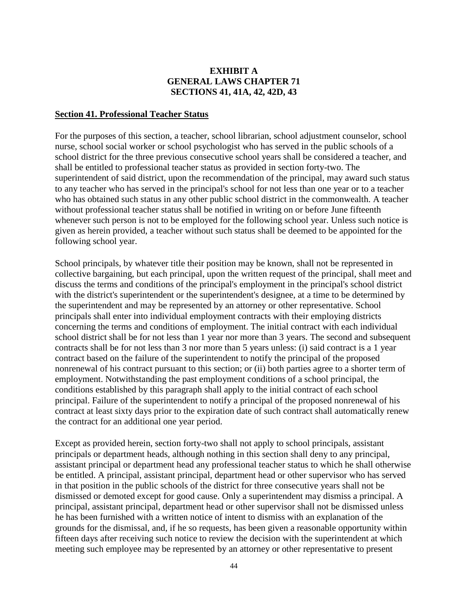# **EXHIBIT A GENERAL LAWS CHAPTER 71 SECTIONS 41, 41A, 42, 42D, 43**

#### **Section 41. Professional Teacher Status**

For the purposes of this section, a teacher, school librarian, school adjustment counselor, school nurse, school social worker or school psychologist who has served in the public schools of a school district for the three previous consecutive school years shall be considered a teacher, and shall be entitled to professional teacher status as provided in section forty-two. The superintendent of said district, upon the recommendation of the principal, may award such status to any teacher who has served in the principal's school for not less than one year or to a teacher who has obtained such status in any other public school district in the commonwealth. A teacher without professional teacher status shall be notified in writing on or before June fifteenth whenever such person is not to be employed for the following school year. Unless such notice is given as herein provided, a teacher without such status shall be deemed to be appointed for the following school year.

School principals, by whatever title their position may be known, shall not be represented in collective bargaining, but each principal, upon the written request of the principal, shall meet and discuss the terms and conditions of the principal's employment in the principal's school district with the district's superintendent or the superintendent's designee, at a time to be determined by the superintendent and may be represented by an attorney or other representative. School principals shall enter into individual employment contracts with their employing districts concerning the terms and conditions of employment. The initial contract with each individual school district shall be for not less than 1 year nor more than 3 years. The second and subsequent contracts shall be for not less than 3 nor more than 5 years unless: (i) said contract is a 1 year contract based on the failure of the superintendent to notify the principal of the proposed nonrenewal of his contract pursuant to this section; or (ii) both parties agree to a shorter term of employment. Notwithstanding the past employment conditions of a school principal, the conditions established by this paragraph shall apply to the initial contract of each school principal. Failure of the superintendent to notify a principal of the proposed nonrenewal of his contract at least sixty days prior to the expiration date of such contract shall automatically renew the contract for an additional one year period.

Except as provided herein, section forty-two shall not apply to school principals, assistant principals or department heads, although nothing in this section shall deny to any principal, assistant principal or department head any professional teacher status to which he shall otherwise be entitled. A principal, assistant principal, department head or other supervisor who has served in that position in the public schools of the district for three consecutive years shall not be dismissed or demoted except for good cause. Only a superintendent may dismiss a principal. A principal, assistant principal, department head or other supervisor shall not be dismissed unless he has been furnished with a written notice of intent to dismiss with an explanation of the grounds for the dismissal, and, if he so requests, has been given a reasonable opportunity within fifteen days after receiving such notice to review the decision with the superintendent at which meeting such employee may be represented by an attorney or other representative to present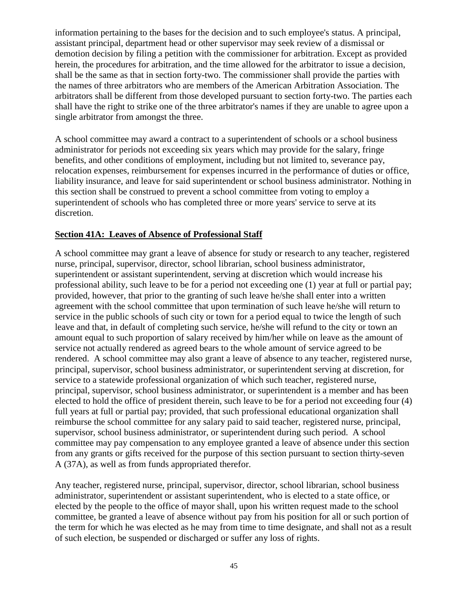information pertaining to the bases for the decision and to such employee's status. A principal, assistant principal, department head or other supervisor may seek review of a dismissal or demotion decision by filing a petition with the commissioner for arbitration. Except as provided herein, the procedures for arbitration, and the time allowed for the arbitrator to issue a decision, shall be the same as that in section forty-two. The commissioner shall provide the parties with the names of three arbitrators who are members of the American Arbitration Association. The arbitrators shall be different from those developed pursuant to section forty-two. The parties each shall have the right to strike one of the three arbitrator's names if they are unable to agree upon a single arbitrator from amongst the three.

A school committee may award a contract to a superintendent of schools or a school business administrator for periods not exceeding six years which may provide for the salary, fringe benefits, and other conditions of employment, including but not limited to, severance pay, relocation expenses, reimbursement for expenses incurred in the performance of duties or office, liability insurance, and leave for said superintendent or school business administrator. Nothing in this section shall be construed to prevent a school committee from voting to employ a superintendent of schools who has completed three or more years' service to serve at its discretion.

# **Section 41A: Leaves of Absence of Professional Staff**

A school committee may grant a leave of absence for study or research to any teacher, registered nurse, principal, supervisor, director, school librarian, school business administrator, superintendent or assistant superintendent, serving at discretion which would increase his professional ability, such leave to be for a period not exceeding one (1) year at full or partial pay; provided, however, that prior to the granting of such leave he/she shall enter into a written agreement with the school committee that upon termination of such leave he/she will return to service in the public schools of such city or town for a period equal to twice the length of such leave and that, in default of completing such service, he/she will refund to the city or town an amount equal to such proportion of salary received by him/her while on leave as the amount of service not actually rendered as agreed bears to the whole amount of service agreed to be rendered. A school committee may also grant a leave of absence to any teacher, registered nurse, principal, supervisor, school business administrator, or superintendent serving at discretion, for service to a statewide professional organization of which such teacher, registered nurse, principal, supervisor, school business administrator, or superintendent is a member and has been elected to hold the office of president therein, such leave to be for a period not exceeding four (4) full years at full or partial pay; provided, that such professional educational organization shall reimburse the school committee for any salary paid to said teacher, registered nurse, principal, supervisor, school business administrator, or superintendent during such period. A school committee may pay compensation to any employee granted a leave of absence under this section from any grants or gifts received for the purpose of this section pursuant to section thirty-seven A (37A), as well as from funds appropriated therefor.

Any teacher, registered nurse, principal, supervisor, director, school librarian, school business administrator, superintendent or assistant superintendent, who is elected to a state office, or elected by the people to the office of mayor shall, upon his written request made to the school committee, be granted a leave of absence without pay from his position for all or such portion of the term for which he was elected as he may from time to time designate, and shall not as a result of such election, be suspended or discharged or suffer any loss of rights.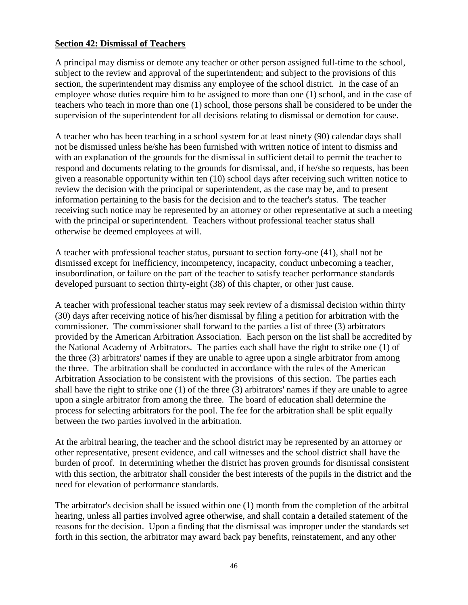## **Section 42: Dismissal of Teachers**

A principal may dismiss or demote any teacher or other person assigned full-time to the school, subject to the review and approval of the superintendent; and subject to the provisions of this section, the superintendent may dismiss any employee of the school district. In the case of an employee whose duties require him to be assigned to more than one (1) school, and in the case of teachers who teach in more than one (1) school, those persons shall be considered to be under the supervision of the superintendent for all decisions relating to dismissal or demotion for cause.

A teacher who has been teaching in a school system for at least ninety (90) calendar days shall not be dismissed unless he/she has been furnished with written notice of intent to dismiss and with an explanation of the grounds for the dismissal in sufficient detail to permit the teacher to respond and documents relating to the grounds for dismissal, and, if he/she so requests, has been given a reasonable opportunity within ten (10) school days after receiving such written notice to review the decision with the principal or superintendent, as the case may be, and to present information pertaining to the basis for the decision and to the teacher's status. The teacher receiving such notice may be represented by an attorney or other representative at such a meeting with the principal or superintendent. Teachers without professional teacher status shall otherwise be deemed employees at will.

A teacher with professional teacher status, pursuant to section forty-one (41), shall not be dismissed except for inefficiency, incompetency, incapacity, conduct unbecoming a teacher, insubordination, or failure on the part of the teacher to satisfy teacher performance standards developed pursuant to section thirty-eight (38) of this chapter, or other just cause.

A teacher with professional teacher status may seek review of a dismissal decision within thirty (30) days after receiving notice of his/her dismissal by filing a petition for arbitration with the commissioner. The commissioner shall forward to the parties a list of three (3) arbitrators provided by the American Arbitration Association. Each person on the list shall be accredited by the National Academy of Arbitrators. The parties each shall have the right to strike one (1) of the three (3) arbitrators' names if they are unable to agree upon a single arbitrator from among the three. The arbitration shall be conducted in accordance with the rules of the American Arbitration Association to be consistent with the provisions of this section. The parties each shall have the right to strike one (1) of the three (3) arbitrators' names if they are unable to agree upon a single arbitrator from among the three. The board of education shall determine the process for selecting arbitrators for the pool. The fee for the arbitration shall be split equally between the two parties involved in the arbitration.

At the arbitral hearing, the teacher and the school district may be represented by an attorney or other representative, present evidence, and call witnesses and the school district shall have the burden of proof. In determining whether the district has proven grounds for dismissal consistent with this section, the arbitrator shall consider the best interests of the pupils in the district and the need for elevation of performance standards.

The arbitrator's decision shall be issued within one (1) month from the completion of the arbitral hearing, unless all parties involved agree otherwise, and shall contain a detailed statement of the reasons for the decision. Upon a finding that the dismissal was improper under the standards set forth in this section, the arbitrator may award back pay benefits, reinstatement, and any other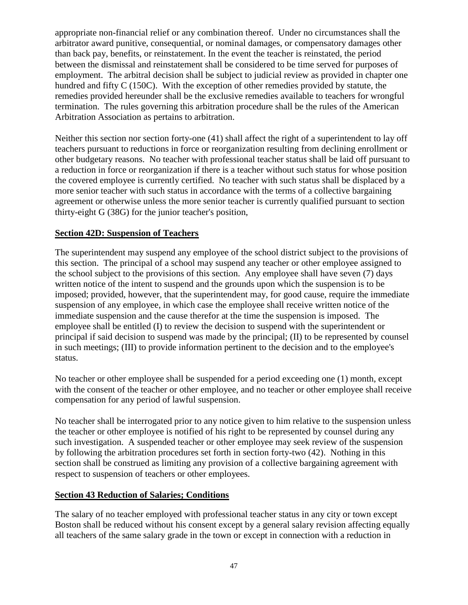appropriate non-financial relief or any combination thereof. Under no circumstances shall the arbitrator award punitive, consequential, or nominal damages, or compensatory damages other than back pay, benefits, or reinstatement. In the event the teacher is reinstated, the period between the dismissal and reinstatement shall be considered to be time served for purposes of employment. The arbitral decision shall be subject to judicial review as provided in chapter one hundred and fifty C (150C). With the exception of other remedies provided by statute, the remedies provided hereunder shall be the exclusive remedies available to teachers for wrongful termination. The rules governing this arbitration procedure shall be the rules of the American Arbitration Association as pertains to arbitration.

Neither this section nor section forty-one (41) shall affect the right of a superintendent to lay off teachers pursuant to reductions in force or reorganization resulting from declining enrollment or other budgetary reasons. No teacher with professional teacher status shall be laid off pursuant to a reduction in force or reorganization if there is a teacher without such status for whose position the covered employee is currently certified. No teacher with such status shall be displaced by a more senior teacher with such status in accordance with the terms of a collective bargaining agreement or otherwise unless the more senior teacher is currently qualified pursuant to section thirty-eight G (38G) for the junior teacher's position,

# **Section 42D: Suspension of Teachers**

The superintendent may suspend any employee of the school district subject to the provisions of this section. The principal of a school may suspend any teacher or other employee assigned to the school subject to the provisions of this section. Any employee shall have seven (7) days written notice of the intent to suspend and the grounds upon which the suspension is to be imposed; provided, however, that the superintendent may, for good cause, require the immediate suspension of any employee, in which case the employee shall receive written notice of the immediate suspension and the cause therefor at the time the suspension is imposed. The employee shall be entitled (I) to review the decision to suspend with the superintendent or principal if said decision to suspend was made by the principal; (II) to be represented by counsel in such meetings; (III) to provide information pertinent to the decision and to the employee's status.

No teacher or other employee shall be suspended for a period exceeding one (1) month, except with the consent of the teacher or other employee, and no teacher or other employee shall receive compensation for any period of lawful suspension.

No teacher shall be interrogated prior to any notice given to him relative to the suspension unless the teacher or other employee is notified of his right to be represented by counsel during any such investigation. A suspended teacher or other employee may seek review of the suspension by following the arbitration procedures set forth in section forty-two (42). Nothing in this section shall be construed as limiting any provision of a collective bargaining agreement with respect to suspension of teachers or other employees.

## **Section 43 Reduction of Salaries; Conditions**

The salary of no teacher employed with professional teacher status in any city or town except Boston shall be reduced without his consent except by a general salary revision affecting equally all teachers of the same salary grade in the town or except in connection with a reduction in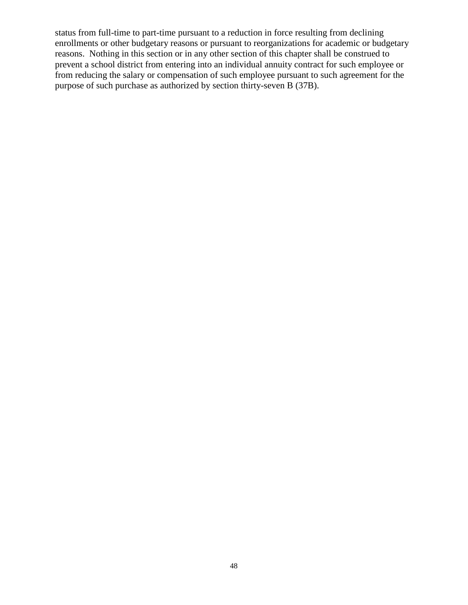status from full-time to part-time pursuant to a reduction in force resulting from declining enrollments or other budgetary reasons or pursuant to reorganizations for academic or budgetary reasons. Nothing in this section or in any other section of this chapter shall be construed to prevent a school district from entering into an individual annuity contract for such employee or from reducing the salary or compensation of such employee pursuant to such agreement for the purpose of such purchase as authorized by section thirty-seven B (37B).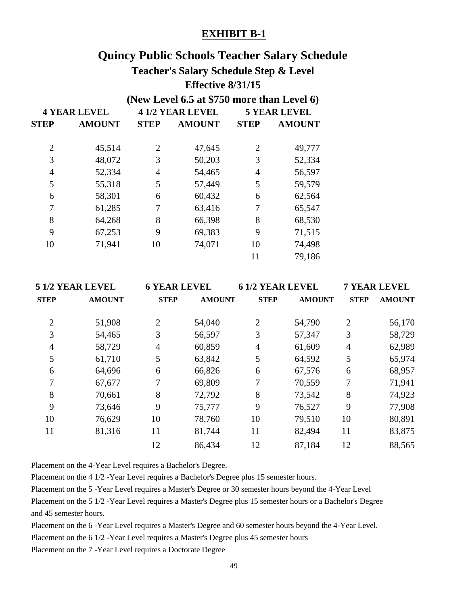# **Quincy Public Schools Teacher Salary Schedule**

# **Teacher's Salary Schedule Step & Level Effective 8/31/15**

# **(New Level 6.5 at \$750 more than Level 6)**

| <b>5 YEAR LEVEL</b> |  |  |
|---------------------|--|--|
| <b>AMOUNT</b>       |  |  |
| 49,777              |  |  |
| 52,334              |  |  |
| 56,597              |  |  |
| 59,579              |  |  |
| 62,564              |  |  |
| 65,547              |  |  |
| 68,530              |  |  |
| 71,515              |  |  |
| 74,498              |  |  |
| 79,186              |  |  |
|                     |  |  |

| 5 1/2 YEAR LEVEL |                |        | <b>61/2 YEAR LEVEL</b> |               |                |               |  | <b>7 YEAR LEVEL</b> |
|------------------|----------------|--------|------------------------|---------------|----------------|---------------|--|---------------------|
| <b>AMOUNT</b>    | <b>STEP</b>    |        | <b>STEP</b>            | <b>AMOUNT</b> | <b>STEP</b>    | <b>AMOUNT</b> |  |                     |
| 51,908           | $\overline{2}$ | 54,040 | 2                      | 54,790        | $\overline{2}$ | 56,170        |  |                     |
| 54,465           | 3              | 56,597 | 3                      | 57,347        | 3              | 58,729        |  |                     |
| 58,729           | 4              | 60,859 | $\overline{4}$         | 61,609        | $\overline{4}$ | 62,989        |  |                     |
| 61,710           | 5              | 63,842 | 5                      | 64,592        | 5              | 65,974        |  |                     |
| 64,696           | 6              | 66,826 | 6                      | 67,576        | 6              | 68,957        |  |                     |
| 67,677           | 7              | 69,809 | 7                      | 70,559        | 7              | 71,941        |  |                     |
| 70,661           | 8              | 72,792 | 8                      | 73,542        | 8              | 74,923        |  |                     |
| 73,646           | 9              | 75,777 | 9                      | 76,527        | 9              | 77,908        |  |                     |
| 76,629           | 10             | 78,760 | 10                     | 79,510        | 10             | 80,891        |  |                     |
| 81,316           | 11             | 81,744 | 11                     | 82,494        | 11             | 83,875        |  |                     |
|                  | 12             | 86,434 | 12                     | 87,184        | 12             | 88,565        |  |                     |
|                  |                |        | <b>6 YEAR LEVEL</b>    | <b>AMOUNT</b> |                |               |  |                     |

Placement on the 4-Year Level requires a Bachelor's Degree.

Placement on the 4 1/2 -Year Level requires a Bachelor's Degree plus 15 semester hours.

Placement on the 5 -Year Level requires a Master's Degree or 30 semester hours beyond the 4-Year Level

Placement on the 5 1/2 -Year Level requires a Master's Degree plus 15 semester hours or a Bachelor's Degree and 45 semester hours.

Placement on the 6 -Year Level requires a Master's Degree and 60 semester hours beyond the 4-Year Level.

Placement on the 6 1/2 -Year Level requires a Master's Degree plus 45 semester hours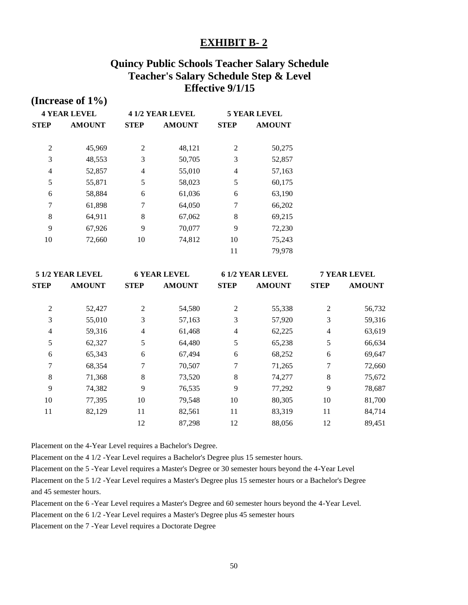# **Quincy Public Schools Teacher Salary Schedule Teacher's Salary Schedule Step & Level Effective 9/1/15**

|                     | (Increase of $1\%$ ) |    |                        |                     |               |             |               |
|---------------------|----------------------|----|------------------------|---------------------|---------------|-------------|---------------|
| <b>4 YEAR LEVEL</b> |                      |    | <b>41/2 YEAR LEVEL</b> | <b>5 YEAR LEVEL</b> |               |             |               |
| <b>STEP</b>         | <b>AMOUNT</b>        |    | <b>STEP</b>            |                     | <b>AMOUNT</b> | <b>STEP</b> | <b>AMOUNT</b> |
| $\overline{2}$      | 45,969               | 2  | 48,121                 | 2                   | 50,275        |             |               |
| 3                   | 48,553               | 3  | 50,705                 | 3                   | 52,857        |             |               |
| $\overline{4}$      | 52,857               | 4  | 55,010                 | $\overline{4}$      | 57,163        |             |               |
| 5                   | 55,871               | 5  | 58,023                 | 5                   | 60,175        |             |               |
| 6                   | 58,884               | 6  | 61,036                 | 6                   | 63,190        |             |               |
| 7                   | 61,898               | 7  | 64,050                 | 7                   | 66,202        |             |               |
| 8                   | 64,911               | 8  | 67,062                 | 8                   | 69,215        |             |               |
| 9                   | 67,926               | 9  | 70,077                 | 9                   | 72,230        |             |               |
| 10                  | 72,660               | 10 | 74,812                 | 10                  | 75,243        |             |               |
|                     |                      |    |                        | 11                  | 79,978        |             |               |

| 5 1/2 YEAR LEVEL |               |             | <b>6 YEAR LEVEL</b> |                | 6 1/2 YEAR LEVEL |             | <b>7 YEAR LEVEL</b> |
|------------------|---------------|-------------|---------------------|----------------|------------------|-------------|---------------------|
| STEP             | <b>AMOUNT</b> | <b>STEP</b> | <b>AMOUNT</b>       | <b>STEP</b>    | <b>AMOUNT</b>    | <b>STEP</b> | <b>AMOUNT</b>       |
| 2                | 52,427        | 2           | 54,580              | $\overline{2}$ | 55,338           | 2           | 56,732              |
| 3                | 55,010        | 3           | 57,163              | 3              | 57,920           | 3           | 59,316              |
| 4                | 59,316        | 4           | 61,468              | $\overline{4}$ | 62,225           | 4           | 63,619              |
| 5                | 62,327        | 5           | 64,480              | 5              | 65,238           | 5           | 66,634              |
| 6                | 65,343        | 6           | 67,494              | 6              | 68,252           | 6           | 69,647              |
| 7                | 68,354        | 7           | 70,507              | 7              | 71,265           | 7           | 72,660              |
| 8                | 71,368        | 8           | 73,520              | 8              | 74,277           | 8           | 75,672              |
| 9                | 74,382        | 9           | 76,535              | 9              | 77,292           | 9           | 78,687              |
| 10               | 77,395        | 10          | 79,548              | 10             | 80,305           | 10          | 81,700              |
| 11               | 82,129        | 11          | 82,561              | 11             | 83,319           | 11          | 84,714              |
|                  |               | 12          | 87,298              | 12             | 88,056           | 12          | 89,451              |

Placement on the 4-Year Level requires a Bachelor's Degree.

Placement on the 4 1/2 -Year Level requires a Bachelor's Degree plus 15 semester hours.

Placement on the 5 -Year Level requires a Master's Degree or 30 semester hours beyond the 4-Year Level

Placement on the 5 1/2 -Year Level requires a Master's Degree plus 15 semester hours or a Bachelor's Degree and 45 semester hours.

Placement on the 6 -Year Level requires a Master's Degree and 60 semester hours beyond the 4-Year Level.

Placement on the 6 1/2 -Year Level requires a Master's Degree plus 45 semester hours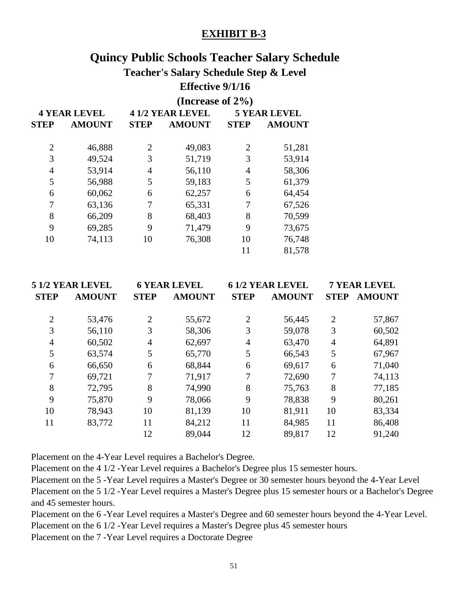# **Quincy Public Schools Teacher Salary Schedule**

# **Teacher's Salary Schedule Step & Level**

# **Effective 9/1/16**

|                     |               | (Increase of $2\%$ ) |                        |             |                     |  |
|---------------------|---------------|----------------------|------------------------|-------------|---------------------|--|
| <b>4 YEAR LEVEL</b> |               |                      | <b>41/2 YEAR LEVEL</b> |             | <b>5 YEAR LEVEL</b> |  |
| <b>STEP</b>         | <b>AMOUNT</b> | <b>STEP</b>          | <b>AMOUNT</b>          | <b>STEP</b> | <b>AMOUNT</b>       |  |
| $\overline{2}$      | 46,888        | $\overline{2}$       | 49,083                 | 2           | 51,281              |  |
| 3                   | 49,524        | 3                    | 51,719                 | 3           | 53,914              |  |
| 4                   | 53,914        | 4                    | 56,110                 | 4           | 58,306              |  |
| 5                   | 56,988        | 5                    | 59,183                 | 5           | 61,379              |  |
| 6                   | 60,062        | 6                    | 62,257                 | 6           | 64,454              |  |
| 7                   | 63,136        | 7                    | 65,331                 | 7           | 67,526              |  |
| 8                   | 66,209        | 8                    | 68,403                 | 8           | 70,599              |  |
| 9                   | 69,285        | 9                    | 71,479                 | 9           | 73,675              |  |
| 10                  | 74,113        | 10                   | 76,308                 | 10          | 76,748              |  |
|                     |               |                      |                        | 11          | 81,578              |  |

|                | <b>51/2 YEAR LEVEL</b> |                | <b>6 YEAR LEVEL</b> | <b>61/2 YEAR LEVEL</b> |               |                | <b>7 YEAR LEVEL</b> |
|----------------|------------------------|----------------|---------------------|------------------------|---------------|----------------|---------------------|
| <b>STEP</b>    | <b>AMOUNT</b>          | <b>STEP</b>    | <b>AMOUNT</b>       | <b>STEP</b>            | <b>AMOUNT</b> | <b>STEP</b>    | <b>AMOUNT</b>       |
| $\overline{2}$ | 53,476                 | $\overline{2}$ | 55,672              | $\overline{2}$         | 56,445        | 2              | 57,867              |
| 3              | 56,110                 | 3              | 58,306              | 3                      | 59,078        | 3              | 60,502              |
| 4              | 60,502                 | 4              | 62,697              | $\overline{4}$         | 63,470        | $\overline{4}$ | 64,891              |
| 5              | 63,574                 | 5              | 65,770              | 5                      | 66,543        | 5              | 67,967              |
| 6              | 66,650                 | 6              | 68,844              | 6                      | 69,617        | 6              | 71,040              |
| 7              | 69,721                 | 7              | 71,917              | 7                      | 72,690        | 7              | 74,113              |
| 8              | 72,795                 | 8              | 74,990              | 8                      | 75,763        | 8              | 77,185              |
| 9              | 75,870                 | 9              | 78,066              | 9                      | 78,838        | 9              | 80,261              |
| 10             | 78,943                 | 10             | 81,139              | 10                     | 81,911        | 10             | 83,334              |
| 11             | 83,772                 | 11             | 84,212              | 11                     | 84,985        | 11             | 86,408              |
|                |                        | 12             | 89,044              | 12                     | 89,817        | 12             | 91,240              |

Placement on the 4-Year Level requires a Bachelor's Degree.

Placement on the 4 1/2 -Year Level requires a Bachelor's Degree plus 15 semester hours.

Placement on the 5 -Year Level requires a Master's Degree or 30 semester hours beyond the 4-Year Level Placement on the 5 1/2 -Year Level requires a Master's Degree plus 15 semester hours or a Bachelor's Degree and 45 semester hours.

Placement on the 6 -Year Level requires a Master's Degree and 60 semester hours beyond the 4-Year Level. Placement on the 6 1/2 -Year Level requires a Master's Degree plus 45 semester hours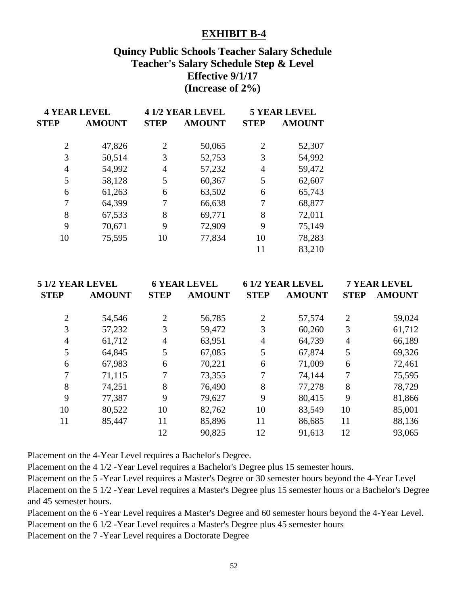# **Quincy Public Schools Teacher Salary Schedule Teacher's Salary Schedule Step & Level Effective 9/1/17 (Increase of 2%)**

| <b>4 YEAR LEVEL</b> |                              |    | <b>41/2 YEAR LEVEL</b> | <b>5 YEAR LEVEL</b> |               |  |
|---------------------|------------------------------|----|------------------------|---------------------|---------------|--|
| <b>STEP</b>         | <b>AMOUNT</b><br><b>STEP</b> |    | <b>AMOUNT</b>          | <b>STEP</b>         | <b>AMOUNT</b> |  |
|                     |                              |    |                        |                     |               |  |
| $\overline{2}$      | 47,826                       | 2  | 50,065                 | 2                   | 52,307        |  |
| 3                   | 50,514                       | 3  | 52,753                 | 3                   | 54,992        |  |
| 4                   | 54,992                       | 4  | 57,232                 | 4                   | 59,472        |  |
| 5                   | 58,128                       | 5  | 60,367                 | 5                   | 62,607        |  |
| 6                   | 61,263                       | 6  | 63,502                 | 6                   | 65,743        |  |
| 7                   | 64,399                       |    | 66,638                 | 7                   | 68,877        |  |
| 8                   | 67,533                       | 8  | 69,771                 | 8                   | 72,011        |  |
| 9                   | 70,671                       | 9  | 72,909                 | 9                   | 75,149        |  |
| 10                  | 75,595                       | 10 | 77,834                 | 10                  | 78,283        |  |
|                     |                              |    |                        | 11                  | 83,210        |  |

| 5 1/2 YEAR LEVEL |               | <b>6 YEAR LEVEL</b> |               | <b>61/2 YEAR LEVEL</b> |               | <b>7 YEAR LEVEL</b> |               |
|------------------|---------------|---------------------|---------------|------------------------|---------------|---------------------|---------------|
| <b>STEP</b>      | <b>AMOUNT</b> | <b>STEP</b>         | <b>AMOUNT</b> | <b>STEP</b>            | <b>AMOUNT</b> | <b>STEP</b>         | <b>AMOUNT</b> |
| $\overline{2}$   | 54,546        | $\overline{2}$      | 56,785        | $\overline{2}$         | 57,574        | $\overline{2}$      | 59,024        |
| 3                | 57,232        | 3                   | 59,472        | 3                      | 60,260        | 3                   | 61,712        |
| $\overline{4}$   | 61,712        | 4                   | 63,951        | $\overline{4}$         | 64,739        | 4                   | 66,189        |
| 5                | 64,845        | 5                   | 67,085        | 5                      | 67,874        | 5                   | 69,326        |
| 6                | 67,983        | 6                   | 70,221        | 6                      | 71,009        | 6                   | 72,461        |
| 7                | 71,115        | 7                   | 73,355        | 7                      | 74,144        | 7                   | 75,595        |
| 8                | 74,251        | 8                   | 76,490        | 8                      | 77,278        | 8                   | 78,729        |
| 9                | 77,387        | 9                   | 79,627        | 9                      | 80,415        | 9                   | 81,866        |
| 10               | 80,522        | 10                  | 82,762        | 10                     | 83,549        | 10                  | 85,001        |
| 11               | 85,447        | 11                  | 85,896        | 11                     | 86,685        | 11                  | 88,136        |
|                  |               | 12                  | 90,825        | 12                     | 91,613        | 12                  | 93,065        |

Placement on the 4-Year Level requires a Bachelor's Degree.

Placement on the 4 1/2 -Year Level requires a Bachelor's Degree plus 15 semester hours.

Placement on the 5 -Year Level requires a Master's Degree or 30 semester hours beyond the 4-Year Level Placement on the 5 1/2 -Year Level requires a Master's Degree plus 15 semester hours or a Bachelor's Degree and 45 semester hours.

Placement on the 6 -Year Level requires a Master's Degree and 60 semester hours beyond the 4-Year Level.

Placement on the 6 1/2 -Year Level requires a Master's Degree plus 45 semester hours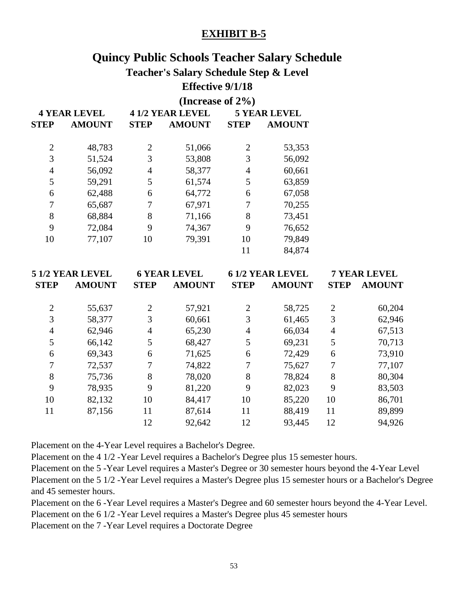# **Quincy Public Schools Teacher Salary Schedule**

# **Teacher's Salary Schedule Step & Level**

# **Effective 9/1/18**

|                | (Increase of $2\%$ )  |                  |
|----------------|-----------------------|------------------|
| 1 VE AD I EVEI | $4.1/2$ ve a d-i evel | $E$ ve ad i evel |

|                | 4 I LAR LEVEL |                | 4 1/4 I LAR LEVEL |                | J I LAK LEVEL |  |  |
|----------------|---------------|----------------|-------------------|----------------|---------------|--|--|
| <b>STEP</b>    | <b>AMOUNT</b> | <b>STEP</b>    | <b>AMOUNT</b>     | <b>STEP</b>    | <b>AMOUNT</b> |  |  |
| $\overline{2}$ | 48,783        | $\overline{2}$ | 51,066            | $\overline{2}$ | 53,353        |  |  |
| 3              | 51,524        | 3              | 53,808            | 3              | 56,092        |  |  |
| 4              | 56,092        | 4              | 58,377            | $\overline{4}$ | 60,661        |  |  |
| 5              | 59,291        | 5              | 61,574            | 5              | 63,859        |  |  |
| 6              | 62,488        | 6              | 64,772            | 6              | 67,058        |  |  |
| 7              | 65,687        |                | 67,971            |                | 70,255        |  |  |
| 8              | 68,884        | 8              | 71,166            | 8              | 73,451        |  |  |
| 9              | 72,084        | 9              | 74,367            | 9              | 76,652        |  |  |
| 10             | 77,107        | 10             | 79,391            | 10             | 79,849        |  |  |
|                |               |                |                   | 11             | 84,874        |  |  |

| <b>5 1/2 YEAR LEVEL</b> |                |               |             | <b>6 YEAR LEVEL</b> |                        |               | <b>7 YEAR LEVEL</b> |  |
|-------------------------|----------------|---------------|-------------|---------------------|------------------------|---------------|---------------------|--|
| <b>AMOUNT</b>           | <b>STEP</b>    | <b>AMOUNT</b> | <b>STEP</b> | <b>AMOUNT</b>       | <b>STEP</b>            | <b>AMOUNT</b> |                     |  |
| 55,637                  | $\overline{2}$ | 57,921        | 2           | 58,725              | $\overline{2}$         | 60,204        |                     |  |
| 58,377                  | 3              | 60,661        | 3           | 61,465              | 3                      | 62,946        |                     |  |
| 62,946                  | $\overline{4}$ | 65,230        | 4           | 66,034              | $\overline{4}$         | 67,513        |                     |  |
| 66,142                  | 5              | 68,427        | 5           | 69,231              | 5                      | 70,713        |                     |  |
| 69,343                  | 6              | 71,625        | 6           | 72,429              | 6                      | 73,910        |                     |  |
| 72,537                  | 7              | 74,822        |             | 75,627              | 7                      | 77,107        |                     |  |
| 75,736                  | 8              | 78,020        | 8           | 78,824              | 8                      | 80,304        |                     |  |
| 78,935                  | 9              | 81,220        | 9           | 82,023              | 9                      | 83,503        |                     |  |
| 82,132                  | 10             | 84,417        | 10          | 85,220              | 10                     | 86,701        |                     |  |
| 87,156                  | 11             | 87,614        | 11          | 88,419              | 11                     | 89,899        |                     |  |
|                         | 12             | 92,642        | 12          | 93,445              | 12                     | 94,926        |                     |  |
|                         |                |               |             |                     | <b>61/2 YEAR LEVEL</b> |               |                     |  |

Placement on the 4-Year Level requires a Bachelor's Degree.

Placement on the 4 1/2 -Year Level requires a Bachelor's Degree plus 15 semester hours.

Placement on the 5 -Year Level requires a Master's Degree or 30 semester hours beyond the 4-Year Level Placement on the 5 1/2 -Year Level requires a Master's Degree plus 15 semester hours or a Bachelor's Degree and 45 semester hours.

Placement on the 6 -Year Level requires a Master's Degree and 60 semester hours beyond the 4-Year Level. Placement on the 6 1/2 -Year Level requires a Master's Degree plus 45 semester hours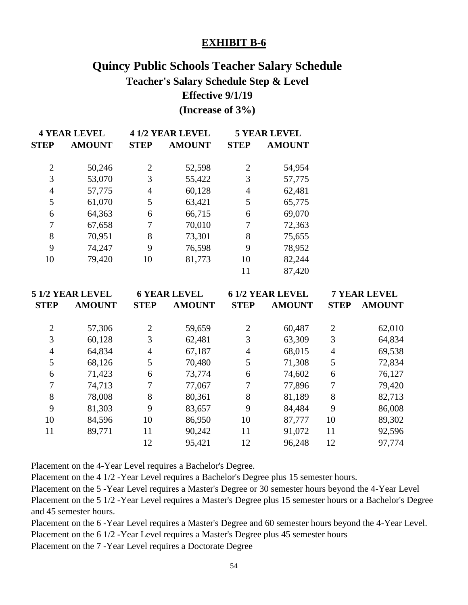# **Quincy Public Schools Teacher Salary Schedule Teacher's Salary Schedule Step & Level Effective 9/1/19 (Increase of 3%)**

|                | <b>4 YEAR LEVEL</b> |             | <b>41/2 YEAR LEVEL</b> |             | <b>5 YEAR LEVEL</b> |
|----------------|---------------------|-------------|------------------------|-------------|---------------------|
| <b>STEP</b>    | <b>AMOUNT</b>       | <b>STEP</b> | <b>AMOUNT</b>          | <b>STEP</b> | <b>AMOUNT</b>       |
| $\overline{2}$ | 50,246              | 2           | 52,598                 | 2           | 54,954              |
| 3              | 53,070              | 3           | 55,422                 | 3           | 57,775              |
| 4              | 57,775              | 4           | 60,128                 | 4           | 62,481              |
| 5              | 61,070              | 5           | 63,421                 | 5           | 65,775              |
| 6              | 64,363              | 6           | 66,715                 | 6           | 69,070              |
| 7              | 67,658              | 7           | 70,010                 | 7           | 72,363              |
| 8              | 70,951              | 8           | 73,301                 | 8           | 75,655              |
| 9              | 74,247              | 9           | 76,598                 | 9           | 78,952              |
| 10             | 79,420              | 10          | 81,773                 | 10          | 82,244              |
|                |                     |             |                        | 11          | 87,420              |

|                | 5 1/2 YEAR LEVEL<br><b>6 YEAR LEVEL</b> |                |               | <b>61/2 YEAR LEVEL</b> | <b>7 YEAR LEVEL</b> |                |               |
|----------------|-----------------------------------------|----------------|---------------|------------------------|---------------------|----------------|---------------|
| <b>STEP</b>    | <b>AMOUNT</b>                           | <b>STEP</b>    | <b>AMOUNT</b> | <b>STEP</b>            | <b>AMOUNT</b>       | <b>STEP</b>    | <b>AMOUNT</b> |
| $\overline{2}$ | 57,306                                  | $\overline{2}$ | 59,659        | $\overline{2}$         | 60,487              | 2              | 62,010        |
| 3              | 60,128                                  | 3              | 62,481        | 3                      | 63,309              | 3              | 64,834        |
| $\overline{4}$ | 64,834                                  | 4              | 67,187        | 4                      | 68,015              | $\overline{4}$ | 69,538        |
| 5              | 68,126                                  | 5              | 70,480        | 5                      | 71,308              | 5              | 72,834        |
| 6              | 71,423                                  | 6              | 73,774        | 6                      | 74,602              | 6              | 76,127        |
| 7              | 74,713                                  | 7              | 77,067        | 7                      | 77,896              | 7              | 79,420        |
| 8              | 78,008                                  | 8              | 80,361        | 8                      | 81,189              | 8              | 82,713        |
| 9              | 81,303                                  | 9              | 83,657        | 9                      | 84,484              | 9              | 86,008        |
| 10             | 84,596                                  | 10             | 86,950        | 10                     | 87,777              | 10             | 89,302        |
| 11             | 89,771                                  | 11             | 90,242        | 11                     | 91,072              | 11             | 92,596        |
|                |                                         | 12             | 95,421        | 12                     | 96,248              | 12             | 97,774        |

Placement on the 4-Year Level requires a Bachelor's Degree.

Placement on the 4 1/2 -Year Level requires a Bachelor's Degree plus 15 semester hours.

Placement on the 5 -Year Level requires a Master's Degree or 30 semester hours beyond the 4-Year Level Placement on the 5 1/2 -Year Level requires a Master's Degree plus 15 semester hours or a Bachelor's Degree and 45 semester hours.

Placement on the 6 -Year Level requires a Master's Degree and 60 semester hours beyond the 4-Year Level. Placement on the 6 1/2 -Year Level requires a Master's Degree plus 45 semester hours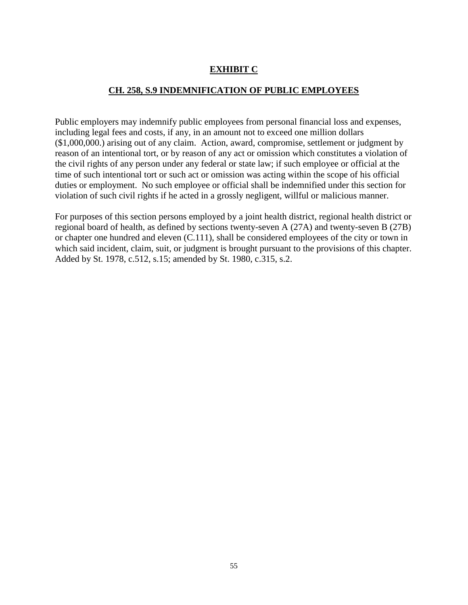# **EXHIBIT C**

# **CH. 258, S.9 INDEMNIFICATION OF PUBLIC EMPLOYEES**

Public employers may indemnify public employees from personal financial loss and expenses, including legal fees and costs, if any, in an amount not to exceed one million dollars (\$1,000,000.) arising out of any claim. Action, award, compromise, settlement or judgment by reason of an intentional tort, or by reason of any act or omission which constitutes a violation of the civil rights of any person under any federal or state law; if such employee or official at the time of such intentional tort or such act or omission was acting within the scope of his official duties or employment. No such employee or official shall be indemnified under this section for violation of such civil rights if he acted in a grossly negligent, willful or malicious manner.

For purposes of this section persons employed by a joint health district, regional health district or regional board of health, as defined by sections twenty-seven A (27A) and twenty-seven B (27B) or chapter one hundred and eleven (C.111), shall be considered employees of the city or town in which said incident, claim, suit, or judgment is brought pursuant to the provisions of this chapter. Added by St. 1978, c.512, s.15; amended by St. 1980, c.315, s.2.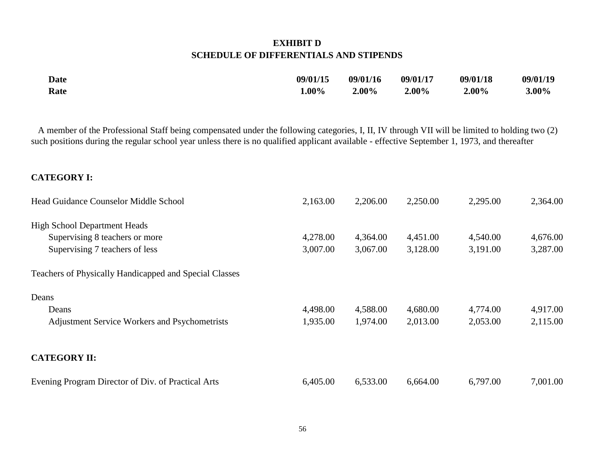# **EXHIBIT D SCHEDULE OF DIFFERENTIALS AND STIPENDS**

| <b>Date</b> | 09/01/15 | 09/01/16 | 09/01/17 | 09/01/18 | 09/01/19 |
|-------------|----------|----------|----------|----------|----------|
| Rate        | $1.00\%$ | $2.00\%$ | $2.00\%$ | $2.00\%$ | $3.00\%$ |

 A member of the Professional Staff being compensated under the following categories, I, II, IV through VII will be limited to holding two (2) such positions during the regular school year unless there is no qualified applicant available - effective September 1, 1973, and thereafter

# **CATEGORY I:**

| Head Guidance Counselor Middle School                  | 2,163.00 | 2,206.00 | 2,250.00 | 2,295.00 | 2,364.00 |
|--------------------------------------------------------|----------|----------|----------|----------|----------|
| <b>High School Department Heads</b>                    |          |          |          |          |          |
| Supervising 8 teachers or more                         | 4,278.00 | 4,364.00 | 4,451.00 | 4,540.00 | 4,676.00 |
| Supervising 7 teachers of less                         | 3,007.00 | 3,067.00 | 3,128.00 | 3,191.00 | 3,287.00 |
| Teachers of Physically Handicapped and Special Classes |          |          |          |          |          |
| Deans                                                  |          |          |          |          |          |
| Deans                                                  | 4,498.00 | 4,588.00 | 4,680.00 | 4,774.00 | 4,917.00 |
| <b>Adjustment Service Workers and Psychometrists</b>   | 1,935.00 | 1,974.00 | 2,013.00 | 2,053.00 | 2,115.00 |
| <b>CATEGORY II:</b>                                    |          |          |          |          |          |
| Evening Program Director of Div. of Practical Arts     | 6,405.00 | 6,533.00 | 6,664.00 | 6,797.00 | 7,001.00 |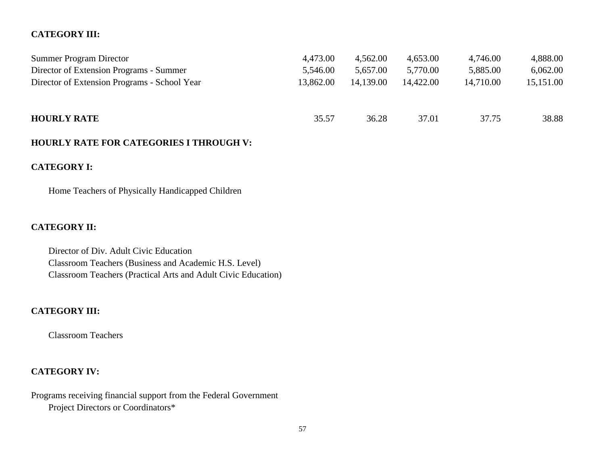# **CATEGORY III:**

| <b>Summer Program Director</b>               | 4,473.00  | 4,562.00  | 4,653.00  | 4,746.00  | 4,888.00  |
|----------------------------------------------|-----------|-----------|-----------|-----------|-----------|
| Director of Extension Programs - Summer      | 5,546.00  | 5,657.00  | 5,770.00  | 5,885.00  | 6,062.00  |
| Director of Extension Programs - School Year | 13,862.00 | 14,139.00 | 14,422.00 | 14,710.00 | 15,151.00 |
|                                              |           |           |           |           |           |
|                                              |           |           |           |           |           |
| <b>HOURLY RATE</b>                           | 35.57     | 36.28     | 37.01     | 37.75     | 38.88     |
|                                              |           |           |           |           |           |

# **HOURLY RATE FOR CATEGORIES I THROUGH V:**

# **CATEGORY I:**

Home Teachers of Physically Handicapped Children

# **CATEGORY II:**

Director of Div. Adult Civic Education Classroom Teachers (Business and Academic H.S. Level) Classroom Teachers (Practical Arts and Adult Civic Education)

# **CATEGORY III:**

Classroom Teachers

# **CATEGORY IV:**

Programs receiving financial support from the Federal Government Project Directors or Coordinators\*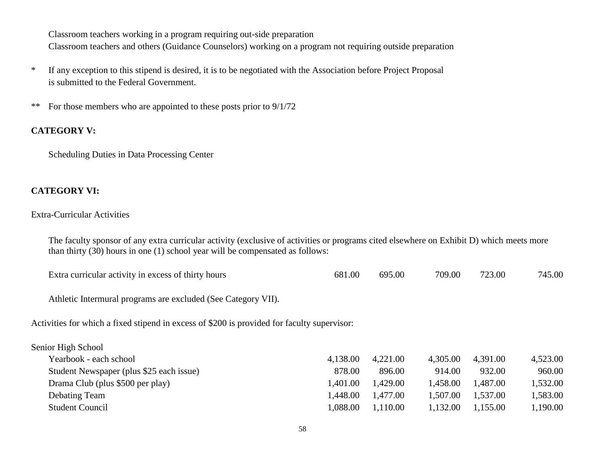Classroom teachers working in a program requiring out-side preparation Classroom teachers and others (Guidance Counselors) working on a program not requiring outside preparation

- \* If any exception to this stipend is desired, it is to be negotiated with the Association before Project Proposal is submitted to the Federal Government.
- \*\* For those members who are appointed to these posts prior to 9/1/72

# **CATEGORY V:**

Scheduling Duties in Data Processing Center

# **CATEGORY VI:**

#### Extra-Curricular Activities

The faculty sponsor of any extra curricular activity (exclusive of activities or programs cited elsewhere on Exhibit D) which meets more than thirty (30) hours in one (1) school year will be compensated as follows:

| Extra curricular activity in excess of thirty hours | 681.00 | 695.00 | 709.00 | 723.00 | 745.00 |
|-----------------------------------------------------|--------|--------|--------|--------|--------|
|-----------------------------------------------------|--------|--------|--------|--------|--------|

Athletic Intermural programs are excluded (See Category VII).

Activities for which a fixed stipend in excess of \$200 is provided for faculty supervisor:

| 4,523.00 |
|----------|
| 960.00   |
| 1,532.00 |
| 1,583.00 |
| 1,190.00 |
|          |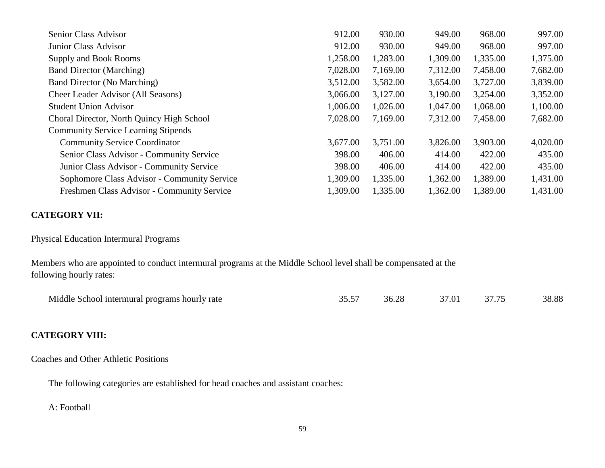| Senior Class Advisor                        | 912.00   | 930.00   | 949.00   | 968.00   | 997.00   |
|---------------------------------------------|----------|----------|----------|----------|----------|
| Junior Class Advisor                        | 912.00   | 930.00   | 949.00   | 968.00   | 997.00   |
| Supply and Book Rooms                       | 1,258.00 | 1,283.00 | 1,309.00 | 1,335.00 | 1,375.00 |
| <b>Band Director (Marching)</b>             | 7,028.00 | 7,169.00 | 7,312.00 | 7,458.00 | 7,682.00 |
| <b>Band Director (No Marching)</b>          | 3,512.00 | 3,582.00 | 3,654.00 | 3,727.00 | 3,839.00 |
| <b>Cheer Leader Advisor (All Seasons)</b>   | 3,066.00 | 3,127.00 | 3,190.00 | 3,254.00 | 3,352.00 |
| <b>Student Union Advisor</b>                | 1,006.00 | 1,026.00 | 1,047.00 | 1,068.00 | 1,100.00 |
| Choral Director, North Quincy High School   | 7,028.00 | 7,169.00 | 7,312.00 | 7,458.00 | 7,682.00 |
| <b>Community Service Learning Stipends</b>  |          |          |          |          |          |
| <b>Community Service Coordinator</b>        | 3,677.00 | 3,751.00 | 3,826.00 | 3,903.00 | 4,020.00 |
| Senior Class Advisor - Community Service    | 398.00   | 406.00   | 414.00   | 422.00   | 435.00   |
| Junior Class Advisor - Community Service    | 398.00   | 406.00   | 414.00   | 422.00   | 435.00   |
| Sophomore Class Advisor - Community Service | 1,309.00 | 1,335.00 | 1,362.00 | 1,389.00 | 1,431.00 |
| Freshmen Class Advisor - Community Service  | 1,309.00 | 1,335.00 | 1,362.00 | 1,389.00 | 1,431.00 |

# **CATEGORY VII:**

Physical Education Intermural Programs

Members who are appointed to conduct intermural programs at the Middle School level shall be compensated at the following hourly rates:

| Middle.<br>programs<br>, hourly rate<br>. School intermural a | $\overline{a}$<br>. | ിറ<br>$\overline{1}$<br>$\sim$ | $^{\prime}.0^{\cdot}$ |  | າດ ດດ<br>0.00 |
|---------------------------------------------------------------|---------------------|--------------------------------|-----------------------|--|---------------|
|---------------------------------------------------------------|---------------------|--------------------------------|-----------------------|--|---------------|

# **CATEGORY VIII:**

Coaches and Other Athletic Positions

The following categories are established for head coaches and assistant coaches:

## A: Football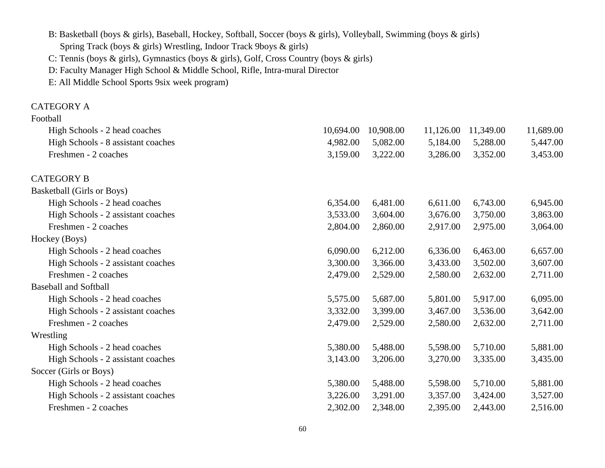B: Basketball (boys & girls), Baseball, Hockey, Softball, Soccer (boys & girls), Volleyball, Swimming (boys & girls) Spring Track (boys & girls) Wrestling, Indoor Track 9boys & girls) C: Tennis (boys & girls), Gymnastics (boys & girls), Golf, Cross Country (boys & girls)

D: Faculty Manager High School & Middle School, Rifle, Intra-mural Director

E: All Middle School Sports 9six week program)

# CATEGORY A

| Football |
|----------|
|----------|

| High Schools - 2 head coaches      | 10,694.00 | 10,908.00 | 11,126.00 | 11,349.00 | 11,689.00 |
|------------------------------------|-----------|-----------|-----------|-----------|-----------|
| High Schools - 8 assistant coaches | 4,982.00  | 5,082.00  | 5,184.00  | 5,288.00  | 5,447.00  |
| Freshmen - 2 coaches               | 3,159.00  | 3,222.00  | 3,286.00  | 3,352.00  | 3,453.00  |
| <b>CATEGORY B</b>                  |           |           |           |           |           |
| <b>Basketball (Girls or Boys)</b>  |           |           |           |           |           |
| High Schools - 2 head coaches      | 6,354.00  | 6,481.00  | 6,611.00  | 6,743.00  | 6,945.00  |
| High Schools - 2 assistant coaches | 3,533.00  | 3,604.00  | 3,676.00  | 3,750.00  | 3,863.00  |
| Freshmen - 2 coaches               | 2,804.00  | 2,860.00  | 2,917.00  | 2,975.00  | 3,064.00  |
| Hockey (Boys)                      |           |           |           |           |           |
| High Schools - 2 head coaches      | 6,090.00  | 6,212.00  | 6,336.00  | 6,463.00  | 6,657.00  |
| High Schools - 2 assistant coaches | 3,300.00  | 3,366.00  | 3,433.00  | 3,502.00  | 3,607.00  |
| Freshmen - 2 coaches               | 2,479.00  | 2,529.00  | 2,580.00  | 2,632.00  | 2,711.00  |
| <b>Baseball and Softball</b>       |           |           |           |           |           |
| High Schools - 2 head coaches      | 5,575.00  | 5,687.00  | 5,801.00  | 5,917.00  | 6,095.00  |
| High Schools - 2 assistant coaches | 3,332.00  | 3,399.00  | 3,467.00  | 3,536.00  | 3,642.00  |
| Freshmen - 2 coaches               | 2,479.00  | 2,529.00  | 2,580.00  | 2,632.00  | 2,711.00  |
| Wrestling                          |           |           |           |           |           |
| High Schools - 2 head coaches      | 5,380.00  | 5,488.00  | 5,598.00  | 5,710.00  | 5,881.00  |
| High Schools - 2 assistant coaches | 3,143.00  | 3,206.00  | 3,270.00  | 3,335.00  | 3,435.00  |
| Soccer (Girls or Boys)             |           |           |           |           |           |
| High Schools - 2 head coaches      | 5,380.00  | 5,488.00  | 5,598.00  | 5,710.00  | 5,881.00  |
| High Schools - 2 assistant coaches | 3,226.00  | 3,291.00  | 3,357.00  | 3,424.00  | 3,527.00  |
| Freshmen - 2 coaches               | 2,302.00  | 2,348.00  | 2,395.00  | 2,443.00  | 2,516.00  |
|                                    |           |           |           |           |           |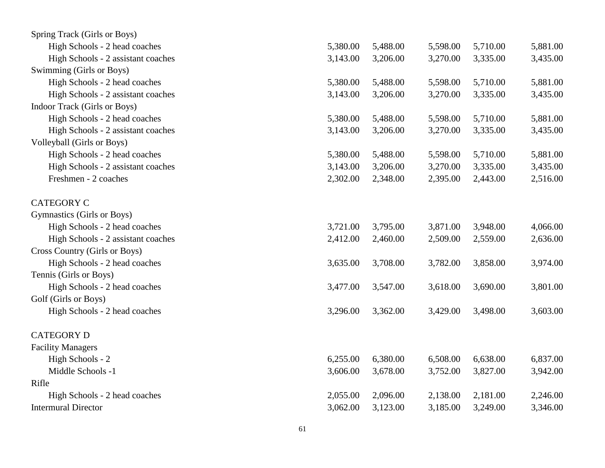| Spring Track (Girls or Boys)       |          |          |          |          |          |
|------------------------------------|----------|----------|----------|----------|----------|
| High Schools - 2 head coaches      | 5,380.00 | 5,488.00 | 5,598.00 | 5,710.00 | 5,881.00 |
| High Schools - 2 assistant coaches | 3,143.00 | 3,206.00 | 3,270.00 | 3,335.00 | 3,435.00 |
| Swimming (Girls or Boys)           |          |          |          |          |          |
| High Schools - 2 head coaches      | 5,380.00 | 5,488.00 | 5,598.00 | 5,710.00 | 5,881.00 |
| High Schools - 2 assistant coaches | 3,143.00 | 3,206.00 | 3,270.00 | 3,335.00 | 3,435.00 |
| Indoor Track (Girls or Boys)       |          |          |          |          |          |
| High Schools - 2 head coaches      | 5,380.00 | 5,488.00 | 5,598.00 | 5,710.00 | 5,881.00 |
| High Schools - 2 assistant coaches | 3,143.00 | 3,206.00 | 3,270.00 | 3,335.00 | 3,435.00 |
| <b>Volleyball (Girls or Boys)</b>  |          |          |          |          |          |
| High Schools - 2 head coaches      | 5,380.00 | 5,488.00 | 5,598.00 | 5,710.00 | 5,881.00 |
| High Schools - 2 assistant coaches | 3,143.00 | 3,206.00 | 3,270.00 | 3,335.00 | 3,435.00 |
| Freshmen - 2 coaches               | 2,302.00 | 2,348.00 | 2,395.00 | 2,443.00 | 2,516.00 |
| <b>CATEGORY C</b>                  |          |          |          |          |          |
| Gymnastics (Girls or Boys)         |          |          |          |          |          |
| High Schools - 2 head coaches      | 3,721.00 | 3,795.00 | 3,871.00 | 3,948.00 | 4,066.00 |
| High Schools - 2 assistant coaches | 2,412.00 | 2,460.00 | 2,509.00 | 2,559.00 | 2,636.00 |
| Cross Country (Girls or Boys)      |          |          |          |          |          |
| High Schools - 2 head coaches      | 3,635.00 | 3,708.00 | 3,782.00 | 3,858.00 | 3,974.00 |
| Tennis (Girls or Boys)             |          |          |          |          |          |
| High Schools - 2 head coaches      | 3,477.00 | 3,547.00 | 3,618.00 | 3,690.00 | 3,801.00 |
| Golf (Girls or Boys)               |          |          |          |          |          |
| High Schools - 2 head coaches      | 3,296.00 | 3,362.00 | 3,429.00 | 3,498.00 | 3,603.00 |
| <b>CATEGORY D</b>                  |          |          |          |          |          |
| <b>Facility Managers</b>           |          |          |          |          |          |
| High Schools - 2                   | 6,255.00 | 6,380.00 | 6,508.00 | 6,638.00 | 6,837.00 |
| Middle Schools -1                  | 3,606.00 | 3,678.00 | 3,752.00 | 3,827.00 | 3,942.00 |
| Rifle                              |          |          |          |          |          |
| High Schools - 2 head coaches      | 2,055.00 | 2,096.00 | 2,138.00 | 2,181.00 | 2,246.00 |
| <b>Intermural Director</b>         | 3,062.00 | 3,123.00 | 3,185.00 | 3,249.00 | 3,346.00 |
|                                    |          |          |          |          |          |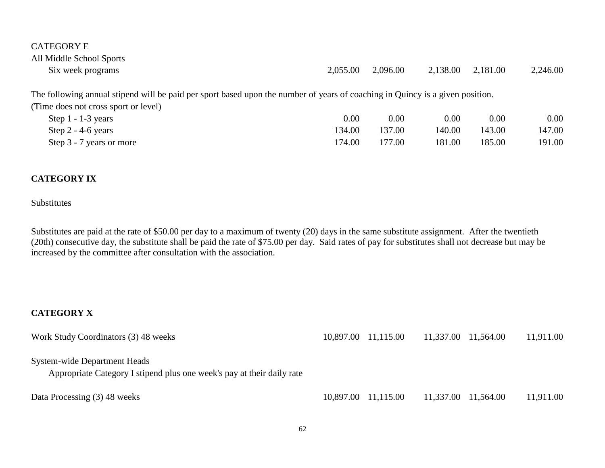| <b>CATEGORY E</b>                                                                                                             |          |          |          |          |          |
|-------------------------------------------------------------------------------------------------------------------------------|----------|----------|----------|----------|----------|
| All Middle School Sports                                                                                                      |          |          |          |          |          |
| Six week programs                                                                                                             | 2.055.00 | 2,096.00 | 2,138.00 | 2,181.00 | 2,246.00 |
| The following annual stipend will be paid per sport based upon the number of years of coaching in Quincy is a given position. |          |          |          |          |          |
| (Time does not cross sport or level)                                                                                          |          |          |          |          |          |

| Step $1 - 1 - 3$ years   | $0.00\,$ | $0.00\,$ | 0.00   | 0.00   | $0.00\,$ |
|--------------------------|----------|----------|--------|--------|----------|
| Step $2 - 4 - 6$ years   | 134.00   | 137.00   | 140.00 | 143.00 | 147.00   |
| Step 3 - 7 years or more | 174.00   | 177.00   | 181.00 | 185.00 | 191.00   |

# **CATEGORY IX**

### Substitutes

Substitutes are paid at the rate of \$50.00 per day to a maximum of twenty (20) days in the same substitute assignment. After the twentieth (20th) consecutive day, the substitute shall be paid the rate of \$75.00 per day. Said rates of pay for substitutes shall not decrease but may be increased by the committee after consultation with the association.

# **CATEGORY X**

| Work Study Coordinators (3) 48 weeks                                                                   | 10,897.00 11,115.00 | 11,337.00 11,564.00 | 11,911.00 |
|--------------------------------------------------------------------------------------------------------|---------------------|---------------------|-----------|
| System-wide Department Heads<br>Appropriate Category I stipend plus one week's pay at their daily rate |                     |                     |           |
| Data Processing (3) 48 weeks                                                                           | 10,897.00 11,115.00 | 11,337.00 11,564.00 | 11,911.00 |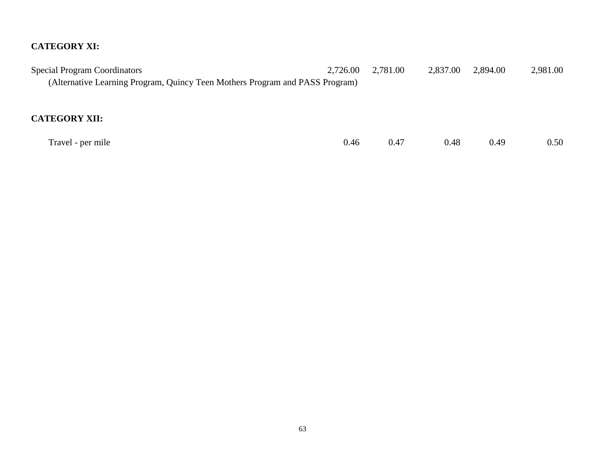# **CATEGORY XI:**

| <b>Special Program Coordinators</b>                                          | 2,726.00 | 2,781.00 | 2,837.00 | 2,894.00 | 2,981.00 |
|------------------------------------------------------------------------------|----------|----------|----------|----------|----------|
| (Alternative Learning Program, Quincy Teen Mothers Program and PASS Program) |          |          |          |          |          |
|                                                                              |          |          |          |          |          |
|                                                                              |          |          |          |          |          |
| <b>CATEGORY XII:</b>                                                         |          |          |          |          |          |
|                                                                              |          |          |          |          |          |
| Travel - per mile                                                            | 0.46     | 0.47     | 0.48     | 0.49     | 0.50     |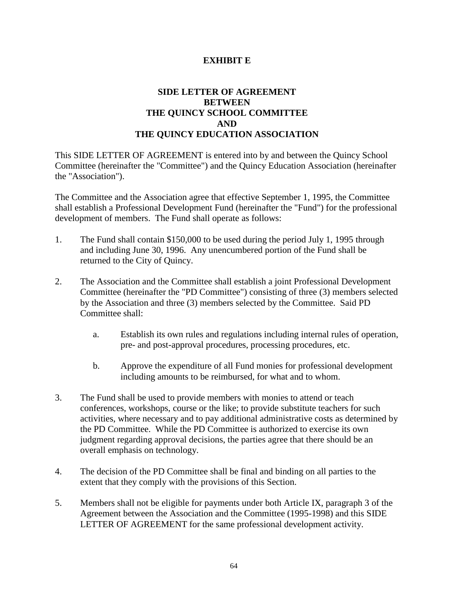# **EXHIBIT E**

# **SIDE LETTER OF AGREEMENT BETWEEN THE QUINCY SCHOOL COMMITTEE AND THE QUINCY EDUCATION ASSOCIATION**

This SIDE LETTER OF AGREEMENT is entered into by and between the Quincy School Committee (hereinafter the "Committee") and the Quincy Education Association (hereinafter the "Association").

The Committee and the Association agree that effective September 1, 1995, the Committee shall establish a Professional Development Fund (hereinafter the "Fund") for the professional development of members. The Fund shall operate as follows:

- 1. The Fund shall contain \$150,000 to be used during the period July 1, 1995 through and including June 30, 1996. Any unencumbered portion of the Fund shall be returned to the City of Quincy.
- 2. The Association and the Committee shall establish a joint Professional Development Committee (hereinafter the "PD Committee") consisting of three (3) members selected by the Association and three (3) members selected by the Committee. Said PD Committee shall:
	- a. Establish its own rules and regulations including internal rules of operation, pre- and post-approval procedures, processing procedures, etc.
	- b. Approve the expenditure of all Fund monies for professional development including amounts to be reimbursed, for what and to whom.
- 3. The Fund shall be used to provide members with monies to attend or teach conferences, workshops, course or the like; to provide substitute teachers for such activities, where necessary and to pay additional administrative costs as determined by the PD Committee. While the PD Committee is authorized to exercise its own judgment regarding approval decisions, the parties agree that there should be an overall emphasis on technology.
- 4. The decision of the PD Committee shall be final and binding on all parties to the extent that they comply with the provisions of this Section.
- 5. Members shall not be eligible for payments under both Article IX, paragraph 3 of the Agreement between the Association and the Committee (1995-1998) and this SIDE LETTER OF AGREEMENT for the same professional development activity.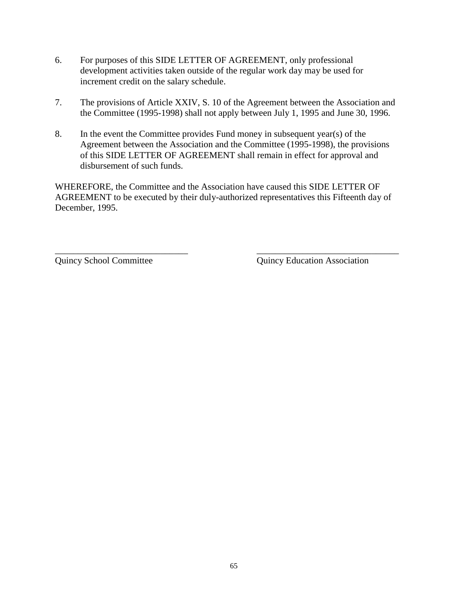- 6. For purposes of this SIDE LETTER OF AGREEMENT, only professional development activities taken outside of the regular work day may be used for increment credit on the salary schedule.
- 7. The provisions of Article XXIV, S. 10 of the Agreement between the Association and the Committee (1995-1998) shall not apply between July 1, 1995 and June 30, 1996.
- 8. In the event the Committee provides Fund money in subsequent year(s) of the Agreement between the Association and the Committee (1995-1998), the provisions of this SIDE LETTER OF AGREEMENT shall remain in effect for approval and disbursement of such funds.

WHEREFORE, the Committee and the Association have caused this SIDE LETTER OF AGREEMENT to be executed by their duly-authorized representatives this Fifteenth day of December, 1995.

\_\_\_\_\_\_\_\_\_\_\_\_\_\_\_\_\_\_\_\_\_\_\_\_\_\_\_\_\_ \_\_\_\_\_\_\_\_\_\_\_\_\_\_\_\_\_\_\_\_\_\_\_\_\_\_\_\_\_\_\_

Quincy School Committee Quincy Education Association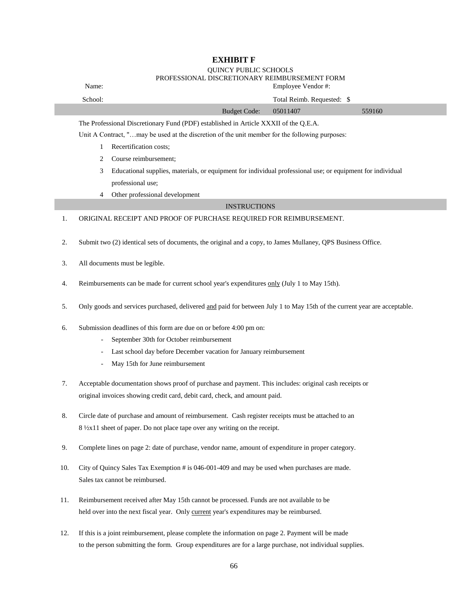#### **EXHIBIT F**

# QUINCY PUBLIC SCHOOLS

#### PROFESSIONAL DISCRETIONARY REIMBURSEMENT FORM

|    | Name:                                                                                                        |                                                                                                            |                     | Employee Vendor#:          |        |  |  |  |
|----|--------------------------------------------------------------------------------------------------------------|------------------------------------------------------------------------------------------------------------|---------------------|----------------------------|--------|--|--|--|
|    | School:                                                                                                      |                                                                                                            |                     | Total Reimb. Requested: \$ |        |  |  |  |
|    |                                                                                                              |                                                                                                            | <b>Budget Code:</b> | 05011407                   | 559160 |  |  |  |
|    |                                                                                                              | The Professional Discretionary Fund (PDF) established in Article XXXII of the Q.E.A.                       |                     |                            |        |  |  |  |
|    |                                                                                                              | Unit A Contract, "may be used at the discretion of the unit member for the following purposes:             |                     |                            |        |  |  |  |
|    | 1                                                                                                            | Recertification costs;                                                                                     |                     |                            |        |  |  |  |
|    | 2                                                                                                            | Course reimbursement;                                                                                      |                     |                            |        |  |  |  |
|    | 3                                                                                                            | Educational supplies, materials, or equipment for individual professional use; or equipment for individual |                     |                            |        |  |  |  |
|    |                                                                                                              | professional use;                                                                                          |                     |                            |        |  |  |  |
|    | $\overline{4}$                                                                                               | Other professional development                                                                             |                     |                            |        |  |  |  |
|    |                                                                                                              |                                                                                                            | <b>INSTRUCTIONS</b> |                            |        |  |  |  |
| 1. |                                                                                                              | ORIGINAL RECEIPT AND PROOF OF PURCHASE REQUIRED FOR REIMBURSEMENT.                                         |                     |                            |        |  |  |  |
|    |                                                                                                              |                                                                                                            |                     |                            |        |  |  |  |
| 2. | Submit two (2) identical sets of documents, the original and a copy, to James Mullaney, QPS Business Office. |                                                                                                            |                     |                            |        |  |  |  |
|    |                                                                                                              |                                                                                                            |                     |                            |        |  |  |  |
| 3. | All documents must be legible.                                                                               |                                                                                                            |                     |                            |        |  |  |  |
|    |                                                                                                              |                                                                                                            |                     |                            |        |  |  |  |
| 4. |                                                                                                              | Reimbursements can be made for current school year's expenditures only (July 1 to May 15th).               |                     |                            |        |  |  |  |
|    |                                                                                                              |                                                                                                            |                     |                            |        |  |  |  |

- 5. Only goods and services purchased, delivered and paid for between July 1 to May 15th of the current year are acceptable.
- 6. Submission deadlines of this form are due on or before 4:00 pm on:
	- September 30th for October reimbursement
	- Last school day before December vacation for January reimbursement
	- May 15th for June reimbursement
- 7. Acceptable documentation shows proof of purchase and payment. This includes: original cash receipts or original invoices showing credit card, debit card, check, and amount paid.
- 8. Circle date of purchase and amount of reimbursement. Cash register receipts must be attached to an 8 ½x11 sheet of paper. Do not place tape over any writing on the receipt.
- 9. Complete lines on page 2: date of purchase, vendor name, amount of expenditure in proper category.
- 10. City of Quincy Sales Tax Exemption # is 046-001-409 and may be used when purchases are made. Sales tax cannot be reimbursed.
- 11. Reimbursement received after May 15th cannot be processed. Funds are not available to be held over into the next fiscal year. Only current year's expenditures may be reimbursed.
- 12. If this is a joint reimbursement, please complete the information on page 2. Payment will be made to the person submitting the form. Group expenditures are for a large purchase, not individual supplies.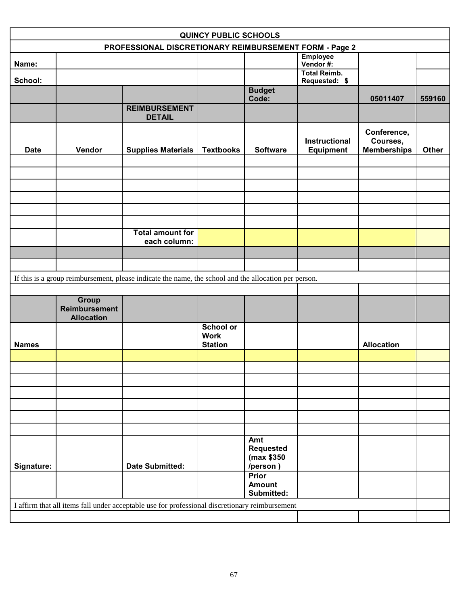| <b>QUINCY PUBLIC SCHOOLS</b> |                                           |                                                                                                       |                                                   |                                                   |                                          |                                               |              |  |
|------------------------------|-------------------------------------------|-------------------------------------------------------------------------------------------------------|---------------------------------------------------|---------------------------------------------------|------------------------------------------|-----------------------------------------------|--------------|--|
|                              |                                           | PROFESSIONAL DISCRETIONARY REIMBURSEMENT FORM - Page 2                                                |                                                   |                                                   |                                          |                                               |              |  |
| Name:                        |                                           |                                                                                                       |                                                   |                                                   | <b>Employee</b><br>Vendor#:              |                                               |              |  |
| School:                      |                                           |                                                                                                       |                                                   |                                                   | <b>Total Reimb.</b><br>Requested: \$     |                                               |              |  |
|                              |                                           |                                                                                                       |                                                   | <b>Budget</b><br>Code:                            |                                          | 05011407                                      | 559160       |  |
|                              |                                           | <b>REIMBURSEMENT</b><br><b>DETAIL</b>                                                                 |                                                   |                                                   |                                          |                                               |              |  |
| <b>Date</b>                  | Vendor                                    | <b>Supplies Materials</b>                                                                             | <b>Textbooks</b>                                  | <b>Software</b>                                   | <b>Instructional</b><br><b>Equipment</b> | Conference,<br>Courses,<br><b>Memberships</b> | <b>Other</b> |  |
|                              |                                           |                                                                                                       |                                                   |                                                   |                                          |                                               |              |  |
|                              |                                           |                                                                                                       |                                                   |                                                   |                                          |                                               |              |  |
|                              |                                           |                                                                                                       |                                                   |                                                   |                                          |                                               |              |  |
|                              |                                           |                                                                                                       |                                                   |                                                   |                                          |                                               |              |  |
|                              |                                           |                                                                                                       |                                                   |                                                   |                                          |                                               |              |  |
|                              |                                           | <b>Total amount for</b><br>each column:                                                               |                                                   |                                                   |                                          |                                               |              |  |
|                              |                                           |                                                                                                       |                                                   |                                                   |                                          |                                               |              |  |
|                              |                                           |                                                                                                       |                                                   |                                                   |                                          |                                               |              |  |
|                              |                                           | If this is a group reimbursement, please indicate the name, the school and the allocation per person. |                                                   |                                                   |                                          |                                               |              |  |
|                              | Group                                     |                                                                                                       |                                                   |                                                   |                                          |                                               |              |  |
|                              | <b>Reimbursement</b><br><b>Allocation</b> |                                                                                                       |                                                   |                                                   |                                          |                                               |              |  |
| <b>Names</b>                 |                                           |                                                                                                       | <b>School or</b><br><b>Work</b><br><b>Station</b> |                                                   |                                          | <b>Allocation</b>                             |              |  |
|                              |                                           |                                                                                                       |                                                   |                                                   |                                          |                                               |              |  |
|                              |                                           |                                                                                                       |                                                   |                                                   |                                          |                                               |              |  |
|                              |                                           |                                                                                                       |                                                   |                                                   |                                          |                                               |              |  |
|                              |                                           |                                                                                                       |                                                   |                                                   |                                          |                                               |              |  |
|                              |                                           |                                                                                                       |                                                   |                                                   |                                          |                                               |              |  |
|                              |                                           |                                                                                                       |                                                   |                                                   |                                          |                                               |              |  |
| Signature:                   |                                           | <b>Date Submitted:</b>                                                                                |                                                   | Amt<br><b>Requested</b><br>(max \$350<br>/person) |                                          |                                               |              |  |
|                              |                                           |                                                                                                       |                                                   | <b>Prior</b><br><b>Amount</b><br>Submitted:       |                                          |                                               |              |  |
|                              |                                           | I affirm that all items fall under acceptable use for professional discretionary reimbursement        |                                                   |                                                   |                                          |                                               |              |  |
|                              |                                           |                                                                                                       |                                                   |                                                   |                                          |                                               |              |  |